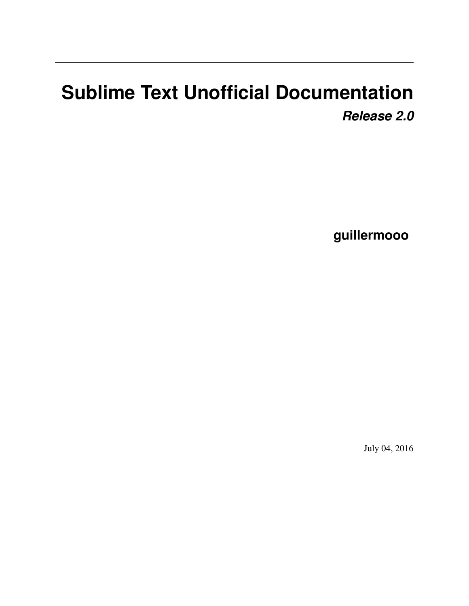# **Sublime Text Unofficial Documentation** *Release 2.0*

**guillermooo**

July 04, 2016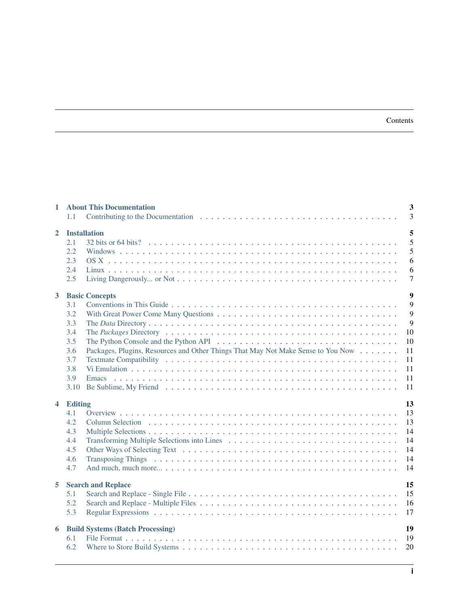#### Contents

| $\mathbf{1}$            | $\overline{\mathbf{3}}$<br><b>About This Documentation</b><br>3<br>1.1                                                                                                                                                                                                                                   |
|-------------------------|----------------------------------------------------------------------------------------------------------------------------------------------------------------------------------------------------------------------------------------------------------------------------------------------------------|
| $\mathbf{2}$            | 5<br><b>Installation</b><br>5<br>2.1<br>5<br>2.2<br>6<br>2.3<br>2.4<br>6<br>2.5<br>$\overline{7}$                                                                                                                                                                                                        |
| $\mathbf{3}$            | $\overline{9}$<br><b>Basic Concepts</b><br>9<br>3.1<br>9<br>3.2<br>9<br>3.3<br>10<br>3.4<br>3.5<br>10<br>Packages, Plugins, Resources and Other Things That May Not Make Sense to You Now<br>3.6<br>11<br>3.7<br>11<br>3.8<br>11<br>3.9<br>11<br>3.10<br>11                                              |
| $\overline{\mathbf{4}}$ | 13<br><b>Editing</b><br>13<br>4.1<br>4.2<br>13<br>4.3<br>14<br>14<br>4.4<br>4.5<br>14<br>4.6<br>14<br>14<br>4.7                                                                                                                                                                                          |
| 5                       | <b>Search and Replace</b><br>15<br>15<br>5.1<br>5.2<br>16<br>5.3<br>Regular Expressions (a) respectively and the contract of the contract of the contract of the contract of the contract of the contract of the contract of the contract of the contract of the contract of the contract of the c<br>17 |
| 6                       | 19<br><b>Build Systems (Batch Processing)</b><br>6.1<br>19<br>6.2<br>20                                                                                                                                                                                                                                  |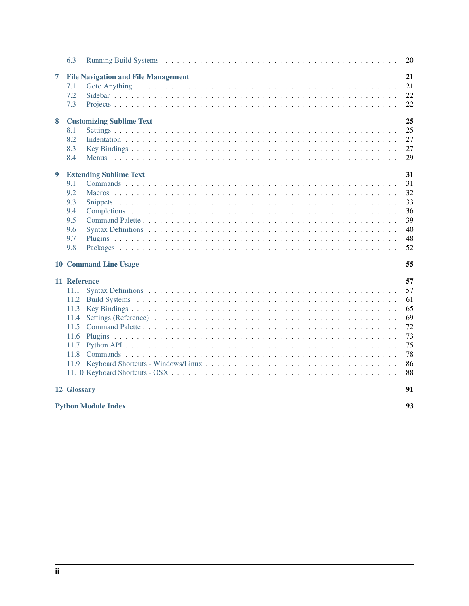|                                  | 6.3                                                  |                                                                               | 20                                                             |
|----------------------------------|------------------------------------------------------|-------------------------------------------------------------------------------|----------------------------------------------------------------|
| 7<br>8                           | 7.1<br>7.2<br>7.3                                    | <b>File Navigation and File Management</b><br><b>Customizing Sublime Text</b> | 21<br>21<br>22<br>22<br>25                                     |
|                                  | 8.1<br>8.2<br>8.3<br>8.4                             |                                                                               | 25<br>27<br>27<br>29                                           |
| 9                                | 9.1<br>9.2<br>9.3<br>9.4<br>9.5<br>9.6<br>9.7<br>9.8 | <b>Extending Sublime Text</b>                                                 | 31<br>31<br>32<br>33<br>36<br>39<br>40<br>48<br>52             |
|                                  |                                                      | <b>10 Command Line Usage</b>                                                  | 55                                                             |
|                                  | 11 Reference<br>11.1<br>11.3<br>11.4<br>11.6         |                                                                               | 57<br>57<br>61<br>65<br>69<br>72<br>73<br>75<br>78<br>86<br>88 |
|                                  | 12 Glossary                                          |                                                                               | 91                                                             |
| 93<br><b>Python Module Index</b> |                                                      |                                                                               |                                                                |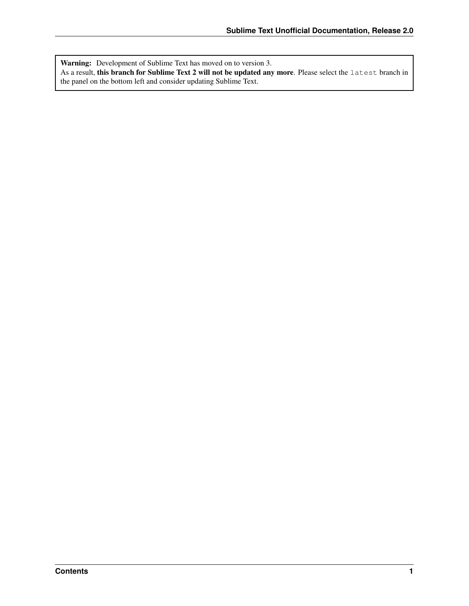Warning: Development of Sublime Text has moved on to version 3. As a result, this branch for Sublime Text 2 will not be updated any more. Please select the latest branch in the panel on the bottom left and consider updating Sublime Text.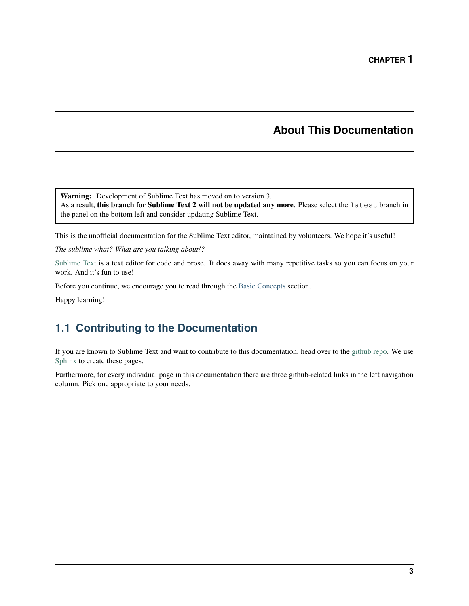# **About This Documentation**

<span id="page-6-0"></span>Warning: Development of Sublime Text has moved on to version 3. As a result, this branch for Sublime Text 2 will not be updated any more. Please select the latest branch in the panel on the bottom left and consider updating Sublime Text.

This is the unofficial documentation for the Sublime Text editor, maintained by volunteers. We hope it's useful!

*The sublime what? What are you talking about!?*

[Sublime Text](http://www.sublimetext.com) is a text editor for code and prose. It does away with many repetitive tasks so you can focus on your work. And it's fun to use!

Before you continue, we encourage you to read through the [Basic Concepts](#page-12-0) section.

Happy learning!

# <span id="page-6-1"></span>**1.1 Contributing to the Documentation**

If you are known to Sublime Text and want to contribute to this documentation, head over to the [github repo.](http://sphinx-doc.org/) We use [Sphinx](http://sphinx-doc.org/) to create these pages.

Furthermore, for every individual page in this documentation there are three github-related links in the left navigation column. Pick one appropriate to your needs.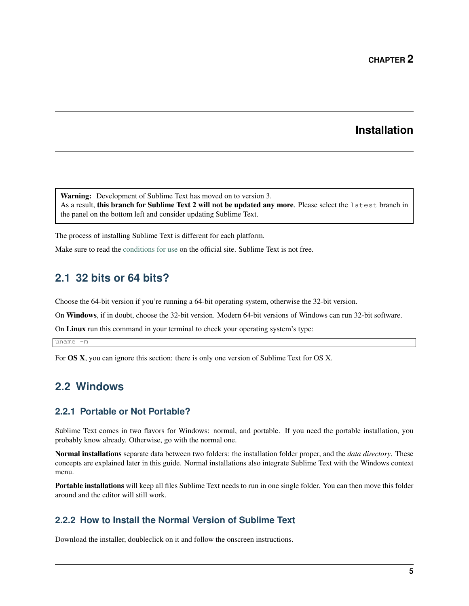# **Installation**

<span id="page-8-0"></span>Warning: Development of Sublime Text has moved on to version 3. As a result, this branch for Sublime Text 2 will not be updated any more. Please select the latest branch in the panel on the bottom left and consider updating Sublime Text.

The process of installing Sublime Text is different for each platform.

Make sure to read the [conditions for use](http://www.sublimetext.com/buy) on the official site. Sublime Text is not free.

### <span id="page-8-1"></span>**2.1 32 bits or 64 bits?**

Choose the 64-bit version if you're running a 64-bit operating system, otherwise the 32-bit version.

On Windows, if in doubt, choose the 32-bit version. Modern 64-bit versions of Windows can run 32-bit software.

On Linux run this command in your terminal to check your operating system's type:

 $\overline{uname -m}$ 

For OS X, you can ignore this section: there is only one version of Sublime Text for OS X.

# <span id="page-8-2"></span>**2.2 Windows**

### **2.2.1 Portable or Not Portable?**

Sublime Text comes in two flavors for Windows: normal, and portable. If you need the portable installation, you probably know already. Otherwise, go with the normal one.

Normal installations separate data between two folders: the installation folder proper, and the *data directory*. These concepts are explained later in this guide. Normal installations also integrate Sublime Text with the Windows context menu.

Portable installations will keep all files Sublime Text needs to run in one single folder. You can then move this folder around and the editor will still work.

### **2.2.2 How to Install the Normal Version of Sublime Text**

Download the installer, doubleclick on it and follow the onscreen instructions.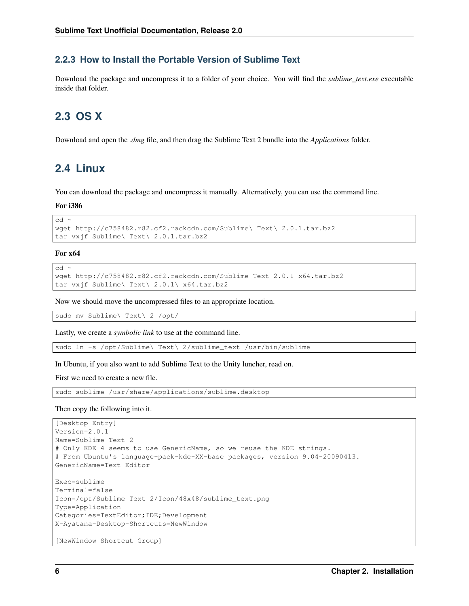### **2.2.3 How to Install the Portable Version of Sublime Text**

Download the package and uncompress it to a folder of your choice. You will find the *sublime\_text.exe* executable inside that folder.

# <span id="page-9-0"></span>**2.3 OS X**

Download and open the *.dmg* file, and then drag the Sublime Text 2 bundle into the *Applications* folder.

# <span id="page-9-1"></span>**2.4 Linux**

You can download the package and uncompress it manually. Alternatively, you can use the command line.

For i386

cd ~

```
wget http://c758482.r82.cf2.rackcdn.com/Sublime\ Text\ 2.0.1.tar.bz2
tar vxjf Sublime\ Text\ 2.0.1.tar.bz2
```
For x64  $cd$  ~

```
wget http://c758482.r82.cf2.rackcdn.com/Sublime Text 2.0.1 x64.tar.bz2
tar vxjf Sublime\ Text\ 2.0.1\ x64.tar.bz2
```
Now we should move the uncompressed files to an appropriate location.

sudo mv Sublime\ Text\ 2 /opt/

Lastly, we create a *symbolic link* to use at the command line.

sudo ln -s /opt/Sublime\ Text\ 2/sublime\_text /usr/bin/sublime

#### In Ubuntu, if you also want to add Sublime Text to the Unity luncher, read on.

First we need to create a new file.

sudo sublime /usr/share/applications/sublime.desktop

Then copy the following into it.

```
[Desktop Entry]
Version=2.0.1
Name=Sublime Text 2
# Only KDE 4 seems to use GenericName, so we reuse the KDE strings.
# From Ubuntu's language-pack-kde-XX-base packages, version 9.04-20090413.
GenericName=Text Editor
Exec=sublime
Terminal=false
Icon=/opt/Sublime Text 2/Icon/48x48/sublime_text.png
Type=Application
Categories=TextEditor;IDE;Development
X-Ayatana-Desktop-Shortcuts=NewWindow
[NewWindow Shortcut Group]
```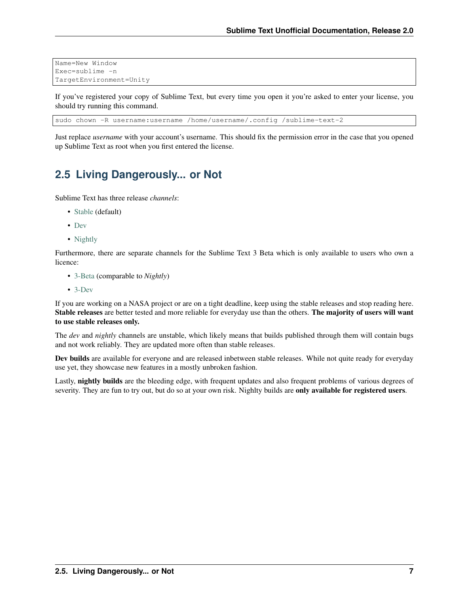```
Name=New Window
Exec=sublime -n
TargetEnvironment=Unity
```
If you've registered your copy of Sublime Text, but every time you open it you're asked to enter your license, you should try running this command.

sudo chown -R username:username /home/username/.config /sublime-text-2

Just replace *username* with your account's username. This should fix the permission error in the case that you opened up Sublime Text as root when you first entered the license.

### <span id="page-10-0"></span>**2.5 Living Dangerously... or Not**

Sublime Text has three release *channels*:

- [Stable](http://www.sublimetext.com/2) (default)
- [Dev](http://www.sublimetext.com/dev)
- [Nightly](http://www.sublimetext.com/nightly)

Furthermore, there are separate channels for the Sublime Text 3 Beta which is only available to users who own a licence:

- [3-Beta](http://www.sublimetext.com/3) (comparable to *Nightly*)
- [3-Dev](http://www.sublimetext.com/3dev)

If you are working on a NASA project or are on a tight deadline, keep using the stable releases and stop reading here. Stable releases are better tested and more reliable for everyday use than the others. The majority of users will want to use stable releases only.

The *dev* and *nightly* channels are unstable, which likely means that builds published through them will contain bugs and not work reliably. They are updated more often than stable releases.

Dev builds are available for everyone and are released inbetween stable releases. While not quite ready for everyday use yet, they showcase new features in a mostly unbroken fashion.

Lastly, **nightly builds** are the bleeding edge, with frequent updates and also frequent problems of various degrees of severity. They are fun to try out, but do so at your own risk. Nighlty builds are only available for registered users.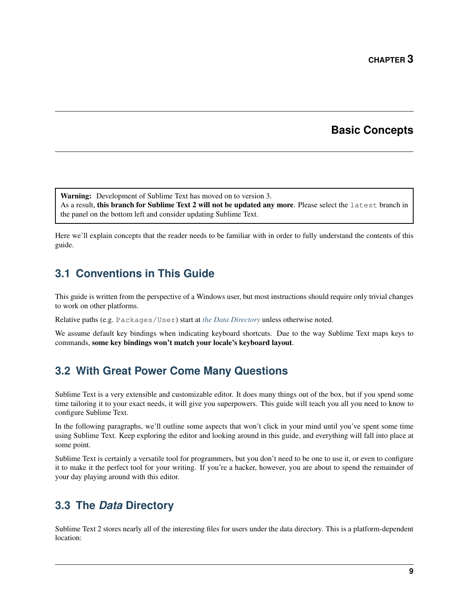# **Basic Concepts**

<span id="page-12-0"></span>Warning: Development of Sublime Text has moved on to version 3.

As a result, this branch for Sublime Text 2 will not be updated any more. Please select the latest branch in the panel on the bottom left and consider updating Sublime Text.

Here we'll explain concepts that the reader needs to be familiar with in order to fully understand the contents of this guide.

# <span id="page-12-1"></span>**3.1 Conventions in This Guide**

This guide is written from the perspective of a Windows user, but most instructions should require only trivial changes to work on other platforms.

Relative paths (e.g. Packages/User) start at *[the Data Directory](#page-12-3)* unless otherwise noted.

We assume default key bindings when indicating keyboard shortcuts. Due to the way Sublime Text maps keys to commands, some key bindings won't match your locale's keyboard layout.

# <span id="page-12-2"></span>**3.2 With Great Power Come Many Questions**

Sublime Text is a very extensible and customizable editor. It does many things out of the box, but if you spend some time tailoring it to your exact needs, it will give you superpowers. This guide will teach you all you need to know to configure Sublime Text.

In the following paragraphs, we'll outline some aspects that won't click in your mind until you've spent some time using Sublime Text. Keep exploring the editor and looking around in this guide, and everything will fall into place at some point.

Sublime Text is certainly a versatile tool for programmers, but you don't need to be one to use it, or even to configure it to make it the perfect tool for your writing. If you're a hacker, however, you are about to spend the remainder of your day playing around with this editor.

# <span id="page-12-3"></span>**3.3 The** *Data* **Directory**

Sublime Text 2 stores nearly all of the interesting files for users under the data directory. This is a platform-dependent location: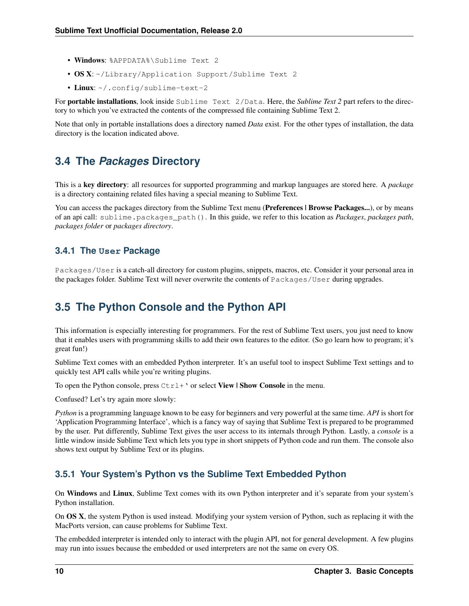- Windows: %APPDATA%\Sublime Text 2
- OS X:~/Library/Application Support/Sublime Text 2
- Linux: ~/.config/sublime-text-2

For portable installations, look inside Sublime Text 2/Data. Here, the *Sublime Text 2* part refers to the directory to which you've extracted the contents of the compressed file containing Sublime Text 2.

Note that only in portable installations does a directory named *Data* exist. For the other types of installation, the data directory is the location indicated above.

### <span id="page-13-0"></span>**3.4 The** *Packages* **Directory**

This is a key directory: all resources for supported programming and markup languages are stored here. A *package* is a directory containing related files having a special meaning to Sublime Text.

You can access the packages directory from the Sublime Text menu (**Preferences | Browse Packages...**), or by means of an api call: sublime.packages\_path(). In this guide, we refer to this location as *Packages*, *packages path*, *packages folder* or *packages directory*.

### **3.4.1 The User Package**

Packages/User is a catch-all directory for custom plugins, snippets, macros, etc. Consider it your personal area in the packages folder. Sublime Text will never overwrite the contents of Packages/User during upgrades.

### <span id="page-13-1"></span>**3.5 The Python Console and the Python API**

This information is especially interesting for programmers. For the rest of Sublime Text users, you just need to know that it enables users with programming skills to add their own features to the editor. (So go learn how to program; it's great fun!)

Sublime Text comes with an embedded Python interpreter. It's an useful tool to inspect Sublime Text settings and to quickly test API calls while you're writing plugins.

To open the Python console, press  $C \text{trl} + \text{'}$  or select View | Show Console in the menu.

Confused? Let's try again more slowly:

*Python* is a programming language known to be easy for beginners and very powerful at the same time. *API* is short for 'Application Programming Interface', which is a fancy way of saying that Sublime Text is prepared to be programmed by the user. Put differently, Sublime Text gives the user access to its internals through Python. Lastly, a *console* is a little window inside Sublime Text which lets you type in short snippets of Python code and run them. The console also shows text output by Sublime Text or its plugins.

### **3.5.1 Your System's Python vs the Sublime Text Embedded Python**

On Windows and Linux, Sublime Text comes with its own Python interpreter and it's separate from your system's Python installation.

On OS X, the system Python is used instead. Modifying your system version of Python, such as replacing it with the MacPorts version, can cause problems for Sublime Text.

The embedded interpreter is intended only to interact with the plugin API, not for general development. A few plugins may run into issues because the embedded or used interpreters are not the same on every OS.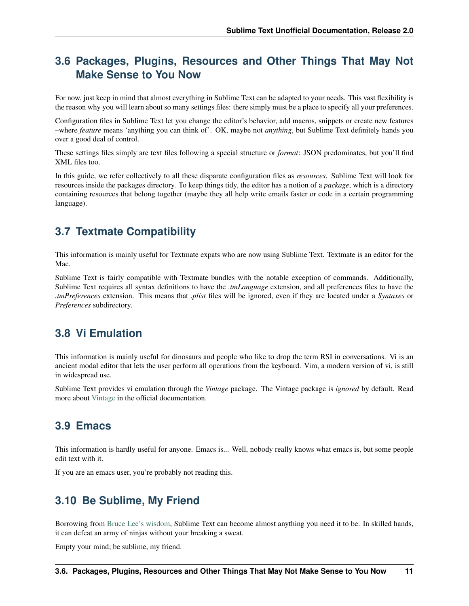# <span id="page-14-0"></span>**3.6 Packages, Plugins, Resources and Other Things That May Not Make Sense to You Now**

For now, just keep in mind that almost everything in Sublime Text can be adapted to your needs. This vast flexibility is the reason why you will learn about so many settings files: there simply must be a place to specify all your preferences.

Configuration files in Sublime Text let you change the editor's behavior, add macros, snippets or create new features –where *feature* means 'anything you can think of'. OK, maybe not *anything*, but Sublime Text definitely hands you over a good deal of control.

These settings files simply are text files following a special structure or *format*: JSON predominates, but you'll find XML files too.

In this guide, we refer collectively to all these disparate configuration files as *resources*. Sublime Text will look for resources inside the packages directory. To keep things tidy, the editor has a notion of a *package*, which is a directory containing resources that belong together (maybe they all help write emails faster or code in a certain programming language).

# <span id="page-14-1"></span>**3.7 Textmate Compatibility**

This information is mainly useful for Textmate expats who are now using Sublime Text. Textmate is an editor for the Mac.

Sublime Text is fairly compatible with Textmate bundles with the notable exception of commands. Additionally, Sublime Text requires all syntax definitions to have the *.tmLanguage* extension, and all preferences files to have the *.tmPreferences* extension. This means that *.plist* files will be ignored, even if they are located under a *Syntaxes* or *Preferences* subdirectory.

# <span id="page-14-2"></span>**3.8 Vi Emulation**

This information is mainly useful for dinosaurs and people who like to drop the term RSI in conversations. Vi is an ancient modal editor that lets the user perform all operations from the keyboard. Vim, a modern version of vi, is still in widespread use.

Sublime Text provides vi emulation through the *Vintage* package. The Vintage package is *ignored* by default. Read more about [Vintage](http://www.sublimetext.com/docs/2/vintage.html) in the official documentation.

# <span id="page-14-3"></span>**3.9 Emacs**

This information is hardly useful for anyone. Emacs is... Well, nobody really knows what emacs is, but some people edit text with it.

If you are an emacs user, you're probably not reading this.

# <span id="page-14-4"></span>**3.10 Be Sublime, My Friend**

Borrowing from [Bruce Lee's wisdom,](http://www.youtube.com/watch?v=iO3sBulXpVw) Sublime Text can become almost anything you need it to be. In skilled hands, it can defeat an army of ninjas without your breaking a sweat.

Empty your mind; be sublime, my friend.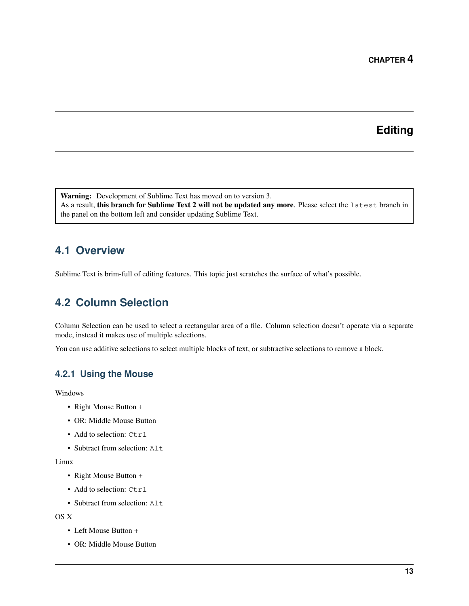# **Editing**

<span id="page-16-0"></span>Warning: Development of Sublime Text has moved on to version 3. As a result, this branch for Sublime Text 2 will not be updated any more. Please select the latest branch in the panel on the bottom left and consider updating Sublime Text.

# <span id="page-16-1"></span>**4.1 Overview**

Sublime Text is brim-full of editing features. This topic just scratches the surface of what's possible.

# <span id="page-16-2"></span>**4.2 Column Selection**

Column Selection can be used to select a rectangular area of a file. Column selection doesn't operate via a separate mode, instead it makes use of multiple selections.

You can use additive selections to select multiple blocks of text, or subtractive selections to remove a block.

### **4.2.1 Using the Mouse**

Windows

- Right Mouse Button +
- OR: Middle Mouse Button
- Add to selection: Ctrl
- Subtract from selection: Alt.

#### Linux

- Right Mouse Button +
- Add to selection: Ctrl
- Subtract from selection: Alt

OS X

- Left Mouse Button +
- OR: Middle Mouse Button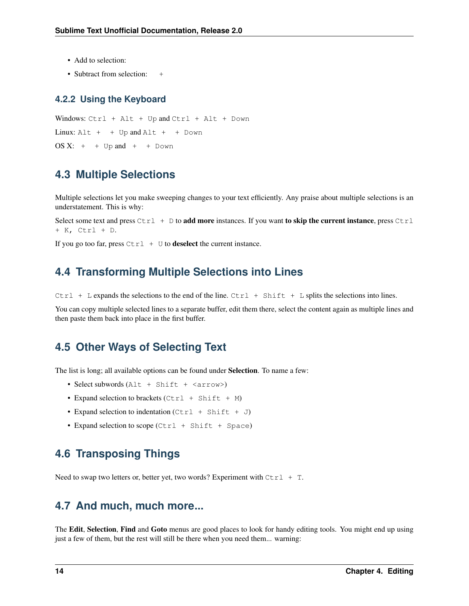- Add to selection:
- Subtract from selection: +

#### **4.2.2 Using the Keyboard**

Windows: Ctrl + Alt + Up and Ctrl + Alt + Down  $Linux: Alt + + Up and Alt + + Down$ OS  $X: +$  + Up and + + Down

### <span id="page-17-0"></span>**4.3 Multiple Selections**

Multiple selections let you make sweeping changes to your text efficiently. Any praise about multiple selections is an understatement. This is why:

Select some text and press  $Ctrl + D$  to add more instances. If you want to skip the current instance, press  $Ctrl$ + K, Ctrl + D.

If you go too far, press  $Ctrl + U$  to **deselect** the current instance.

### <span id="page-17-1"></span>**4.4 Transforming Multiple Selections into Lines**

Ctrl + L expands the selections to the end of the line. Ctrl + Shift + L splits the selections into lines.

You can copy multiple selected lines to a separate buffer, edit them there, select the content again as multiple lines and then paste them back into place in the first buffer.

### <span id="page-17-2"></span>**4.5 Other Ways of Selecting Text**

The list is long; all available options can be found under Selection. To name a few:

- Select subwords (Alt + Shift + <arrow>)
- Expand selection to brackets  $(Ctr1 + Shift + M)$
- Expand selection to indentation  $(Ctr1 + Shift + J)$
- Expand selection to scope (Ctrl + Shift + Space)

# <span id="page-17-3"></span>**4.6 Transposing Things**

Need to swap two letters or, better yet, two words? Experiment with  $Ctrl + T$ .

### <span id="page-17-4"></span>**4.7 And much, much more...**

The Edit, Selection, Find and Goto menus are good places to look for handy editing tools. You might end up using just a few of them, but the rest will still be there when you need them... warning: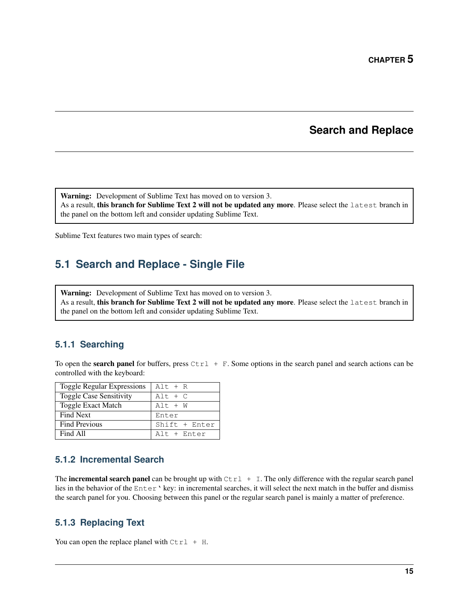### **Search and Replace**

<span id="page-18-0"></span>Warning: Development of Sublime Text has moved on to version 3.

As a result, this branch for Sublime Text 2 will not be updated any more. Please select the latest branch in the panel on the bottom left and consider updating Sublime Text.

Sublime Text features two main types of search:

# <span id="page-18-1"></span>**5.1 Search and Replace - Single File**

Warning: Development of Sublime Text has moved on to version 3. As a result, this branch for Sublime Text 2 will not be updated any more. Please select the latest branch in the panel on the bottom left and consider updating Sublime Text.

### **5.1.1 Searching**

To open the **search panel** for buffers, press  $Ctrl + F$ . Some options in the search panel and search actions can be controlled with the keyboard:

| <b>Toggle Regular Expressions</b> | $Alt + R$     |
|-----------------------------------|---------------|
| <b>Toggle Case Sensitivity</b>    | $Alt + C$     |
| <b>Toggle Exact Match</b>         | $Alt + W$     |
| <b>Find Next</b>                  | Enter         |
| <b>Find Previous</b>              | Shift + Enter |
| Find All                          | Alt + Enter   |

### **5.1.2 Incremental Search**

The **incremental search panel** can be brought up with  $Ctrl + I$ . The only difference with the regular search panel lies in the behavior of the Enter' key: in incremental searches, it will select the next match in the buffer and dismiss the search panel for you. Choosing between this panel or the regular search panel is mainly a matter of preference.

### **5.1.3 Replacing Text**

You can open the replace planel with  $Ctrl + H$ .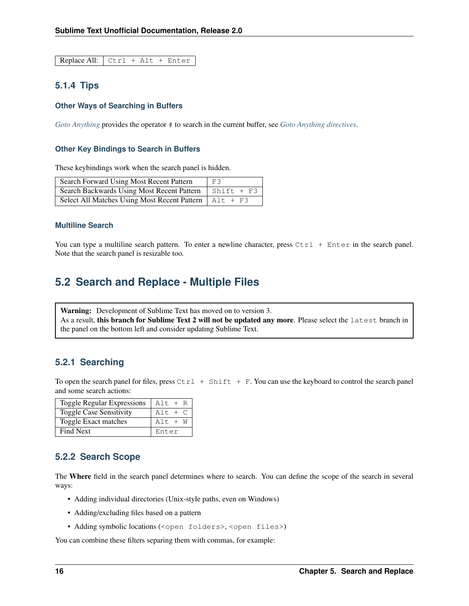Replace All: Ctrl + Alt + Enter

### **5.1.4 Tips**

#### **Other Ways of Searching in Buffers**

*[Goto Anything](#page-24-1)* provides the operator # to search in the current buffer, see *[Goto Anything directives](#page-24-2)*.

#### **Other Key Bindings to Search in Buffers**

These keybindings work when the search panel is hidden.

| Search Forward Using Most Recent Pattern                | F3                 |
|---------------------------------------------------------|--------------------|
| Search Backwards Using Most Recent Pattern              | $\vert$ Shift + F3 |
| Select All Matches Using Most Recent Pattern   Alt + F3 |                    |

#### **Multiline Search**

You can type a multiline search pattern. To enter a newline character, press  $Ctr1 + Enter$  in the search panel. Note that the search panel is resizable too.

### <span id="page-19-0"></span>**5.2 Search and Replace - Multiple Files**

Warning: Development of Sublime Text has moved on to version 3. As a result, this branch for Sublime Text 2 will not be updated any more. Please select the latest branch in the panel on the bottom left and consider updating Sublime Text.

#### **5.2.1 Searching**

To open the search panel for files, press  $Ctrl + Shift + F$ . You can use the keyboard to control the search panel and some search actions:

| <b>Toggle Regular Expressions</b> | $Alt + R$ |
|-----------------------------------|-----------|
| <b>Toggle Case Sensitivity</b>    | $Alt + C$ |
| Toggle Exact matches              | $Alt + W$ |
| <b>Find Next</b>                  | Enter     |

#### **5.2.2 Search Scope**

The Where field in the search panel determines where to search. You can define the scope of the search in several ways:

- Adding individual directories (Unix-style paths, even on Windows)
- Adding/excluding files based on a pattern
- Adding symbolic locations (<open folders>, <open files>)

You can combine these filters separing them with commas, for example: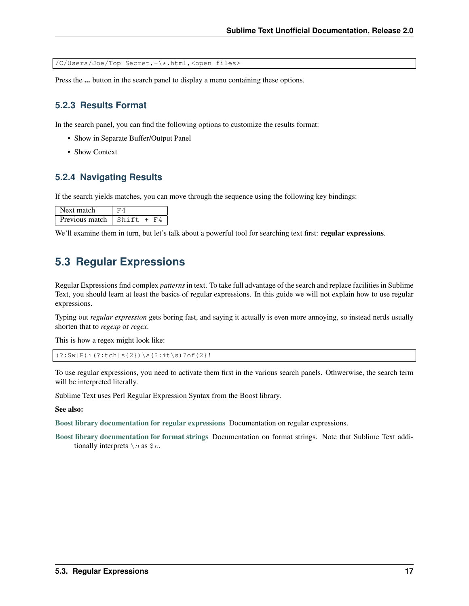/C/Users/Joe/Top Secret,-\\*.html,<open files>

Press the ... button in the search panel to display a menu containing these options.

#### **5.2.3 Results Format**

In the search panel, you can find the following options to customize the results format:

- Show in Separate Buffer/Output Panel
- Show Context

### **5.2.4 Navigating Results**

If the search yields matches, you can move through the sequence using the following key bindings:

| Next match     |           |
|----------------|-----------|
| Previous match | $Shift +$ |

We'll examine them in turn, but let's talk about a powerful tool for searching text first: regular expressions.

### <span id="page-20-0"></span>**5.3 Regular Expressions**

Regular Expressions find complex *patterns* in text. To take full advantage of the search and replace facilities in Sublime Text, you should learn at least the basics of regular expressions. In this guide we will not explain how to use regular expressions.

Typing out *regular expression* gets boring fast, and saying it actually is even more annoying, so instead nerds usually shorten that to *regexp* or *regex*.

This is how a regex might look like:

```
(?:Sw|P)i(?:tch|s{2})\s(?:it\s)?of{2}!
```
To use regular expressions, you need to activate them first in the various search panels. Othwerwise, the search term will be interpreted literally.

Sublime Text uses Perl Regular Expression Syntax from the Boost library.

See also:

[Boost library documentation for regular expressions](http://www.boost.org/doc/libs/1_44_0/libs/regex/doc/html/boost_regex/syntax/perl_syntax.html) Documentation on regular expressions.

[Boost library documentation for format strings](http://www.boost.org/doc/libs/1_44_0/libs/regex/doc/html/boost_regex/format/perl_format.html) Documentation on format strings. Note that Sublime Text additionally interprets  $\setminus n$  as  $\S n$ .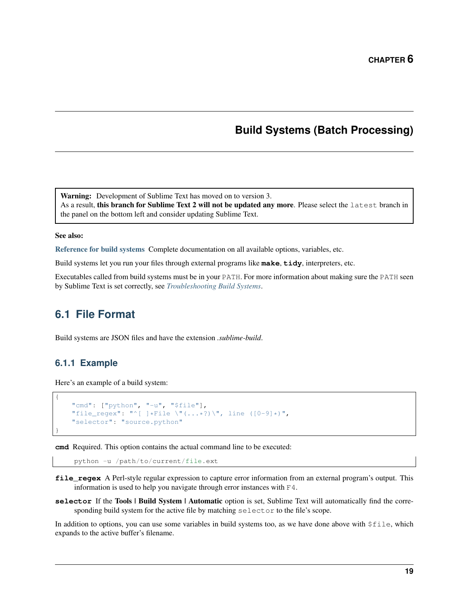### **Build Systems (Batch Processing)**

<span id="page-22-0"></span>Warning: Development of Sublime Text has moved on to version 3. As a result, this branch for Sublime Text 2 will not be updated any more. Please select the latest branch in the panel on the bottom left and consider updating Sublime Text.

#### See also:

[Reference for build systems](#page-64-0) Complete documentation on all available options, variables, etc.

Build systems let you run your files through external programs like **make**, **tidy**, interpreters, etc.

Executables called from build systems must be in your PATH. For more information about making sure the PATH seen by Sublime Text is set correctly, see *[Troubleshooting Build Systems](#page-67-0)*.

### <span id="page-22-1"></span>**6.1 File Format**

Build systems are JSON files and have the extension *.sublime-build*.

### **6.1.1 Example**

{

}

Here's an example of a build system:

```
"cmd": ["python", "-u", "$file"],
"file_regex": "^[ ]*File \"(...*?)\", line ([0-9]*)",
"selector": "source.python"
```
**cmd** Required. This option contains the actual command line to be executed:

python -u /path/to/current/file.ext

- **file\_regex** A Perl-style regular expression to capture error information from an external program's output. This information is used to help you navigate through error instances with F4.
- **selector** If the Tools | Build System | Automatic option is set, Sublime Text will automatically find the corresponding build system for the active file by matching selector to the file's scope.

In addition to options, you can use some variables in build systems too, as we have done above with  $$file, which$ expands to the active buffer's filename.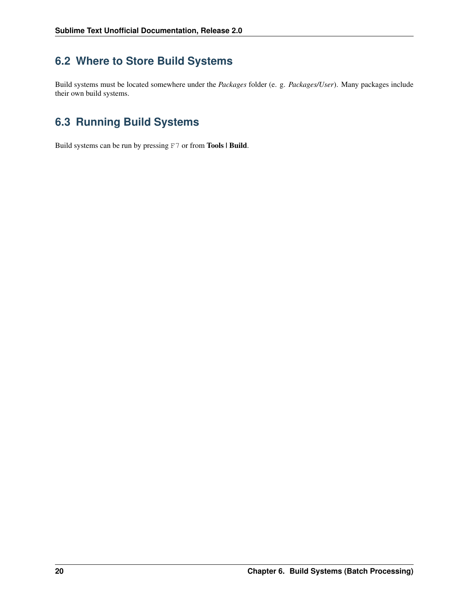# <span id="page-23-0"></span>**6.2 Where to Store Build Systems**

Build systems must be located somewhere under the *Packages* folder (e. g. *Packages/User*). Many packages include their own build systems.

# <span id="page-23-1"></span>**6.3 Running Build Systems**

Build systems can be run by pressing F7 or from Tools | Build.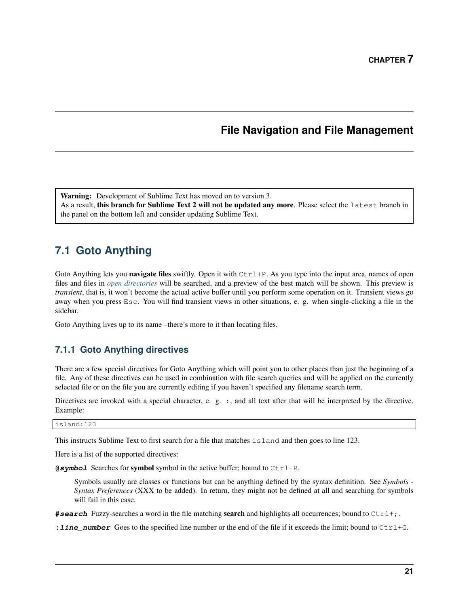# **File Navigation and File Management**

<span id="page-24-0"></span>Warning: Development of Sublime Text has moved on to version 3.

As a result, this branch for Sublime Text 2 will not be updated any more. Please select the latest branch in the panel on the bottom left and consider updating Sublime Text.

# <span id="page-24-1"></span>**7.1 Goto Anything**

Goto Anything lets you navigate files swiftly. Open it with  $C \text{trl} + P$ . As you type into the input area, names of open files and files in *[open directories](#page-25-2)* will be searched, and a preview of the best match will be shown. This preview is *transient*, that is, it won't become the actual active buffer until you perform some operation on it. Transient views go away when you press Esc. You will find transient views in other situations, e. g. when single-clicking a file in the sidebar.

Goto Anything lives up to its name –there's more to it than locating files.

### <span id="page-24-2"></span>**7.1.1 Goto Anything directives**

There are a few special directives for Goto Anything which will point you to other places than just the beginning of a file. Any of these directives can be used in combination with file search queries and will be applied on the currently selected file or on the file you are currently editing if you haven't specified any filename search term.

Directives are invoked with a special character, e. g. :, and all text after that will be interpreted by the directive. Example:

island:123

This instructs Sublime Text to first search for a file that matches island and then goes to line 123.

Here is a list of the supported directives:

**@symbol** Searches for symbol symbol in the active buffer; bound to Ctrl+R.

Symbols usually are classes or functions but can be anything defined by the syntax definition. See *Symbols - Syntax Preferences* (XXX to be added). In return, they might not be defined at all and searching for symbols will fail in this case.

**#search** Fuzzy-searches a word in the file matching **search** and highlights all occurrences; bound to  $Ctr1+$ ;.

**: line\_number** Goes to the specified line number or the end of the file if it exceeds the limit; bound to  $Ctr1+G$ .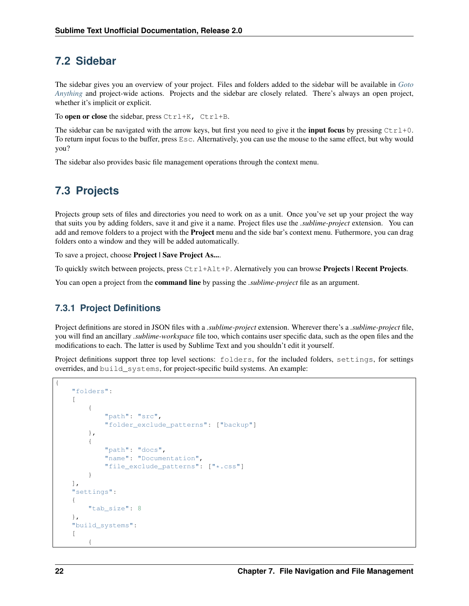### <span id="page-25-0"></span>**7.2 Sidebar**

The sidebar gives you an overview of your project. Files and folders added to the sidebar will be available in *[Goto](#page-24-1) [Anything](#page-24-1)* and project-wide actions. Projects and the sidebar are closely related. There's always an open project, whether it's implicit or explicit.

To open or close the sidebar, press  $Ctrl+K$ ,  $Ctrl+B$ .

The sidebar can be navigated with the arrow keys, but first you need to give it the **input focus** by pressing  $Ctr1+0$ . To return input focus to the buffer, press Esc. Alternatively, you can use the mouse to the same effect, but why would you?

The sidebar also provides basic file management operations through the context menu.

# <span id="page-25-1"></span>**7.3 Projects**

<span id="page-25-2"></span>Projects group sets of files and directories you need to work on as a unit. Once you've set up your project the way that suits you by adding folders, save it and give it a name. Project files use the *.sublime-project* extension. You can add and remove folders to a project with the **Project** menu and the side bar's context menu. Futhermore, you can drag folders onto a window and they will be added automatically.

To save a project, choose Project | Save Project As....

To quickly switch between projects, press  $Ctr1+Alt+P$ . Alernatively you can browse **Projects | Recent Projects.** 

You can open a project from the command line by passing the *.sublime-project* file as an argument.

### **7.3.1 Project Definitions**

Project definitions are stored in JSON files with a *.sublime-project* extension. Wherever there's a *.sublime-project* file, you will find an ancillary *.sublime-workspace* file too, which contains user specific data, such as the open files and the modifications to each. The latter is used by Sublime Text and you shouldn't edit it yourself.

Project definitions support three top level sections: folders, for the included folders, settings, for settings overrides, and build\_systems, for project-specific build systems. An example:

```
{
    "folders":
    \lceil{
             "path": "src",
             "folder exclude patterns": ["backup"]
         },
         {
             "path": "docs",
             "name": "Documentation",
             "file_exclude_patterns": ["*.css"]
         }
    ],
    "settings":
    {
         "tab_size": 8
    },
    "build_systems":
    \sqrt{2}{
```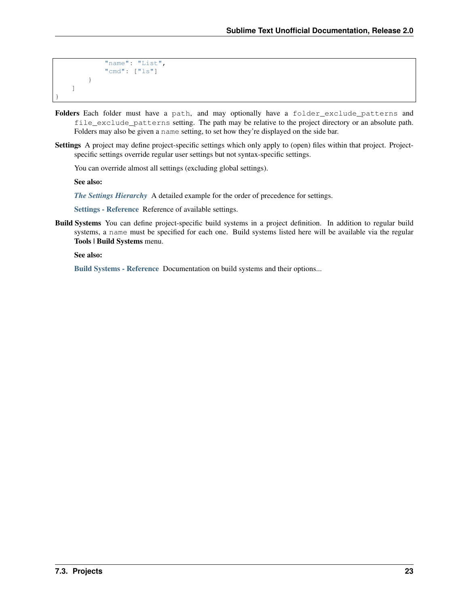```
"name": "List",
             "cmd": ["ls"]
        }
    ]
}
```
- Folders Each folder must have a path, and may optionally have a folder\_exclude\_patterns and file\_exclude\_patterns setting. The path may be relative to the project directory or an absolute path. Folders may also be given a name setting, to set how they're displayed on the side bar.
- Settings A project may define project-specific settings which only apply to (open) files within that project. Projectspecific settings override regular user settings but not syntax-specific settings.

You can override almost all settings (excluding global settings).

See also:

*[The Settings Hierarchy](#page-30-2)* A detailed example for the order of precedence for settings.

[Settings - Reference](#page-72-0) Reference of available settings.

Build Systems You can define project-specific build systems in a project definition. In addition to regular build systems, a name must be specified for each one. Build systems listed here will be available via the regular Tools | Build Systems menu.

See also:

[Build Systems - Reference](#page-64-0) Documentation on build systems and their options...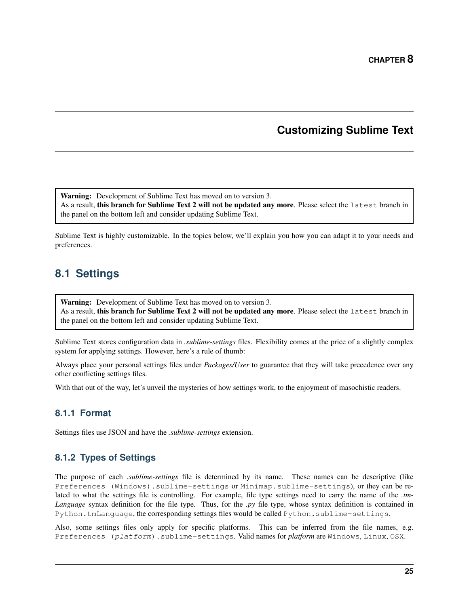# **Customizing Sublime Text**

<span id="page-28-0"></span>Warning: Development of Sublime Text has moved on to version 3. As a result, this branch for Sublime Text 2 will not be updated any more. Please select the latest branch in the panel on the bottom left and consider updating Sublime Text.

Sublime Text is highly customizable. In the topics below, we'll explain you how you can adapt it to your needs and preferences.

# <span id="page-28-1"></span>**8.1 Settings**

Warning: Development of Sublime Text has moved on to version 3. As a result, this branch for Sublime Text 2 will not be updated any more. Please select the latest branch in the panel on the bottom left and consider updating Sublime Text.

Sublime Text stores configuration data in *.sublime-settings* files. Flexibility comes at the price of a slightly complex system for applying settings. However, here's a rule of thumb:

Always place your personal settings files under *Packages/User* to guarantee that they will take precedence over any other conflicting settings files.

With that out of the way, let's unveil the mysteries of how settings work, to the enjoyment of masochistic readers.

### **8.1.1 Format**

Settings files use JSON and have the *.sublime-settings* extension.

### **8.1.2 Types of Settings**

The purpose of each *.sublime-settings* file is determined by its name. These names can be descriptive (like Preferences (Windows).sublime-settings or Minimap.sublime-settings), or they can be related to what the settings file is controlling. For example, file type settings need to carry the name of the *.tm-Language* syntax definition for the file type. Thus, for the *.py* file type, whose syntax definition is contained in Python.tmLanguage, the corresponding settings files would be called Python.sublime-settings.

Also, some settings files only apply for specific platforms. This can be inferred from the file names, e.g. Preferences (platform).sublime-settings. Valid names for *platform* are Windows, Linux, OSX.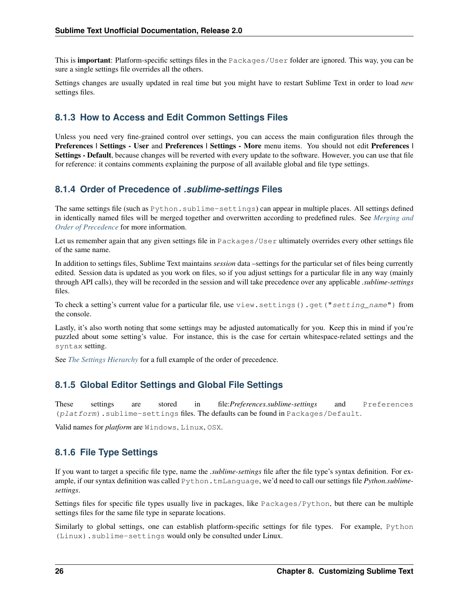This is **important**: Platform-specific settings files in the Packages/User folder are ignored. This way, you can be sure a single settings file overrides all the others.

Settings changes are usually updated in real time but you might have to restart Sublime Text in order to load *new* settings files.

### **8.1.3 How to Access and Edit Common Settings Files**

Unless you need very fine-grained control over settings, you can access the main configuration files through the Preferences | Settings - User and Preferences | Settings - More menu items. You should not edit Preferences | Settings - Default, because changes will be reverted with every update to the software. However, you can use that file for reference: it contains comments explaining the purpose of all available global and file type settings.

### **8.1.4 Order of Precedence of** *.sublime-settings* **Files**

The same settings file (such as Python.sublime-settings) can appear in multiple places. All settings defined in identically named files will be merged together and overwritten according to predefined rules. See *[Merging and](#page-56-0) [Order of Precedence](#page-56-0)* for more information.

Let us remember again that any given settings file in Packages/User ultimately overrides every other settings file of the same name.

In addition to settings files, Sublime Text maintains *session* data –settings for the particular set of files being currently edited. Session data is updated as you work on files, so if you adjust settings for a particular file in any way (mainly through API calls), they will be recorded in the session and will take precedence over any applicable *.sublime-settings* files.

To check a setting's current value for a particular file, use view.settings().get("setting\_name") from the console.

Lastly, it's also worth noting that some settings may be adjusted automatically for you. Keep this in mind if you're puzzled about some setting's value. For instance, this is the case for certain whitespace-related settings and the syntax setting.

See *[The Settings Hierarchy](#page-30-2)* for a full example of the order of precedence.

### **8.1.5 Global Editor Settings and Global File Settings**

These settings are stored in file:*Preferences.sublime-settings* and Preferences (platform).sublime-settings files. The defaults can be found in Packages/Default.

Valid names for *platform* are Windows, Linux, OSX.

### **8.1.6 File Type Settings**

If you want to target a specific file type, name the *.sublime-settings* file after the file type's syntax definition. For example, if our syntax definition was called Python.tmLanguage, we'd need to call our settings file *Python.sublimesettings*.

Settings files for specific file types usually live in packages, like Packages/Python, but there can be multiple settings files for the same file type in separate locations.

Similarly to global settings, one can establish platform-specific settings for file types. For example, Python (Linux).sublime-settings would only be consulted under Linux.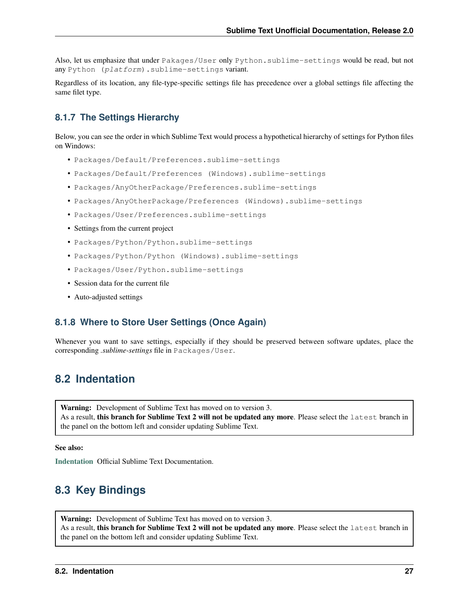Also, let us emphasize that under Pakages/User only Python.sublime-settings would be read, but not any Python (platform).sublime-settings variant.

Regardless of its location, any file-type-specific settings file has precedence over a global settings file affecting the same filet type.

### <span id="page-30-2"></span>**8.1.7 The Settings Hierarchy**

Below, you can see the order in which Sublime Text would process a hypothetical hierarchy of settings for Python files on Windows:

- Packages/Default/Preferences.sublime-settings
- Packages/Default/Preferences (Windows).sublime-settings
- Packages/AnyOtherPackage/Preferences.sublime-settings
- Packages/AnyOtherPackage/Preferences (Windows).sublime-settings
- Packages/User/Preferences.sublime-settings
- Settings from the current project
- Packages/Python/Python.sublime-settings
- Packages/Python/Python (Windows).sublime-settings
- Packages/User/Python.sublime-settings
- Session data for the current file
- Auto-adjusted settings

### **8.1.8 Where to Store User Settings (Once Again)**

Whenever you want to save settings, especially if they should be preserved between software updates, place the corresponding *.sublime-settings* file in Packages/User.

# <span id="page-30-0"></span>**8.2 Indentation**

Warning: Development of Sublime Text has moved on to version 3. As a result, this branch for Sublime Text 2 will not be updated any more. Please select the latest branch in the panel on the bottom left and consider updating Sublime Text.

See also:

[Indentation](http://www.sublimetext.com/docs/2/indentation.html) Official Sublime Text Documentation.

# <span id="page-30-1"></span>**8.3 Key Bindings**

Warning: Development of Sublime Text has moved on to version 3. As a result, this branch for Sublime Text 2 will not be updated any more. Please select the latest branch in the panel on the bottom left and consider updating Sublime Text.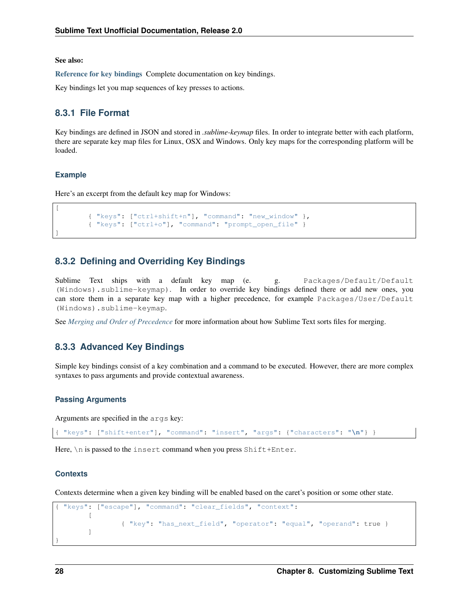See also:

[Reference for key bindings](#page-68-0) Complete documentation on key bindings.

Key bindings let you map sequences of key presses to actions.

### **8.3.1 File Format**

Key bindings are defined in JSON and stored in *.sublime-keymap* files. In order to integrate better with each platform, there are separate key map files for Linux, OSX and Windows. Only key maps for the corresponding platform will be loaded.

#### **Example**

 $\lceil$ 

]

Here's an excerpt from the default key map for Windows:

```
{ "keys": ["ctrl+shift+n"], "command": "new_window" },
{ "keys": ["ctrl+o"], "command": "prompt_open_file" }
```
### **8.3.2 Defining and Overriding Key Bindings**

Sublime Text ships with a default key map (e. g. Packages/Default/Default (Windows).sublime-keymap). In order to override key bindings defined there or add new ones, you can store them in a separate key map with a higher precedence, for example Packages/User/Default (Windows).sublime-keymap.

See *[Merging and Order of Precedence](#page-56-0)* for more information about how Sublime Text sorts files for merging.

### **8.3.3 Advanced Key Bindings**

Simple key bindings consist of a key combination and a command to be executed. However, there are more complex syntaxes to pass arguments and provide contextual awareness.

#### **Passing Arguments**

Arguments are specified in the args key:

```
{ "keys": ["shift+enter"], "command": "insert", "args": {"characters": "\n"} }
```
Here,  $\ln$  is passed to the insert command when you press Shift+Enter.

#### **Contexts**

Contexts determine when a given key binding will be enabled based on the caret's position or some other state.

```
{ "keys": ["escape"], "command": "clear_fields", "context":
        \sqrt{2}{ "key": "has_next_field", "operator": "equal", "operand": true }
        ]
}
```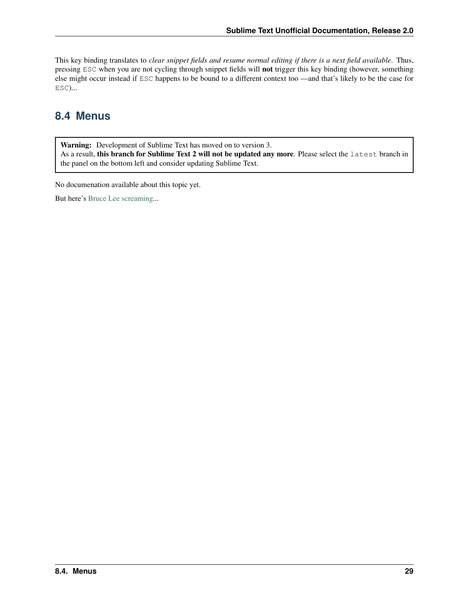This key binding translates to *clear snippet fields and resume normal editing if there is a next field available*. Thus, pressing ESC when you are not cycling through snippet fields will not trigger this key binding (however, something else might occur instead if ESC happens to be bound to a different context too —and that's likely to be the case for ESC)...

# <span id="page-32-0"></span>**8.4 Menus**

Warning: Development of Sublime Text has moved on to version 3. As a result, this branch for Sublime Text 2 will not be updated any more. Please select the latest branch in the panel on the bottom left and consider updating Sublime Text.

No documenation available about this topic yet.

But here's [Bruce Lee screaming.](http://splicd.com/LMUsa66JQc4/392/396)..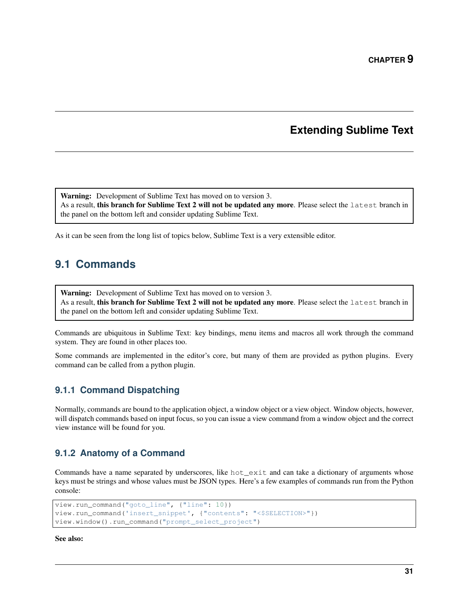### **Extending Sublime Text**

<span id="page-34-0"></span>Warning: Development of Sublime Text has moved on to version 3. As a result, this branch for Sublime Text 2 will not be updated any more. Please select the latest branch in the panel on the bottom left and consider updating Sublime Text.

As it can be seen from the long list of topics below, Sublime Text is a very extensible editor.

# <span id="page-34-1"></span>**9.1 Commands**

Warning: Development of Sublime Text has moved on to version 3. As a result, this branch for Sublime Text 2 will not be updated any more. Please select the latest branch in the panel on the bottom left and consider updating Sublime Text.

Commands are ubiquitous in Sublime Text: key bindings, menu items and macros all work through the command system. They are found in other places too.

Some commands are implemented in the editor's core, but many of them are provided as python plugins. Every command can be called from a python plugin.

### **9.1.1 Command Dispatching**

Normally, commands are bound to the application object, a window object or a view object. Window objects, however, will dispatch commands based on input focus, so you can issue a view command from a window object and the correct view instance will be found for you.

### **9.1.2 Anatomy of a Command**

Commands have a name separated by underscores, like hot exit and can take a dictionary of arguments whose keys must be strings and whose values must be JSON types. Here's a few examples of commands run from the Python console:

```
view.run_command("goto_line", {"line": 10})
view.run_command('insert_snippet', {"contents": "<$SELECTION>"})
view.window().run_command("prompt_select_project")
```
See also: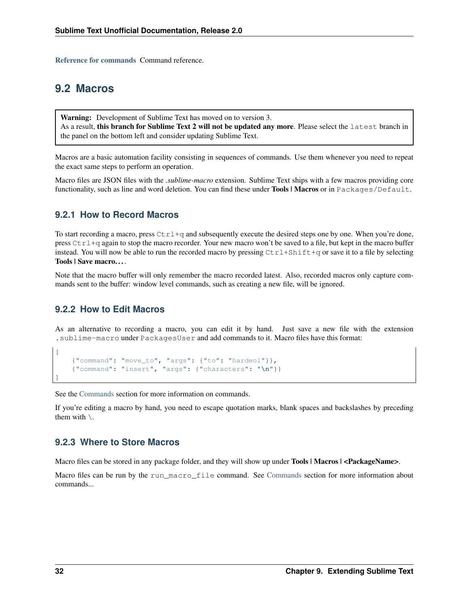[Reference for commands](#page-81-0) Command reference.

### <span id="page-35-0"></span>**9.2 Macros**

Warning: Development of Sublime Text has moved on to version 3. As a result, this branch for Sublime Text 2 will not be updated any more. Please select the latest branch in the panel on the bottom left and consider updating Sublime Text.

Macros are a basic automation facility consisting in sequences of commands. Use them whenever you need to repeat the exact same steps to perform an operation.

Macro files are JSON files with the *.sublime-macro* extension. Sublime Text ships with a few macros providing core functionality, such as line and word deletion. You can find these under Tools | Macros or in Packages/Default.

### **9.2.1 How to Record Macros**

To start recording a macro, press  $Ctr1+q$  and subsequently execute the desired steps one by one. When you're done, press  $Ctr1+q$  again to stop the macro recorder. Your new macro won't be saved to a file, but kept in the macro buffer instead. You will now be able to run the recorded macro by pressing  $Ctrl+Shift+q$  or save it to a file by selecting Tools | Save macro. . . .

Note that the macro buffer will only remember the macro recorded latest. Also, recorded macros only capture commands sent to the buffer: window level commands, such as creating a new file, will be ignored.

### **9.2.2 How to Edit Macros**

As an alternative to recording a macro, you can edit it by hand. Just save a new file with the extension .sublime-macro under PackagesUser and add commands to it. Macro files have this format:

```
{"command": "move_to", "args": {"to": "hardeol"}},
{"command": "insert", "args": {"characters": "\n"}}
```
See the [Commands](#page-81-0) section for more information on commands.

If you're editing a macro by hand, you need to escape quotation marks, blank spaces and backslashes by preceding them with  $\lambda$ .

### **9.2.3 Where to Store Macros**

Macro files can be stored in any package folder, and they will show up under **Tools | Macros | <PackageName>**.

Macro files can be run by the run\_macro\_file command. See [Commands](#page-34-1) section for more information about commands...

[

]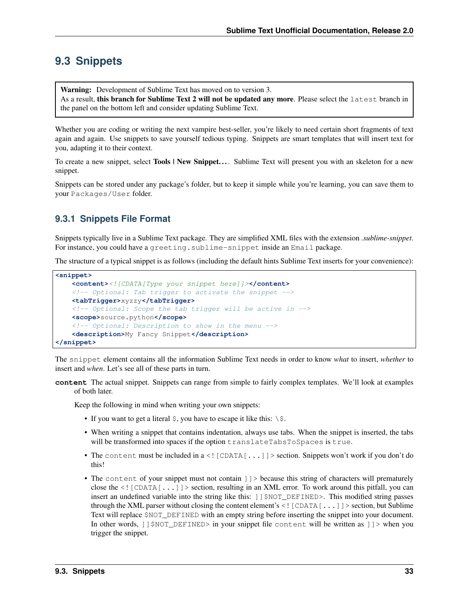# <span id="page-36-0"></span>**9.3 Snippets**

Warning: Development of Sublime Text has moved on to version 3. As a result, this branch for Sublime Text 2 will not be updated any more. Please select the latest branch in the panel on the bottom left and consider updating Sublime Text.

Whether you are coding or writing the next vampire best-seller, you're likely to need certain short fragments of text again and again. Use snippets to save yourself tedious typing. Snippets are smart templates that will insert text for you, adapting it to their context.

To create a new snippet, select **Tools** | New Snippet.... Sublime Text will present you with an skeleton for a new snippet.

Snippets can be stored under any package's folder, but to keep it simple while you're learning, you can save them to your Packages/User folder.

## **9.3.1 Snippets File Format**

Snippets typically live in a Sublime Text package. They are simplified XML files with the extension *.sublime-snippet*. For instance, you could have a greeting. sublime-snippet inside an Email package.

The structure of a typical snippet is as follows (including the default hints Sublime Text inserts for your convenience):

```
<snippet>
    <content><![CDATA[Type your snippet here]]></content>
    \langle-- Optional: Tab trigger to activate the snippet -->
    <tabTrigger>xyzzy</tabTrigger>
    <!-- Optional: Scope the tab trigger will be active in -->
    <scope>source.python</scope>
    <!-- Optional: Description to show in the menu -->
    <description>My Fancy Snippet</description>
</snippet>
```
The snippet element contains all the information Sublime Text needs in order to know *what* to insert, *whether* to insert and *when*. Let's see all of these parts in turn.

**content** The actual snippet. Snippets can range from simple to fairly complex templates. We'll look at examples of both later.

Keep the following in mind when writing your own snippets:

- If you want to get a literal  $\hat{S}$ , you have to escape it like this:  $\hat{S}$ .
- When writing a snippet that contains indentation, always use tabs. When the snippet is inserted, the tabs will be transformed into spaces if the option translateTabsToSpaces is true.
- The content must be included in a <! [CDATA[...]] > section. Snippets won't work if you don't do this!
- The content of your snippet must not contain  $]$  > because this string of characters will prematurely close the  $\leq$  [CDATA[ $\ldots$ ]] > section, resulting in an XML error. To work around this pitfall, you can insert an undefined variable into the string like this: ] ] \$NOT\_DEFINED>. This modified string passes through the XML parser without closing the content element's  $\leq$  [CDATA[...]] > section, but Sublime Text will replace \$NOT\_DEFINED with an empty string before inserting the snippet into your document. In other words,  $\left| \right|$   $\left| \right|$   $\left| \right|$   $\left| \right|$   $\left| \right|$   $\left| \right|$   $\left| \right|$   $\left| \right|$   $\left| \right|$   $\left| \right|$   $\left| \right|$   $\left| \right|$   $\left| \right|$   $\left| \right|$   $\left| \right|$   $\left| \right|$   $\left| \right|$   $\left| \right|$   $\left| \right|$   $\left| \right|$   $\left| \right|$   $\left| \right|$   $\left| \right|$ trigger the snippet.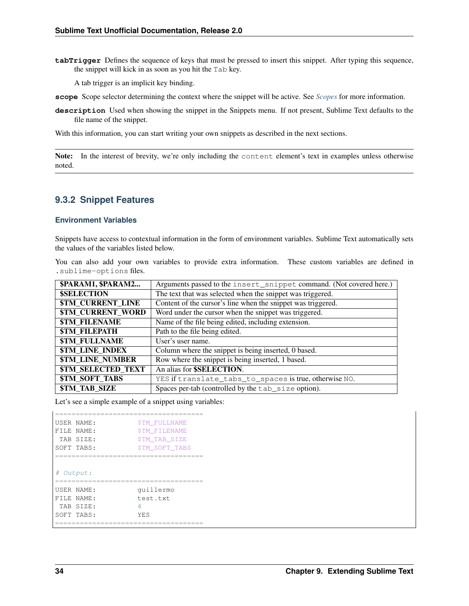**tabTrigger** Defines the sequence of keys that must be pressed to insert this snippet. After typing this sequence, the snippet will kick in as soon as you hit the Tab key.

A tab trigger is an implicit key binding.

- **scope** Scope selector determining the context where the snippet will be active. See *[Scopes](#page-44-0)* for more information.
- **description** Used when showing the snippet in the Snippets menu. If not present, Sublime Text defaults to the file name of the snippet.

With this information, you can start writing your own snippets as described in the next sections.

Note: In the interest of brevity, we're only including the content element's text in examples unless otherwise noted.

### <span id="page-37-0"></span>**9.3.2 Snippet Features**

#### **Environment Variables**

Snippets have access to contextual information in the form of environment variables. Sublime Text automatically sets the values of the variables listed below.

You can also add your own variables to provide extra information. These custom variables are defined in .sublime-options files.

| \$PARAM1, \$PARAM2                     | Arguments passed to the insert_snippet command. (Not covered here.) |
|----------------------------------------|---------------------------------------------------------------------|
| <b>\$SELECTION</b>                     | The text that was selected when the snippet was triggered.          |
| <b>\$TM_CURRENT_LINE</b>               | Content of the cursor's line when the snippet was triggered.        |
| <b><i>STM CURRENT_WORD</i></b>         | Word under the cursor when the snippet was triggered.               |
| <b><i>\$TM FILENAME</i></b>            | Name of the file being edited, including extension.                 |
| <b><i>STM FILEPATH</i></b>             | Path to the file being edited.                                      |
| <b><i><u>STM FULLNAME</u></i></b>      | User's user name.                                                   |
| <b><i>\$TM LINE INDEX</i></b>          | Column where the snippet is being inserted, 0 based.                |
| <b><i>\$TM LINE NUMBER</i></b>         | Row where the snippet is being inserted, 1 based.                   |
| <b><i><u>STM SELECTED TEXT</u></i></b> | An alias for <b>\$SELECTION</b> .                                   |
| <b><i><u>STM_SOFT_TABS</u></i></b>     | YES if translate_tabs_to_spaces is true, otherwise NO.              |
| <b><i>STM TAB SIZE</i></b>             | Spaces per-tab (controlled by the tab_size option).                 |

Let's see a simple example of a snippet using variables:

| USER NAME: | <b>\$TM FULLNAME</b>                   |  |
|------------|----------------------------------------|--|
| FILE NAME: | <b>\$TM FILENAME</b>                   |  |
| TAB STZE:  | <b>\$TM TAB SIZE</b>                   |  |
| SOFT TABS: | <b>\$TM SOFT TABS</b>                  |  |
|            |                                        |  |
|            |                                        |  |
| # Output:  |                                        |  |
|            |                                        |  |
| USER NAME: | quillermo                              |  |
| FILE NAME: | test.txt                               |  |
| TAB STZE:  | 4                                      |  |
| SOFT TABS: | <b>YES</b>                             |  |
|            | -------------------------------------- |  |
|            |                                        |  |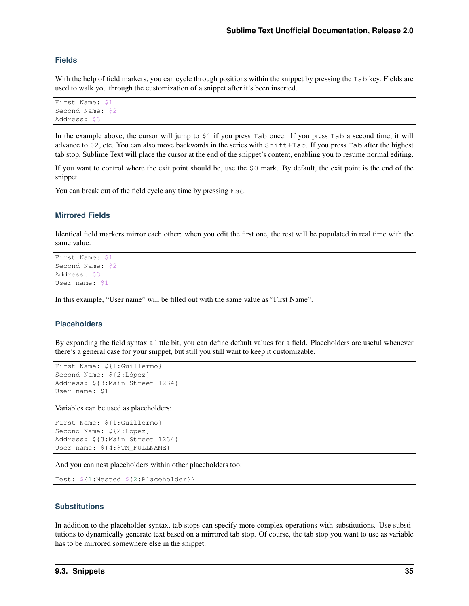### **Fields**

With the help of field markers, you can cycle through positions within the snippet by pressing the Tab key. Fields are used to walk you through the customization of a snippet after it's been inserted.

```
First Name: $1
Second Name: $2
Address: $3
```
In the example above, the cursor will jump to \$1 if you press Tab once. If you press Tab a second time, it will advance to \$2, etc. You can also move backwards in the series with Shift+Tab. If you press Tab after the highest tab stop, Sublime Text will place the cursor at the end of the snippet's content, enabling you to resume normal editing.

If you want to control where the exit point should be, use the \$0 mark. By default, the exit point is the end of the snippet.

You can break out of the field cycle any time by pressing  $\text{Esc.}$ 

### **Mirrored Fields**

Identical field markers mirror each other: when you edit the first one, the rest will be populated in real time with the same value.

```
First Name: $1
Second Name: $2
Address: $3
User name: $1
```
In this example, "User name" will be filled out with the same value as "First Name".

### **Placeholders**

By expanding the field syntax a little bit, you can define default values for a field. Placeholders are useful whenever there's a general case for your snippet, but still you still want to keep it customizable.

```
First Name: ${1:Guillermo}
Second Name: ${2:López}
Address: ${3:Main Street 1234}
User name: $1
```
Variables can be used as placeholders:

```
First Name: ${1:Guillermo}
Second Name: ${2:López}
Address: ${3:Main Street 1234}
User name: ${4:$TM_FULLNAME}
```
And you can nest placeholders within other placeholders too:

Test: \${1:Nested \${2:Placeholder}}

#### **Substitutions**

In addition to the placeholder syntax, tab stops can specify more complex operations with substitutions. Use substitutions to dynamically generate text based on a mirrored tab stop. Of course, the tab stop you want to use as variable has to be mirrored somewhere else in the snippet.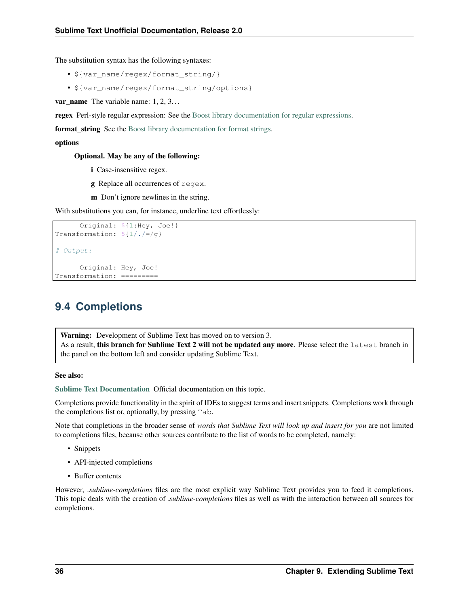The substitution syntax has the following syntaxes:

- \${var\_name/regex/format\_string/}
- \${var\_name/regex/format\_string/options}

var\_name The variable name: 1, 2, 3...

regex Perl-style regular expression: See the [Boost library documentation for regular expressions.](http://www.boost.org/doc/libs/1_44_0/libs/regex/doc/html/boost_regex/syntax/perl_syntax.html)

**format string** See the [Boost library documentation for format strings.](http://www.boost.org/doc/libs/1_44_0/libs/regex/doc/html/boost_regex/format/perl_format.html)

#### options

Optional. May be any of the following:

- i Case-insensitive regex.
- g Replace all occurrences of regex.
- m Don't ignore newlines in the string.

With substitutions you can, for instance, underline text effortlessly:

```
Original: ${1:Hey, Joe!}
Transformation: $1/./-/q$# Output:
     Original: Hey, Joe!
Transformation: =========
```
# **9.4 Completions**

Warning: Development of Sublime Text has moved on to version 3. As a result, this branch for Sublime Text 2 will not be updated any more. Please select the latest branch in the panel on the bottom left and consider updating Sublime Text.

#### See also:

[Sublime Text Documentation](http://www.sublimetext.com/docs/2/tab_completion.html) Official documentation on this topic.

Completions provide functionality in the spirit of IDEs to suggest terms and insert snippets. Completions work through the completions list or, optionally, by pressing Tab.

Note that completions in the broader sense of *words that Sublime Text will look up and insert for you* are not limited to completions files, because other sources contribute to the list of words to be completed, namely:

- Snippets
- API-injected completions
- Buffer contents

However, *.sublime-completions* files are the most explicit way Sublime Text provides you to feed it completions. This topic deals with the creation of *.sublime-completions* files as well as with the interaction between all sources for completions.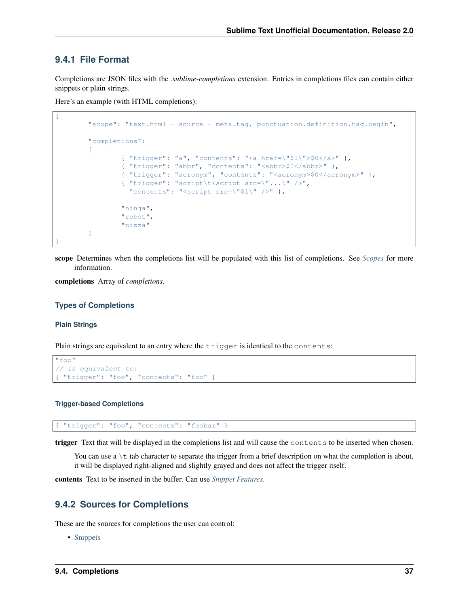### **9.4.1 File Format**

{

}

Completions are JSON files with the *.sublime-completions* extension. Entries in completions files can contain either snippets or plain strings.

Here's an example (with HTML completions):

```
"scope": "text.html - source - meta.tag, punctuation.definition.tag.begin",
"completions":
\sqrt{2}{ "trigger": "a", "contents": "<a href=\"$1\">$0</a>" },
        { "trigger": "abbr", "contents": "<abbr>$0</abbr>" },
        { "trigger": "acronym", "contents": "<acronym>$0</acronym>" },
        { "trigger": "script\t<script src=\"...\" />",
          "contents": "<script src=\"$1\" />" },
        "ninja",
        "robot",
        "pizza"
]
```
scope Determines when the completions list will be populated with this list of completions. See *[Scopes](#page-44-0)* for more information.

completions Array of *completions*.

#### **Types of Completions**

#### **Plain Strings**

Plain strings are equivalent to an entry where the trigger is identical to the contents:

```
"foo"
// is equivalent to:
{ "trigger": "foo", "contents": "foo" }
```
#### **Trigger-based Completions**

"trigger": "foo", "contents": "foobar" }

trigger Text that will be displayed in the completions list and will cause the contents to be inserted when chosen.

You can use a  $\setminus t$  tab character to separate the trigger from a brief description on what the completion is about, it will be displayed right-aligned and slightly grayed and does not affect the trigger itself.

contents Text to be inserted in the buffer. Can use *[Snippet Features](#page-37-0)*.

### **9.4.2 Sources for Completions**

These are the sources for completions the user can control:

• [Snippets](#page-36-0)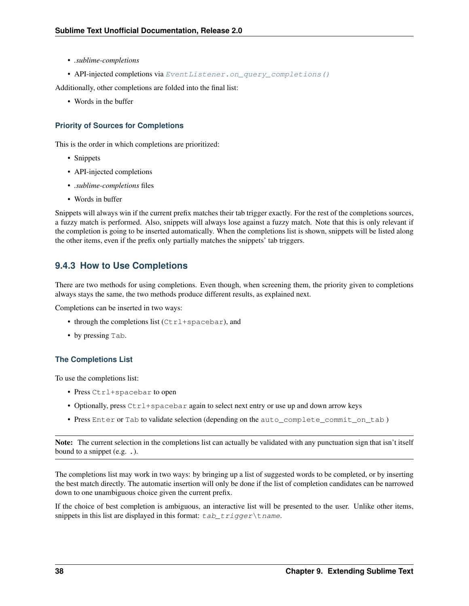- *.sublime-completions*
- API-injected completions via [EventListener.on\\_query\\_completions\(\)](#page-80-0)

Additionally, other completions are folded into the final list:

• Words in the buffer

### **Priority of Sources for Completions**

This is the order in which completions are prioritized:

- Snippets
- API-injected completions
- *.sublime-completions* files
- Words in buffer

Snippets will always win if the current prefix matches their tab trigger exactly. For the rest of the completions sources, a fuzzy match is performed. Also, snippets will always lose against a fuzzy match. Note that this is only relevant if the completion is going to be inserted automatically. When the completions list is shown, snippets will be listed along the other items, even if the prefix only partially matches the snippets' tab triggers.

### **9.4.3 How to Use Completions**

There are two methods for using completions. Even though, when screening them, the priority given to completions always stays the same, the two methods produce different results, as explained next.

Completions can be inserted in two ways:

- through the completions list  $(Ctr1+spacebar)$ , and
- by pressing Tab.

### **The Completions List**

To use the completions list:

- Press Ctrl+spacebar to open
- Optionally, press  $Ctrl+spacebar$  again to select next entry or use up and down arrow keys
- Press Enter or Tab to validate selection (depending on the auto\_complete\_commit\_on\_tab)

Note: The current selection in the completions list can actually be validated with any punctuation sign that isn't itself bound to a snippet (e.g. .).

The completions list may work in two ways: by bringing up a list of suggested words to be completed, or by inserting the best match directly. The automatic insertion will only be done if the list of completion candidates can be narrowed down to one unambiguous choice given the current prefix.

If the choice of best completion is ambiguous, an interactive list will be presented to the user. Unlike other items, snippets in this list are displayed in this format:  $tab\_trigger\tname.$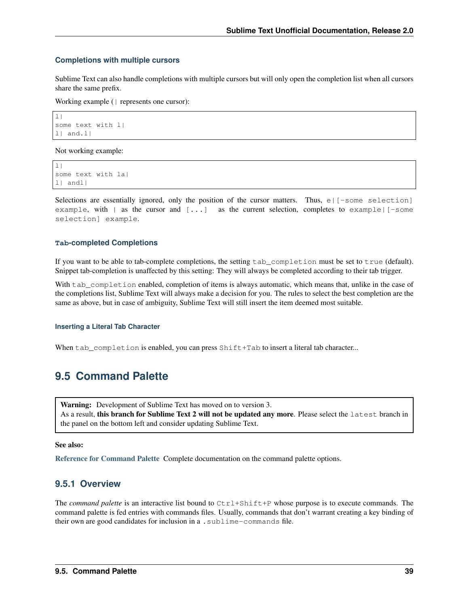#### **Completions with multiple cursors**

Sublime Text can also handle completions with multiple cursors but will only open the completion list when all cursors share the same prefix.

Working example (| represents one cursor):

```
|1|some text with l|
l| and.l|
```
Not working example:

```
|1|some text with la|
l| andl|
```
Selections are essentially ignored, only the position of the cursor matters. Thus,  $e$  [ $\sim$ some selection] example, with  $\mid$  as the cursor and  $[\ldots]$  as the current selection, completes to example  $\mid$  -some selection] example.

#### **Tab-completed Completions**

If you want to be able to tab-complete completions, the setting tab\_completion must be set to true (default). Snippet tab-completion is unaffected by this setting: They will always be completed according to their tab trigger.

With tab completion enabled, completion of items is always automatic, which means that, unlike in the case of the completions list, Sublime Text will always make a decision for you. The rules to select the best completion are the same as above, but in case of ambiguity, Sublime Text will still insert the item deemed most suitable.

#### **Inserting a Literal Tab Character**

When tab\_completion is enabled, you can press Shift+Tab to insert a literal tab character...

# **9.5 Command Palette**

Warning: Development of Sublime Text has moved on to version 3. As a result, this branch for Sublime Text 2 will not be updated any more. Please select the latest branch in the panel on the bottom left and consider updating Sublime Text.

#### See also:

[Reference for Command Palette](#page-75-0) Complete documentation on the command palette options.

### <span id="page-42-0"></span>**9.5.1 Overview**

The *command palette* is an interactive list bound to  $Ctrl+Shift+P$  whose purpose is to execute commands. The command palette is fed entries with commands files. Usually, commands that don't warrant creating a key binding of their own are good candidates for inclusion in a . sublime-commands file.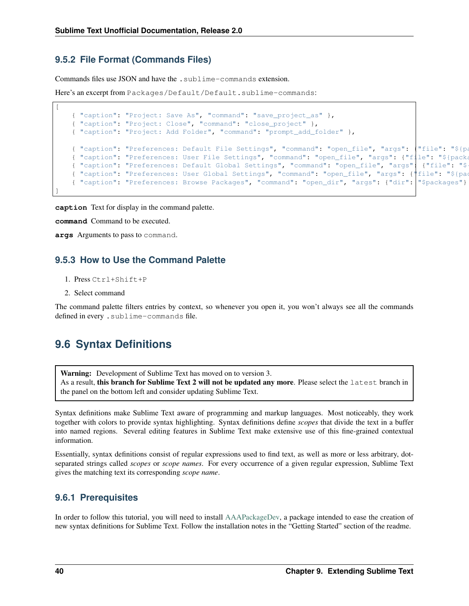### **9.5.2 File Format (Commands Files)**

Commands files use JSON and have the .sublime-commands extension.

Here's an excerpt from Packages/Default/Default.sublime-commands:

```
{ "caption": "Project: Save As", "command": "save_project_as" },
{ "caption": "Project: Close", "command": "close_project" },
{ "caption": "Project: Add Folder", "command": "prompt_add_folder" },
{ "caption": "Preferences: Default File Settings", "command": "open_file", "args": {"file": "${pa
{ "caption": "Preferences: User File Settings", "command": "open_file", "args": {"file": "${packa
{ "caption": "Preferences: Default Global Settings", "command": "open_file", "args" | {"file": "$
{ "caption": "Preferences: User Global Settings", "command": "open_file", "args": {"file": "${pac
{ "caption": "Preferences: Browse Packages", "command": "open_dir", "args": {"dir": "$packages"} }
```
**caption** Text for display in the command palette.

**command** Command to be executed.

**args** Arguments to pass to command.

### **9.5.3 How to Use the Command Palette**

- 1. Press Ctrl+Shift+P
- 2. Select command

[

]

The command palette filters entries by context, so whenever you open it, you won't always see all the commands defined in every .sublime-commands file.

# **9.6 Syntax Definitions**

Warning: Development of Sublime Text has moved on to version 3. As a result, this branch for Sublime Text 2 will not be updated any more. Please select the latest branch in the panel on the bottom left and consider updating Sublime Text.

Syntax definitions make Sublime Text aware of programming and markup languages. Most noticeably, they work together with colors to provide syntax highlighting. Syntax definitions define *scopes* that divide the text in a buffer into named regions. Several editing features in Sublime Text make extensive use of this fine-grained contextual information.

Essentially, syntax definitions consist of regular expressions used to find text, as well as more or less arbitrary, dotseparated strings called *scopes* or *scope names*. For every occurrence of a given regular expression, Sublime Text gives the matching text its corresponding *scope name*.

### **9.6.1 Prerequisites**

In order to follow this tutorial, you will need to install [AAAPackageDev,](https://github.com/SublimeText/AAAPackageDev) a package intended to ease the creation of new syntax definitions for Sublime Text. Follow the installation notes in the "Getting Started" section of the readme.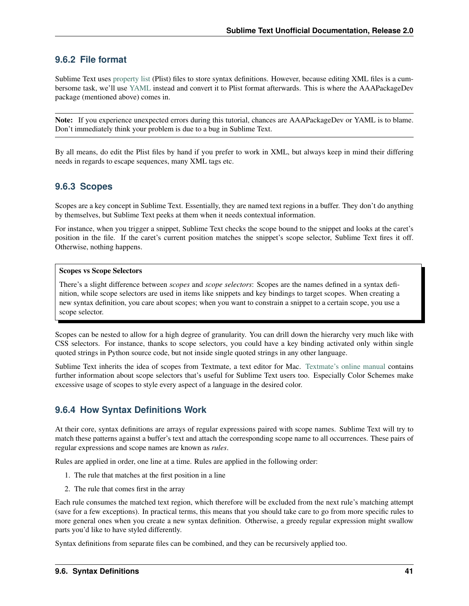### **9.6.2 File format**

Sublime Text uses [property list](http://en.wikipedia.org/wiki/Property_list) (Plist) files to store syntax definitions. However, because editing XML files is a cumbersome task, we'll use [YAML](http://en.wikipedia.org/wiki/YAML) instead and convert it to Plist format afterwards. This is where the AAAPackageDev package (mentioned above) comes in.

Note: If you experience unexpected errors during this tutorial, chances are AAAPackageDev or YAML is to blame. Don't immediately think your problem is due to a bug in Sublime Text.

By all means, do edit the Plist files by hand if you prefer to work in XML, but always keep in mind their differing needs in regards to escape sequences, many XML tags etc.

### <span id="page-44-0"></span>**9.6.3 Scopes**

Scopes are a key concept in Sublime Text. Essentially, they are named text regions in a buffer. They don't do anything by themselves, but Sublime Text peeks at them when it needs contextual information.

For instance, when you trigger a snippet, Sublime Text checks the scope bound to the snippet and looks at the caret's position in the file. If the caret's current position matches the snippet's scope selector, Sublime Text fires it off. Otherwise, nothing happens.

#### Scopes vs Scope Selectors

There's a slight difference between *scopes* and *scope selectors*: Scopes are the names defined in a syntax definition, while scope selectors are used in items like snippets and key bindings to target scopes. When creating a new syntax definition, you care about scopes; when you want to constrain a snippet to a certain scope, you use a scope selector.

Scopes can be nested to allow for a high degree of granularity. You can drill down the hierarchy very much like with CSS selectors. For instance, thanks to scope selectors, you could have a key binding activated only within single quoted strings in Python source code, but not inside single quoted strings in any other language.

Sublime Text inherits the idea of scopes from Textmate, a text editor for Mac. [Textmate's online manual](http://manual.macromates.com/en/scope_selectors) contains further information about scope selectors that's useful for Sublime Text users too. Especially Color Schemes make excessive usage of scopes to style every aspect of a language in the desired color.

### **9.6.4 How Syntax Definitions Work**

At their core, syntax definitions are arrays of regular expressions paired with scope names. Sublime Text will try to match these patterns against a buffer's text and attach the corresponding scope name to all occurrences. These pairs of regular expressions and scope names are known as *rules*.

Rules are applied in order, one line at a time. Rules are applied in the following order:

- 1. The rule that matches at the first position in a line
- 2. The rule that comes first in the array

Each rule consumes the matched text region, which therefore will be excluded from the next rule's matching attempt (save for a few exceptions). In practical terms, this means that you should take care to go from more specific rules to more general ones when you create a new syntax definition. Otherwise, a greedy regular expression might swallow parts you'd like to have styled differently.

Syntax definitions from separate files can be combined, and they can be recursively applied too.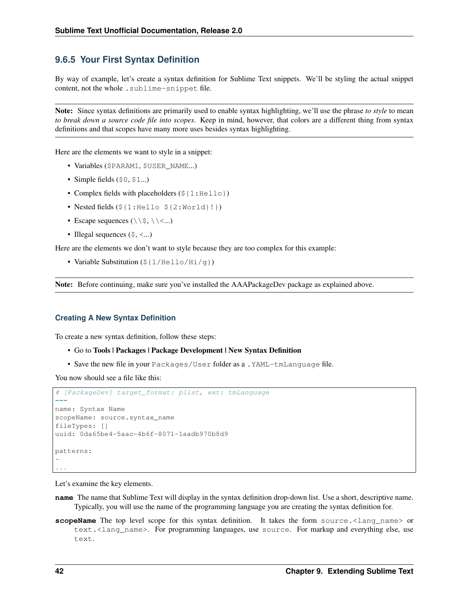### **9.6.5 Your First Syntax Definition**

By way of example, let's create a syntax definition for Sublime Text snippets. We'll be styling the actual snippet content, not the whole . sublime-snippet file.

Note: Since syntax definitions are primarily used to enable syntax highlighting, we'll use the phrase *to style* to mean *to break down a source code file into scopes*. Keep in mind, however, that colors are a different thing from syntax definitions and that scopes have many more uses besides syntax highlighting.

Here are the elements we want to style in a snippet:

- Variables (\$PARAM1, \$USER\_NAME...)
- Simple fields  $(50, 51...)$
- Complex fields with placeholders ( $\S$ {1:Hello})
- Nested fields  $(\frac{5}{1}$ : Hello  $\frac{5}{2}$ : World}!})
- Escape sequences  $(\setminus \S, \setminus \setminus \langle ... )$
- Illegal sequences  $(\xi, \langle \ldots \rangle)$

Here are the elements we don't want to style because they are too complex for this example:

• Variable Substitution  $(\frac{2}{1} / \text{Hello}/\text{Hi}/q)$ 

Note: Before continuing, make sure you've installed the AAAPackageDev package as explained above.

### **Creating A New Syntax Definition**

To create a new syntax definition, follow these steps:

- Go to Tools | Packages | Package Development | New Syntax Definition
- Save the new file in your Packages/User folder as a .YAML-tmLanguage file.

You now should see a file like this:

```
# [PackageDev] target_format: plist, ext: tmLanguage
---
name: Syntax Name
scopeName: source.syntax_name
fileTypes: []
uuid: 0da65be4-5aac-4b6f-8071-1aadb970b8d9
patterns:
-
...
```
Let's examine the key elements.

- **name** The name that Sublime Text will display in the syntax definition drop-down list. Use a short, descriptive name. Typically, you will use the name of the programming language you are creating the syntax definition for.
- **scopeName** The top level scope for this syntax definition. It takes the form source. <lang\_name> or text.<lang\_name>. For programming languages, use source. For markup and everything else, use text.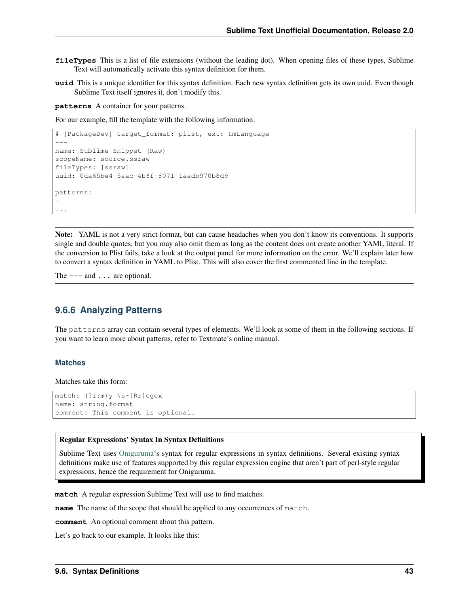- **fileTypes** This is a list of file extensions (without the leading dot). When opening files of these types, Sublime Text will automatically activate this syntax definition for them.
- **uuid** This is a unique identifier for this syntax definition. Each new syntax definition gets its own uuid. Even though Sublime Text itself ignores it, don't modify this.

**patterns** A container for your patterns.

For our example, fill the template with the following information:

```
# [PackageDev] target_format: plist, ext: tmLanguage
---name: Sublime Snippet (Raw)
scopeName: source.ssraw
fileTypes: [ssraw]
uuid: 0da65be4-5aac-4b6f-8071-1aadb970b8d9
patterns:
-
...
```
Note: YAML is not a very strict format, but can cause headaches when you don't know its conventions. It supports single and double quotes, but you may also omit them as long as the content does not create another YAML literal. If the conversion to Plist fails, take a look at the output panel for more information on the error. We'll explain later how to convert a syntax definition in YAML to Plist. This will also cover the first commented line in the template.

The  $---$  and  $...$  are optional.

### **9.6.6 Analyzing Patterns**

The patterns array can contain several types of elements. We'll look at some of them in the following sections. If you want to learn more about patterns, refer to Textmate's online manual.

#### **Matches**

Matches take this form:

```
match: (?i:m)y \s+[Rr]egex
name: string.format
comment: This comment is optional.
```
#### Regular Expressions' Syntax In Syntax Definitions

Sublime Text uses [Oniguruma'](http://www.geocities.jp/kosako3/oniguruma/doc/RE.txt)s syntax for regular expressions in syntax definitions. Several existing syntax definitions make use of features supported by this regular expression engine that aren't part of perl-style regular expressions, hence the requirement for Oniguruma.

**match** A regular expression Sublime Text will use to find matches.

**name** The name of the scope that should be applied to any occurrences of match.

**comment** An optional comment about this pattern.

Let's go back to our example. It looks like this: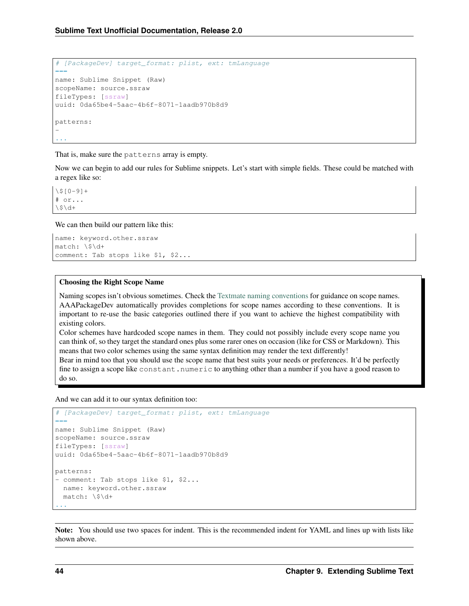```
# [PackageDev] target_format: plist, ext: tmLanguage
---
name: Sublime Snippet (Raw)
scopeName: source.ssraw
fileTypes: [ssraw]
uuid: 0da65be4-5aac-4b6f-8071-1aadb970b8d9
patterns:
-
...
```
That is, make sure the patterns array is empty.

Now we can begin to add our rules for Sublime snippets. Let's start with simple fields. These could be matched with a regex like so:

 $\3[0-9]+$ # or...  $\frac{1}{9}$ 

We can then build our pattern like this:

```
name: keyword.other.ssraw
match: \$\d+
comment: Tab stops like $1, $2...
```
### Choosing the Right Scope Name

Naming scopes isn't obvious sometimes. Check the [Textmate naming conventions](https://manual.macromates.com/en/language_grammars#naming_conventions) for guidance on scope names. AAAPackageDev automatically provides completions for scope names according to these conventions. It is important to re-use the basic categories outlined there if you want to achieve the highest compatibility with existing colors.

Color schemes have hardcoded scope names in them. They could not possibly include every scope name you can think of, so they target the standard ones plus some rarer ones on occasion (like for CSS or Markdown). This means that two color schemes using the same syntax definition may render the text differently!

Bear in mind too that you should use the scope name that best suits your needs or preferences. It'd be perfectly fine to assign a scope like constant.numeric to anything other than a number if you have a good reason to do so.

And we can add it to our syntax definition too:

```
# [PackageDev] target_format: plist, ext: tmLanguage
---
name: Sublime Snippet (Raw)
scopeName: source.ssraw
fileTypes: [ssraw]
uuid: 0da65be4-5aac-4b6f-8071-1aadb970b8d9
patterns:
- comment: Tab stops like $1, $2...
 name: keyword.other.ssraw
  match: \$\d+
...
```
Note: You should use two spaces for indent. This is the recommended indent for YAML and lines up with lists like shown above.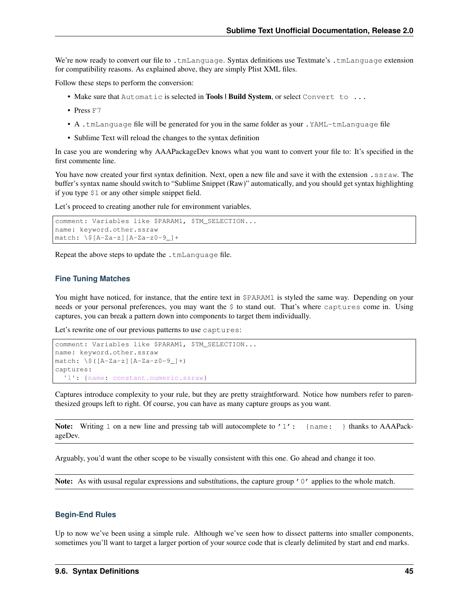We're now ready to convert our file to .tmLanguage. Syntax definitions use Textmate's .tmLanguage extension for compatibility reasons. As explained above, they are simply Plist XML files.

Follow these steps to perform the conversion:

- Make sure that Automatic is selected in Tools | Build System, or select Convert to ...
- Press F7
- A .tmLanguage file will be generated for you in the same folder as your .YAML-tmLanguage file
- Sublime Text will reload the changes to the syntax definition

In case you are wondering why AAAPackageDev knows what you want to convert your file to: It's specified in the first commente line.

You have now created your first syntax definition. Next, open a new file and save it with the extension . ssraw. The buffer's syntax name should switch to "Sublime Snippet (Raw)" automatically, and you should get syntax highlighting if you type \$1 or any other simple snippet field.

Let's proceed to creating another rule for environment variables.

```
comment: Variables like $PARAM1, $TM_SELECTION...
name: keyword.other.ssraw
match: \$[A-Za-z][A-Za-z0-9_]+
```
Repeat the above steps to update the .tmLanguage file.

#### **Fine Tuning Matches**

You might have noticed, for instance, that the entire text in  $$PARAM1$  is styled the same way. Depending on your needs or your personal preferences, you may want the \$ to stand out. That's where captures come in. Using captures, you can break a pattern down into components to target them individually.

Let's rewrite one of our previous patterns to use captures:

```
comment: Variables like $PARAM1, $TM SELECTION...
name: keyword.other.ssraw
match: \$([A-Za-z][A-Za-z0-9_]+)
captures:
 '1': {name: constant.numeric.ssraw}
```
Captures introduce complexity to your rule, but they are pretty straightforward. Notice how numbers refer to parenthesized groups left to right. Of course, you can have as many capture groups as you want.

**Note:** Writing 1 on a new line and pressing tab will autocomplete to '1': {name: } thanks to AAAPackageDev.

Arguably, you'd want the other scope to be visually consistent with this one. Go ahead and change it too.

Note: As with ususal regular expressions and substitutions, the capture group '0' applies to the whole match.

#### **Begin-End Rules**

Up to now we've been using a simple rule. Although we've seen how to dissect patterns into smaller components, sometimes you'll want to target a larger portion of your source code that is clearly delimited by start and end marks.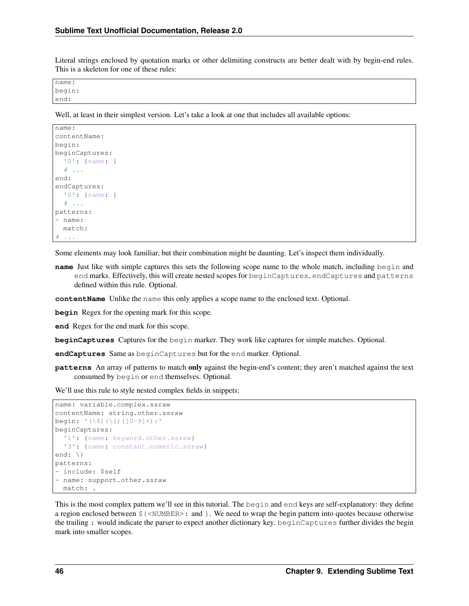Literal strings enclosed by quotation marks or other delimiting constructs are better dealt with by begin-end rules. This is a skeleton for one of these rules:

name: begin: end:

Well, at least in their simplest version. Let's take a look at one that includes all available options:

```
name\cdotcontentName:
begin:
beginCaptures:
  '0': {name: }
  # ...
end:
endCaptures:
  '0': {name: }
  \# ...
patterns:
- name:
  match:
  # ...
```
Some elements may look familiar, but their combination might be daunting. Let's inspect them individually.

**name** Just like with simple captures this sets the following scope name to the whole match, including begin and end marks. Effectively, this will create nested scopes for beginCaptures, endCaptures and patterns defined within this rule. Optional.

**contentName** Unlike the name this only applies a scope name to the enclosed text. Optional.

**begin** Regex for the opening mark for this scope.

**end** Regex for the end mark for this scope.

**beginCaptures** Captures for the begin marker. They work like captures for simple matches. Optional.

**endCaptures** Same as beginCaptures but for the end marker. Optional.

**patterns** An array of patterns to match only against the begin-end's content; they aren't matched against the text consumed by begin or end themselves. Optional.

We'll use this rule to style nested complex fields in snippets:

```
name: variable.complex.ssraw
contentName: string.other.ssraw
begin: '(\$)(\{)([0-9]+):'
beginCaptures:
  '1': {name: keyword.other.ssraw}
  '3': {name: constant.numeric.ssraw}
end: \{\}patterns:
- include: $self
- name: support.other.ssraw
  match: .
```
This is the most complex pattern we'll see in this tutorial. The begin and end keys are self-explanatory: they define a region enclosed between \${<NUMBER>: and }. We need to wrap the begin pattern into quotes because otherwise the trailing : would indicate the parser to expect another dictionary key. beginCaptures further divides the begin mark into smaller scopes.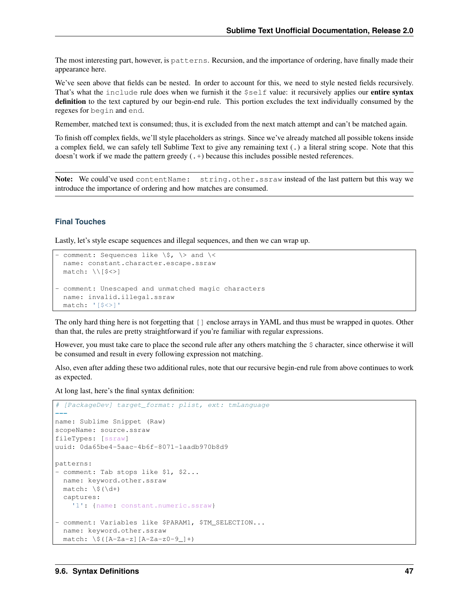The most interesting part, however, is patterns. Recursion, and the importance of ordering, have finally made their appearance here.

We've seen above that fields can be nested. In order to account for this, we need to style nested fields recursively. That's what the include rule does when we furnish it the  $\text{self value:}$  it recursively applies our entire syntax definition to the text captured by our begin-end rule. This portion excludes the text individually consumed by the regexes for begin and end.

Remember, matched text is consumed; thus, it is excluded from the next match attempt and can't be matched again.

To finish off complex fields, we'll style placeholders as strings. Since we've already matched all possible tokens inside a complex field, we can safely tell Sublime Text to give any remaining text (.) a literal string scope. Note that this doesn't work if we made the pattern greedy (.+) because this includes possible nested references.

Note: We could've used contentName: string.other.ssraw instead of the last pattern but this way we introduce the importance of ordering and how matches are consumed.

#### **Final Touches**

Lastly, let's style escape sequences and illegal sequences, and then we can wrap up.

```
- comment: Sequences like \S, \\rangle and \langlename: constant.character.escape.ssraw
  match: \setminus [$ < > ]
- comment: Unescaped and unmatched magic characters
  name: invalid.illegal.ssraw
  match: '[$<>]'
```
The only hard thing here is not forgetting that [] enclose arrays in YAML and thus must be wrapped in quotes. Other than that, the rules are pretty straightforward if you're familiar with regular expressions.

However, you must take care to place the second rule after any others matching the  $\frac{1}{2}$  character, since otherwise it will be consumed and result in every following expression not matching.

Also, even after adding these two additional rules, note that our recursive begin-end rule from above continues to work as expected.

At long last, here's the final syntax definition:

```
# [PackageDev] target_format: plist, ext: tmLanguage
---
name: Sublime Snippet (Raw)
scopeName: source.ssraw
fileTypes: [ssraw]
uuid: 0da65be4-5aac-4b6f-8071-1aadb970b8d9
patterns:
- comment: Tab stops like $1, $2...
 name: keyword.other.ssraw
 match: \sqrt{\xi(\dagger)}captures:
    '1': {name: constant.numeric.ssraw}
- comment: Variables like $PARAM1, $TM_SELECTION...
  name: keyword.other.ssraw
  match: \ \sqrt{9([A-Za-z][A-Za-z0-9]]})
```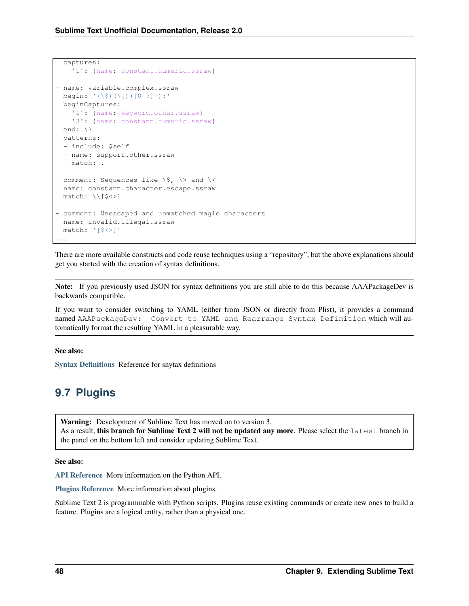```
captures:
    '1': {name: constant.numeric.ssraw}
- name: variable.complex.ssraw
 begin: '(\$)(\{)([0-9]+):'
 beginCaptures:
    '1': {name: keyword.other.ssraw}
    '3': {name: constant.numeric.ssraw}
 end: \{\}patterns:
  - include: $self
 - name: support.other.ssraw
   match: .
- comment: Sequences like \S, \\rangle and \langlename: constant.character.escape.ssraw
 match: \ \backslash \{ $*>$}- comment: Unescaped and unmatched magic characters
 name: invalid.illegal.ssraw
 match: '[$<>]'
...
```
There are more available constructs and code reuse techniques using a "repository", but the above explanations should get you started with the creation of syntax definitions.

Note: If you previously used JSON for syntax definitions you are still able to do this because AAAPackageDev is backwards compatible.

If you want to consider switching to YAML (either from JSON or directly from Plist), it provides a command named AAAPackageDev: Convert to YAML and Rearrange Syntax Definition which will automatically format the resulting YAML in a pleasurable way.

#### See also:

[Syntax Definitions](#page-60-0) Reference for snytax definitions

# **9.7 Plugins**

Warning: Development of Sublime Text has moved on to version 3. As a result, this branch for Sublime Text 2 will not be updated any more. Please select the latest branch in the panel on the bottom left and consider updating Sublime Text.

See also:

[API Reference](#page-78-0) More information on the Python API.

[Plugins Reference](#page-76-0) More information about plugins.

Sublime Text 2 is programmable with Python scripts. Plugins reuse existing commands or create new ones to build a feature. Plugins are a logical entity, rather than a physical one.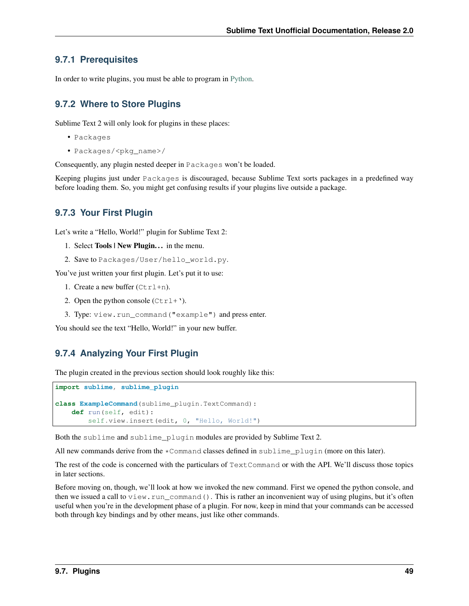### **9.7.1 Prerequisites**

In order to write plugins, you must be able to program in [Python.](http://www.python.org)

## **9.7.2 Where to Store Plugins**

Sublime Text 2 will only look for plugins in these places:

- Packages
- Packages/<pkg\_name>/

Consequently, any plugin nested deeper in Packages won't be loaded.

Keeping plugins just under Packages is discouraged, because Sublime Text sorts packages in a predefined way before loading them. So, you might get confusing results if your plugins live outside a package.

### **9.7.3 Your First Plugin**

Let's write a "Hello, World!" plugin for Sublime Text 2:

- 1. Select **Tools | New Plugin...** in the menu.
- 2. Save to Packages/User/hello\_world.py.

You've just written your first plugin. Let's put it to use:

- 1. Create a new buffer  $(Ctr1+n)$ .
- 2. Open the python console  $(Ctr1+$ <sup>'</sup>).
- 3. Type: view.run\_command("example") and press enter.

You should see the text "Hello, World!" in your new buffer.

## **9.7.4 Analyzing Your First Plugin**

The plugin created in the previous section should look roughly like this:

```
import sublime, sublime_plugin
class ExampleCommand(sublime_plugin.TextCommand):
   def run(self, edit):
       self.view.insert(edit, 0, "Hello, World!")
```
Both the sublime and sublime\_plugin modules are provided by Sublime Text 2.

All new commands derive from the \*Command classes defined in sublime\_plugin (more on this later).

The rest of the code is concerned with the particulars of TextCommand or with the API. We'll discuss those topics in later sections.

Before moving on, though, we'll look at how we invoked the new command. First we opened the python console, and then we issued a call to view.run\_command(). This is rather an inconvenient way of using plugins, but it's often useful when you're in the development phase of a plugin. For now, keep in mind that your commands can be accessed both through key bindings and by other means, just like other commands.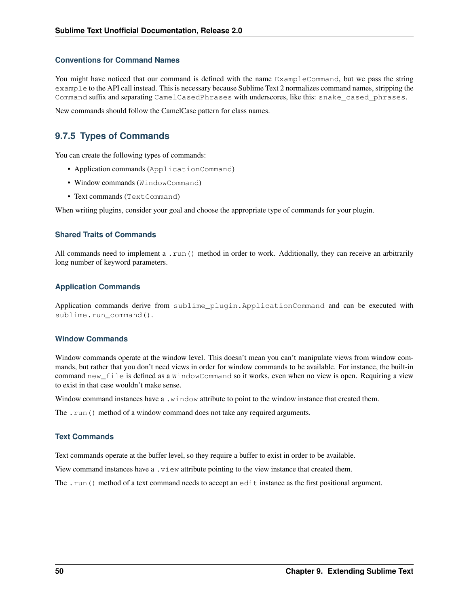### **Conventions for Command Names**

You might have noticed that our command is defined with the name ExampleCommand, but we pass the string example to the API call instead. This is necessary because Sublime Text 2 normalizes command names, stripping the Command suffix and separating CamelCasedPhrases with underscores, like this: snake\_cased\_phrases.

New commands should follow the CamelCase pattern for class names.

### **9.7.5 Types of Commands**

You can create the following types of commands:

- Application commands (ApplicationCommand)
- Window commands (WindowCommand)
- Text commands (Text Command)

When writing plugins, consider your goal and choose the appropriate type of commands for your plugin.

### **Shared Traits of Commands**

All commands need to implement a .run() method in order to work. Additionally, they can receive an arbitrarily long number of keyword parameters.

#### **Application Commands**

Application commands derive from sublime\_plugin.ApplicationCommand and can be executed with sublime.run\_command().

#### **Window Commands**

Window commands operate at the window level. This doesn't mean you can't manipulate views from window commands, but rather that you don't need views in order for window commands to be available. For instance, the built-in command new\_file is defined as a WindowCommand so it works, even when no view is open. Requiring a view to exist in that case wouldn't make sense.

Window command instances have a .window attribute to point to the window instance that created them.

The .run() method of a window command does not take any required arguments.

#### **Text Commands**

Text commands operate at the buffer level, so they require a buffer to exist in order to be available.

View command instances have a .view attribute pointing to the view instance that created them.

The .run() method of a text command needs to accept an edit instance as the first positional argument.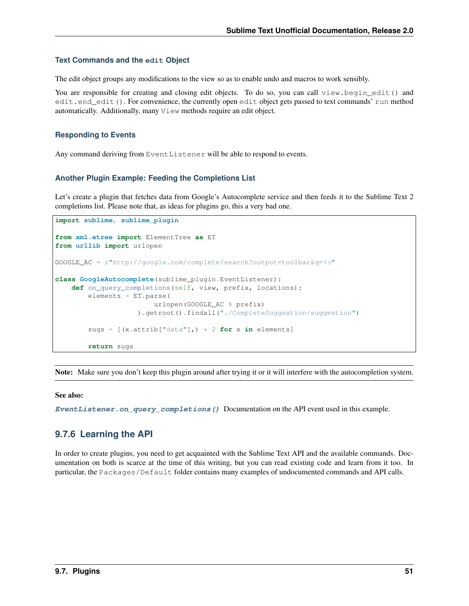#### **Text Commands and the edit Object**

The edit object groups any modifications to the view so as to enable undo and macros to work sensibly.

You are responsible for creating and closing edit objects. To do so, you can call view.begin\_edit() and edit.end\_edit(). For convenience, the currently open edit object gets passed to text commands' run method automatically. Additionally, many View methods require an edit object.

### **Responding to Events**

Any command deriving from EventListener will be able to respond to events.

#### **Another Plugin Example: Feeding the Completions List**

Let's create a plugin that fetches data from Google's Autocomplete service and then feeds it to the Sublime Text 2 completions list. Please note that, as ideas for plugins go, this a very bad one.

```
import sublime, sublime_plugin
from xml.etree import ElementTree as ET
from urllib import urlopen
GOOGLE_AC = r"http://qooqle.com/complete/search?output=toolbar\&q=\&s"class GoogleAutocomplete(sublime_plugin.EventListener):
    def on_query_completions(self, view, prefix, locations):
        elements = ET.parse(
                        urlopen(GOOGLE_AC % prefix)
                    ).getroot().findall("./CompleteSuggestion/suggestion")
        sugs = [(x.attrib["data"], ) * 2 for x in elements]
        return sugs
```
Note: Make sure you don't keep this plugin around after trying it or it will interfere with the autocompletion system.

#### See also:

**[EventListener.on\\_query\\_completions\(\)](#page-80-0)** Documentation on the API event used in this example.

### **9.7.6 Learning the API**

In order to create plugins, you need to get acquainted with the Sublime Text API and the available commands. Documentation on both is scarce at the time of this writing, but you can read existing code and learn from it too. In particular, the Packages/Default folder contains many examples of undocumented commands and API calls.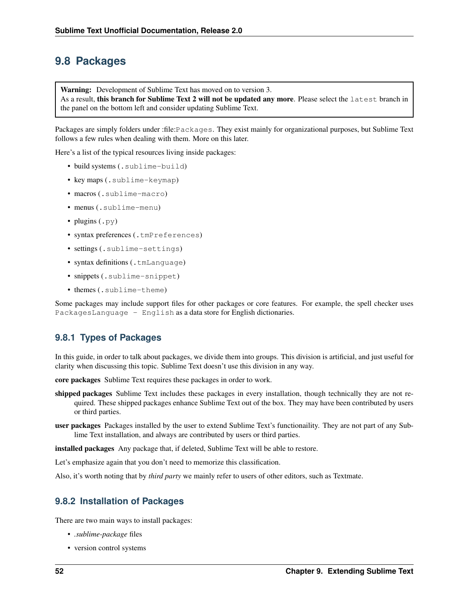## **9.8 Packages**

Warning: Development of Sublime Text has moved on to version 3. As a result, this branch for Sublime Text 2 will not be updated any more. Please select the latest branch in the panel on the bottom left and consider updating Sublime Text.

Packages are simply folders under :file:Packages. They exist mainly for organizational purposes, but Sublime Text follows a few rules when dealing with them. More on this later.

Here's a list of the typical resources living inside packages:

- build systems (.sublime-build)
- key maps (.sublime-keymap)
- macros (.sublime-macro)
- menus (.sublime-menu)
- plugins  $(.py)$
- syntax preferences (.tmPreferences)
- settings (.sublime-settings)
- syntax definitions (.tmLanguage)
- snippets (.sublime-snippet)
- themes (.sublime-theme)

Some packages may include support files for other packages or core features. For example, the spell checker uses PackagesLanguage - English as a data store for English dictionaries.

### **9.8.1 Types of Packages**

In this guide, in order to talk about packages, we divide them into groups. This division is artificial, and just useful for clarity when discussing this topic. Sublime Text doesn't use this division in any way.

core packages Sublime Text requires these packages in order to work.

- shipped packages Sublime Text includes these packages in every installation, though technically they are not required. These shipped packages enhance Sublime Text out of the box. They may have been contributed by users or third parties.
- user packages Packages installed by the user to extend Sublime Text's functionaility. They are not part of any Sublime Text installation, and always are contributed by users or third parties.

installed packages Any package that, if deleted, Sublime Text will be able to restore.

Let's emphasize again that you don't need to memorize this classification.

Also, it's worth noting that by *third party* we mainly refer to users of other editors, such as Textmate.

### **9.8.2 Installation of Packages**

There are two main ways to install packages:

- *.sublime-package* files
- version control systems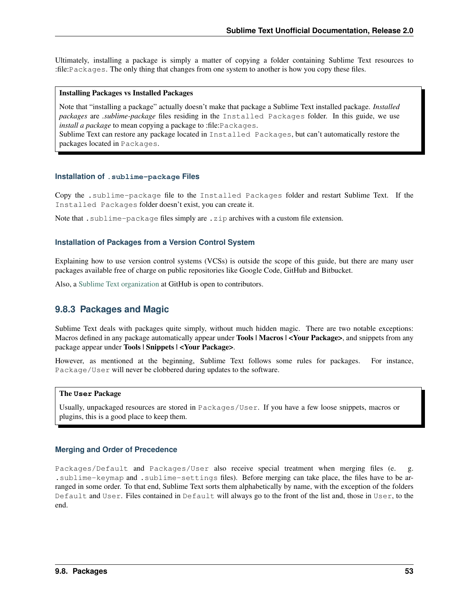Ultimately, installing a package is simply a matter of copying a folder containing Sublime Text resources to :file:Packages. The only thing that changes from one system to another is how you copy these files.

#### Installing Packages vs Installed Packages

Note that "installing a package" actually doesn't make that package a Sublime Text installed package. *Installed packages* are *.sublime-package* files residing in the Installed Packages folder. In this guide, we use *install a package* to mean copying a package to :file:Packages.

Sublime Text can restore any package located in Installed Packages, but can't automatically restore the packages located in Packages.

#### **Installation of .sublime-package Files**

Copy the .sublime-package file to the Installed Packages folder and restart Sublime Text. If the Installed Packages folder doesn't exist, you can create it.

Note that . sublime-package files simply are . zip archives with a custom file extension.

#### **Installation of Packages from a Version Control System**

Explaining how to use version control systems (VCSs) is outside the scope of this guide, but there are many user packages available free of charge on public repositories like Google Code, GitHub and Bitbucket.

Also, a [Sublime Text organization](http://github.com/SublimeText) at GitHub is open to contributors.

### **9.8.3 Packages and Magic**

Sublime Text deals with packages quite simply, without much hidden magic. There are two notable exceptions: Macros defined in any package automatically appear under **Tools | Macros | <Your Package>**, and snippets from any package appear under Tools | Snippets | <Your Package>.

However, as mentioned at the beginning, Sublime Text follows some rules for packages. For instance, Package/User will never be clobbered during updates to the software.

#### The **User** Package

Usually, unpackaged resources are stored in Packages/User. If you have a few loose snippets, macros or plugins, this is a good place to keep them.

#### **Merging and Order of Precedence**

Packages/Default and Packages/User also receive special treatment when merging files (e. g. .sublime-keymap and .sublime-settings files). Before merging can take place, the files have to be arranged in some order. To that end, Sublime Text sorts them alphabetically by name, with the exception of the folders Default and User. Files contained in Default will always go to the front of the list and, those in User, to the end.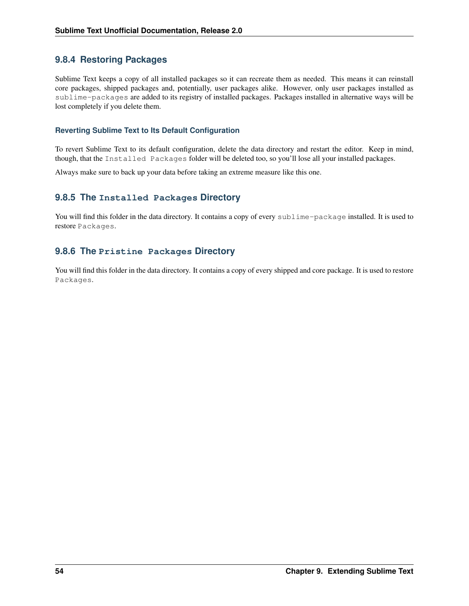## **9.8.4 Restoring Packages**

Sublime Text keeps a copy of all installed packages so it can recreate them as needed. This means it can reinstall core packages, shipped packages and, potentially, user packages alike. However, only user packages installed as sublime-packages are added to its registry of installed packages. Packages installed in alternative ways will be lost completely if you delete them.

### **Reverting Sublime Text to Its Default Configuration**

To revert Sublime Text to its default configuration, delete the data directory and restart the editor. Keep in mind, though, that the Installed Packages folder will be deleted too, so you'll lose all your installed packages.

Always make sure to back up your data before taking an extreme measure like this one.

### **9.8.5 The Installed Packages Directory**

You will find this folder in the data directory. It contains a copy of every sublime-package installed. It is used to restore Packages.

### **9.8.6 The Pristine Packages Directory**

You will find this folder in the data directory. It contains a copy of every shipped and core package. It is used to restore Packages.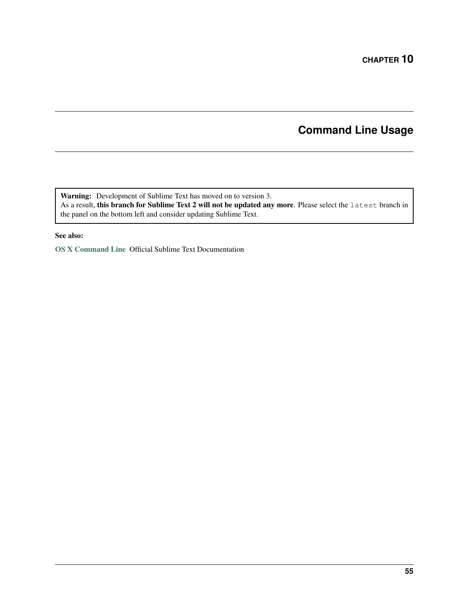# **Command Line Usage**

Warning: Development of Sublime Text has moved on to version 3. As a result, this branch for Sublime Text 2 will not be updated any more. Please select the latest branch in the panel on the bottom left and consider updating Sublime Text.

### See also:

[OS X Command Line](http://www.sublimetext.com/docs/2/osx_command_line.html) Official Sublime Text Documentation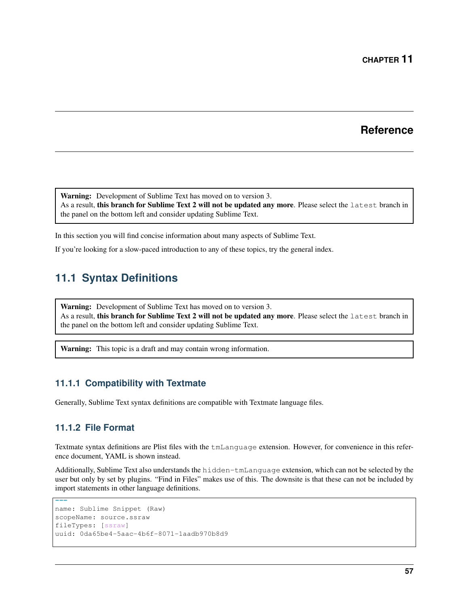## **Reference**

Warning: Development of Sublime Text has moved on to version 3. As a result, this branch for Sublime Text 2 will not be updated any more. Please select the latest branch in the panel on the bottom left and consider updating Sublime Text.

In this section you will find concise information about many aspects of Sublime Text.

If you're looking for a slow-paced introduction to any of these topics, try the general index.

# <span id="page-60-0"></span>**11.1 Syntax Definitions**

Warning: Development of Sublime Text has moved on to version 3. As a result, this branch for Sublime Text 2 will not be updated any more. Please select the latest branch in the panel on the bottom left and consider updating Sublime Text.

Warning: This topic is a draft and may contain wrong information.

### **11.1.1 Compatibility with Textmate**

Generally, Sublime Text syntax definitions are compatible with Textmate language files.

### **11.1.2 File Format**

Textmate syntax definitions are Plist files with the tmLanguage extension. However, for convenience in this reference document, YAML is shown instead.

Additionally, Sublime Text also understands the hidden-tmLanguage extension, which can not be selected by the user but only by set by plugins. "Find in Files" makes use of this. The downsite is that these can not be included by import statements in other language definitions.

```
---
name: Sublime Snippet (Raw)
scopeName: source.ssraw
fileTypes: [ssraw]
uuid: 0da65be4-5aac-4b6f-8071-1aadb970b8d9
```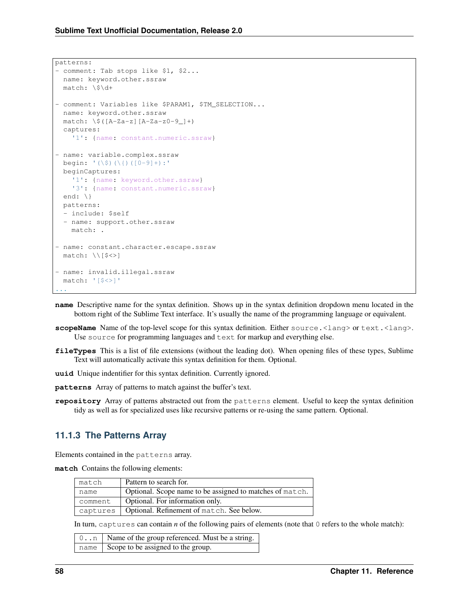```
patterns:
- comment: Tab stops like $1, $2...
 name: keyword.other.ssraw
 match: \$\d+
- comment: Variables like $PARAM1, $TM_SELECTION...
  name: keyword.other.ssraw
  match: \ \sqrt{G([A-Za-z][A-Za-z0-9]-]}+)captures:
    '1': {name: constant.numeric.ssraw}
- name: variable.complex.ssraw
 begin: '(\S) (\{)(0-9]+):'beginCaptures:
   '1': {name: keyword.other.ssraw}
   '3': {name: constant.numeric.ssraw}
  end: \{\}patterns:
  - include: $self
  - name: support.other.ssraw
   match: .
- name: constant.character.escape.ssraw
 match: \\[$<>]
- name: invalid.illegal.ssraw
 match: '[$<>]'
...
```
- **name** Descriptive name for the syntax definition. Shows up in the syntax definition dropdown menu located in the bottom right of the Sublime Text interface. It's usually the name of the programming language or equivalent.
- **scopeName** Name of the top-level scope for this syntax definition. Either source. <lang> or text. <lang>. Use source for programming languages and text for markup and everything else.
- **fileTypes** This is a list of file extensions (without the leading dot). When opening files of these types, Sublime Text will automatically activate this syntax definition for them. Optional.
- **uuid** Unique indentifier for this syntax definition. Currently ignored.
- **patterns** Array of patterns to match against the buffer's text.
- **repository** Array of patterns abstracted out from the patterns element. Useful to keep the syntax definition tidy as well as for specialized uses like recursive patterns or re-using the same pattern. Optional.

### **11.1.3 The Patterns Array**

Elements contained in the patterns array.

**match** Contains the following elements:

| match    | Pattern to search for.                                   |
|----------|----------------------------------------------------------|
| name     | Optional. Scope name to be assigned to matches of match. |
| comment  | Optional. For information only.                          |
| captures | Optional. Refinement of match. See below.                |

In turn, captures can contain *n* of the following pairs of elements (note that 0 refers to the whole match):

| 0   Name of the group referenced. Must be a string. |
|-----------------------------------------------------|
| name Scope to be assigned to the group.             |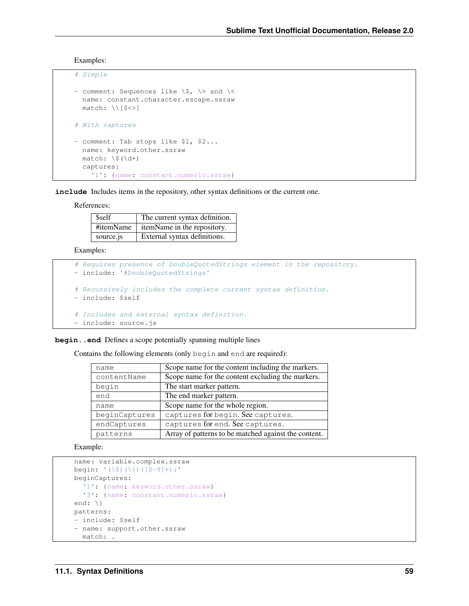Examples:

```
# Simple
- comment: Sequences like \S, \S and \Sname: constant.character.escape.ssraw
 match: \\[$<>]
# With captures
- comment: Tab stops like $1, $2...
 name: keyword.other.ssraw
 match: \$(\d+)
 captures:
    '1': {name: constant.numeric.ssraw}
```
**include** Includes items in the repository, other syntax definitions or the current one.

References:

| \$self    | The current syntax definition. |
|-----------|--------------------------------|
| #itemName | itemName in the repository.    |
| source.js | External syntax definitions.   |

Examples:

```
# Requires presence of DoubleQuotedStrings element in the repository.
- include: '#DoubleQuotedStrings'
# Recursively includes the complete current syntax definition.
- include: $self
# Includes and external syntax definition.
- include: source.js
```
begin..end Defines a scope potentially spanning multiple lines

Contains the following elements (only begin and end are required):

| name          | Scope name for the content including the markers.    |
|---------------|------------------------------------------------------|
| contentName   | Scope name for the content excluding the markers.    |
| begin         | The start marker pattern.                            |
| end           | The end marker pattern.                              |
| name          | Scope name for the whole region.                     |
| beginCaptures | captures for begin. See captures.                    |
| endCaptures   | captures for end. See captures.                      |
| patterns      | Array of patterns to be matched against the content. |

Example:

```
name: variable.complex.ssraw
begin: '(\$)(\{)([0-9]+):'
beginCaptures:
  '1': {name: keyword.other.ssraw}
  '3': {name: constant.numeric.ssraw}
end: \{\}patterns:
- include: $self
- name: support.other.ssraw
  match: .
```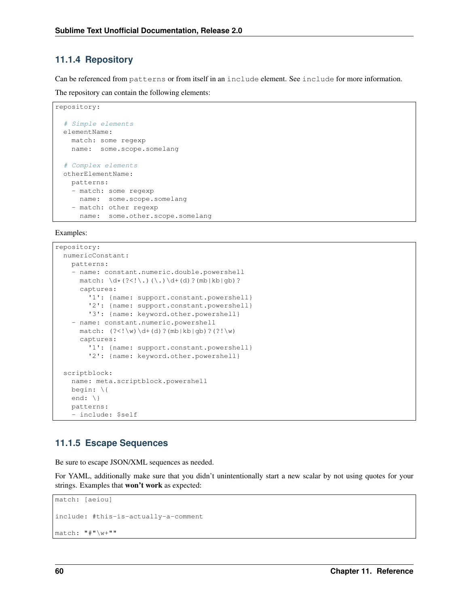### **11.1.4 Repository**

Can be referenced from patterns or from itself in an include element. See include for more information.

The repository can contain the following elements:

```
repository:
  # Simple elements
 elementName:
   match: some regexp
   name: some.scope.somelang
  # Complex elements
 otherElementName:
   patterns:
   - match: some regexp
     name: some.scope.somelang
   - match: other regexp
     name: some.other.scope.somelang
```
Examples:

```
repository:
 numericConstant:
   patterns:
    - name: constant.numeric.double.powershell
     match: \det(?<!\.)(\.)\d+(d)?(mb|kb|gb)?
      captures:
        '1': {name: support.constant.powershell}
        '2': {name: support.constant.powershell}
        '3': {name: keyword.other.powershell}
    - name: constant.numeric.powershell
      match: (?<! \wedge w) \d+ (d) ? (mb|kb|qb) ?(?! \wedge w)captures:
        '1': {name: support.constant.powershell}
        '2': {name: keyword.other.powershell}
 scriptblock:
   name: meta.scriptblock.powershell
   begin: \{
   end: \{\}patterns:
    - include: $self
```
### **11.1.5 Escape Sequences**

Be sure to escape JSON/XML sequences as needed.

For YAML, additionally make sure that you didn't unintentionally start a new scalar by not using quotes for your strings. Examples that won't work as expected:

```
match: [aeiou]
include: #this-is-actually-a-comment
match: "#"\w+""
```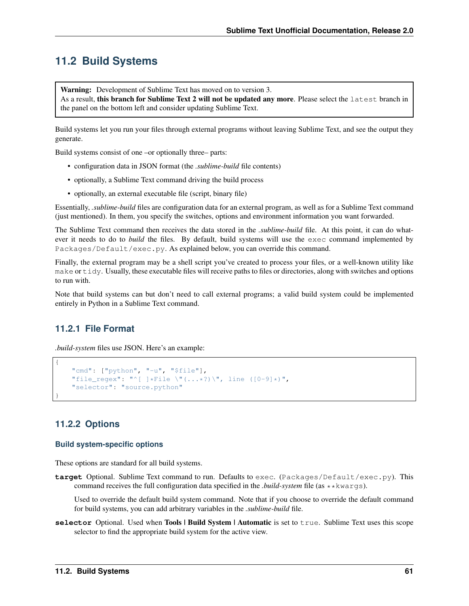## **11.2 Build Systems**

Warning: Development of Sublime Text has moved on to version 3.

As a result, this branch for Sublime Text 2 will not be updated any more. Please select the latest branch in the panel on the bottom left and consider updating Sublime Text.

Build systems let you run your files through external programs without leaving Sublime Text, and see the output they generate.

Build systems consist of one –or optionally three– parts:

- configuration data in JSON format (the *.sublime-build* file contents)
- optionally, a Sublime Text command driving the build process
- optionally, an external executable file (script, binary file)

Essentially, *.sublime-build* files are configuration data for an external program, as well as for a Sublime Text command (just mentioned). In them, you specify the switches, options and environment information you want forwarded.

The Sublime Text command then receives the data stored in the *.sublime-build* file. At this point, it can do whatever it needs to do to *build* the files. By default, build systems will use the exec command implemented by Packages/Default/exec.py. As explained below, you can override this command.

Finally, the external program may be a shell script you've created to process your files, or a well-known utility like make or tidy. Usually, these executable files will receive paths to files or directories, along with switches and options to run with.

Note that build systems can but don't need to call external programs; a valid build system could be implemented entirely in Python in a Sublime Text command.

### **11.2.1 File Format**

*.build-system* files use JSON. Here's an example:

```
"cmd": ["python", "-u", "$file"],
"file_regex": "^[ ]*File \"(...*?)\", line ([0-9]*)",
"selector": "source.python"
```
### **11.2.2 Options**

{

}

#### **Build system-specific options**

These options are standard for all build systems.

**target** Optional. Sublime Text command to run. Defaults to exec. (Packages/Default/exec.py). This command receives the full configuration data specified in the *.build-system* file (as \*\*kwargs).

Used to override the default build system command. Note that if you choose to override the default command for build systems, you can add arbitrary variables in the *.sublime-build* file.

**selector** Optional. Used when **Tools | Build System | Automatic** is set to true. Sublime Text uses this scope selector to find the appropriate build system for the active view.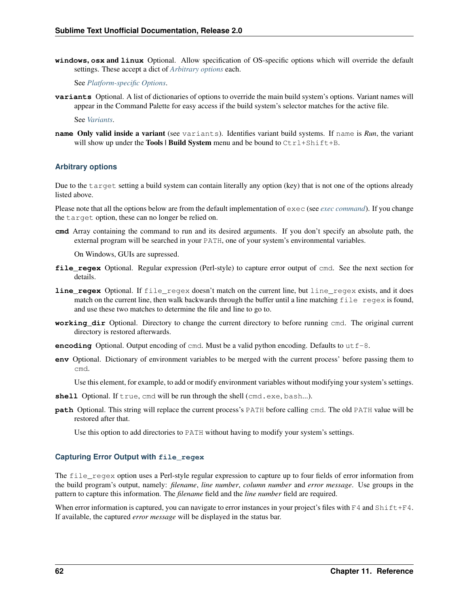**windows**, **osx** and **linux** Optional. Allow specification of OS-specific options which will override the default settings. These accept a dict of *[Arbitrary options](#page-65-0)* each.

See *[Platform-specific Options](#page-66-0)*.

**variants** Optional. A list of dictionaries of options to override the main build system's options. Variant names will appear in the Command Palette for easy access if the build system's selector matches for the active file.

See *[Variants](#page-66-1)*.

**name** Only valid inside a variant (see variants). Identifies variant build systems. If name is *Run*, the variant will show up under the Tools | Build System menu and be bound to  $Ctrl+Shift+B$ .

#### <span id="page-65-0"></span>**Arbitrary options**

Due to the target setting a build system can contain literally any option (key) that is not one of the options already listed above.

Please note that all the options below are from the default implementation of exec (see *[exec command](#page-86-0)*). If you change the target option, these can no longer be relied on.

**cmd** Array containing the command to run and its desired arguments. If you don't specify an absolute path, the external program will be searched in your PATH, one of your system's environmental variables.

On Windows, GUIs are supressed.

- **file\_regex** Optional. Regular expression (Perl-style) to capture error output of cmd. See the next section for details.
- **line\_regex** Optional. If file\_regex doesn't match on the current line, but line\_regex exists, and it does match on the current line, then walk backwards through the buffer until a line matching  $file$  regex is found, and use these two matches to determine the file and line to go to.
- **working\_dir** Optional. Directory to change the current directory to before running cmd. The original current directory is restored afterwards.
- **encoding** Optional. Output encoding of cmd. Must be a valid python encoding. Defaults to  $ut \tau$  –8.
- **env** Optional. Dictionary of environment variables to be merged with the current process' before passing them to cmd.

Use this element, for example, to add or modify environment variables without modifying your system's settings.

- shell Optional. If true, cmd will be run through the shell (cmd.exe, bash...).
- **path** Optional. This string will replace the current process's PATH before calling cmd. The old PATH value will be restored after that.

Use this option to add directories to PATH without having to modify your system's settings.

#### **Capturing Error Output with file\_regex**

The file\_regex option uses a Perl-style regular expression to capture up to four fields of error information from the build program's output, namely: *filename*, *line number*, *column number* and *error message*. Use groups in the pattern to capture this information. The *filename* field and the *line number* field are required.

When error information is captured, you can navigate to error instances in your project's files with  $F4$  and  $Shift+FA$ . If available, the captured *error message* will be displayed in the status bar.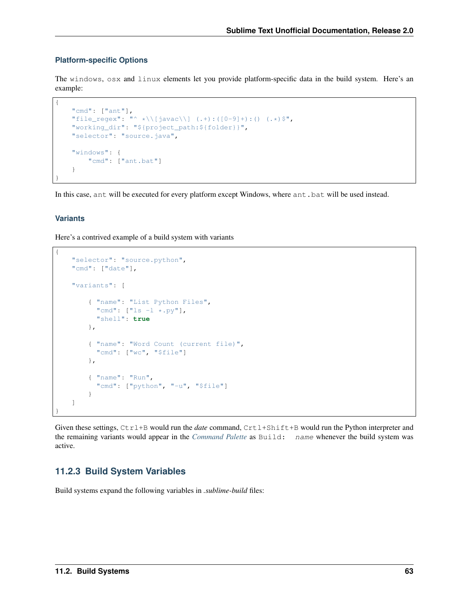#### <span id="page-66-0"></span>**Platform-specific Options**

The windows, osx and linux elements let you provide platform-specific data in the build system. Here's an example:

```
{
   "cmd": ["ant"],
   "file_regex": "^ *\\[javac\\] (.+):([0-9]+):() (.*) $",
   "working_dir": "${project_path:${folder}}",
   "selector": "source.java",
    "windows": {
       "cmd": ["ant.bat"]
   }
}
```
In this case, ant will be executed for every platform except Windows, where ant.bat will be used instead.

### <span id="page-66-1"></span>**Variants**

{

Here's a contrived example of a build system with variants

```
"selector": "source.python",
   "cmd": ["date"],
   "variants": [
        { "name": "List Python Files",
          "cmd": ["ls -l * .py"],
          "shell": true
        },
        { "name": "Word Count (current file)",
          "cmd": ["wc", "$file"]
        },
        { "name": "Run",
          "cmd": ["python", "-u", "$file"]
        }
   ]
}
```
Given these settings, Ctrl+B would run the *date* command, Crtl+Shift+B would run the Python interpreter and the remaining variants would appear in the *[Command Palette](#page-42-0)* as Build: name whenever the build system was active.

### **11.2.3 Build System Variables**

Build systems expand the following variables in *.sublime-build* files: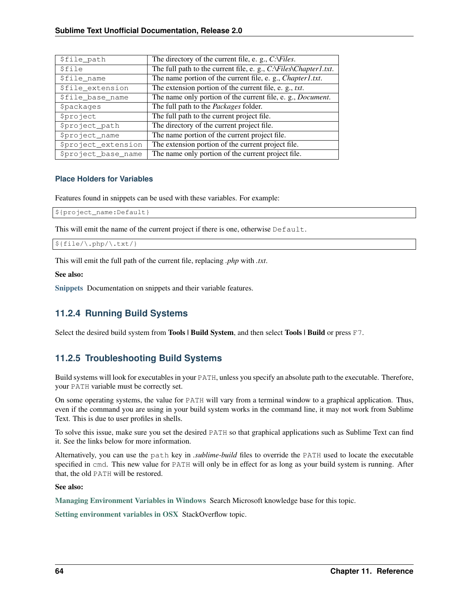| \$file_path          | The directory of the current file, e. g., C:\Files.                 |
|----------------------|---------------------------------------------------------------------|
| <i><b>\$file</b></i> | The full path to the current file, e. g., C:\Files\Chapter1.txt.    |
| \$file name          | The name portion of the current file, e. g., <i>Chapter1.txt</i> .  |
| \$file_extension     | The extension portion of the current file, e. g., txt.              |
| \$file_base_name     | The name only portion of the current file, e. g., <i>Document</i> . |
| <b>Spackages</b>     | The full path to the <i>Packages</i> folder.                        |
| <i>Sproject</i>      | The full path to the current project file.                          |
| \$project_path       | The directory of the current project file.                          |
| \$project_name       | The name portion of the current project file.                       |
| \$project_extension  | The extension portion of the current project file.                  |
| \$project_base_name  | The name only portion of the current project file.                  |

### **Place Holders for Variables**

Features found in snippets can be used with these variables. For example:

```
${project_name:Default}
```
This will emit the name of the current project if there is one, otherwise Default.

```
${file/\.php/\.txt/}
```
This will emit the full path of the current file, replacing *.php* with *.txt*.

#### See also:

[Snippets](#page-36-0) Documentation on snippets and their variable features.

### **11.2.4 Running Build Systems**

Select the desired build system from Tools | Build System, and then select Tools | Build or press F7.

## **11.2.5 Troubleshooting Build Systems**

Build systems will look for executables in your PATH, unless you specify an absolute path to the executable. Therefore, your PATH variable must be correctly set.

On some operating systems, the value for PATH will vary from a terminal window to a graphical application. Thus, even if the command you are using in your build system works in the command line, it may not work from Sublime Text. This is due to user profiles in shells.

To solve this issue, make sure you set the desired PATH so that graphical applications such as Sublime Text can find it. See the links below for more information.

Alternatively, you can use the path key in *.sublime-build* files to override the PATH used to locate the executable specified in cmd. This new value for PATH will only be in effect for as long as your build system is running. After that, the old PATH will be restored.

### See also:

[Managing Environment Variables in Windows](http://goo.gl/F77EM) Search Microsoft knowledge base for this topic.

[Setting environment variables in OSX](http://stackoverflow.com/q/135688/1670) StackOverflow topic.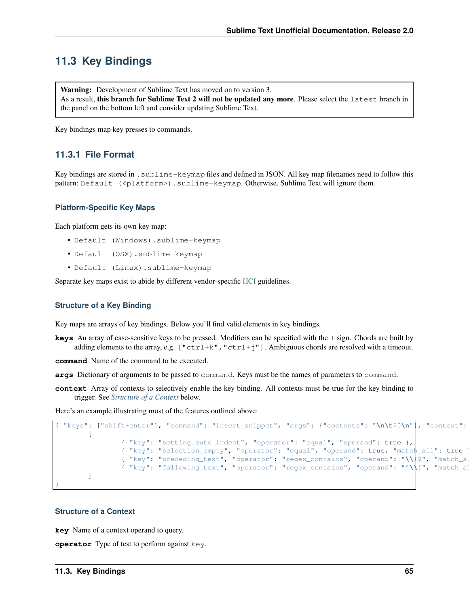# **11.3 Key Bindings**

Warning: Development of Sublime Text has moved on to version 3. As a result, this branch for Sublime Text 2 will not be updated any more. Please select the latest branch in the panel on the bottom left and consider updating Sublime Text.

Key bindings map key presses to commands.

### **11.3.1 File Format**

Key bindings are stored in .sublime-keymap files and defined in JSON. All key map filenames need to follow this pattern: Default (<platform>).sublime-keymap. Otherwise, Sublime Text will ignore them.

#### **Platform-Specific Key Maps**

Each platform gets its own key map:

- Default (Windows).sublime-keymap
- Default (OSX).sublime-keymap
- Default (Linux).sublime-keymap

Separate key maps exist to abide by different vendor-specific [HCI](http://en.wikipedia.org/wiki/Human%E2%80%93computer_interaction) guidelines.

#### **Structure of a Key Binding**

Key maps are arrays of key bindings. Below you'll find valid elements in key bindings.

**keys** An array of case-sensitive keys to be pressed. Modifiers can be specified with the + sign. Chords are built by adding elements to the array, e.g.  $["ctrl+k", "ctrl+j"]$ . Ambiguous chords are resolved with a timeout.

**command** Name of the command to be executed.

- **args** Dictionary of arguments to be passed to command. Keys must be the names of parameters to command.
- **context** Array of contexts to selectively enable the key binding. All contexts must be true for the key binding to trigger. See *[Structure of a Context](#page-68-0)* below.

Here's an example illustrating most of the features outlined above:

```
{ "keys": ["shift+enter"], "command": "insert_snippet", "args": {"contents": "\n\t$0\n"}, "context":
        \lceil{ "key": "setting.auto_indent", "operator": "equal", "operand": true },
                { "key": "selection_empty", "operator": "equal", "operand": true, "match_all": true },
                { "key": "preceding_text", "operator": "regex_contains", "operand": "\\{$", "match_all
                { "key": "following_text", "operator": "regex_contains", "operand": "^\\}", "match_al
        ]
}
```
### <span id="page-68-0"></span>**Structure of a Context**

**key** Name of a context operand to query.

**operator** Type of test to perform against key.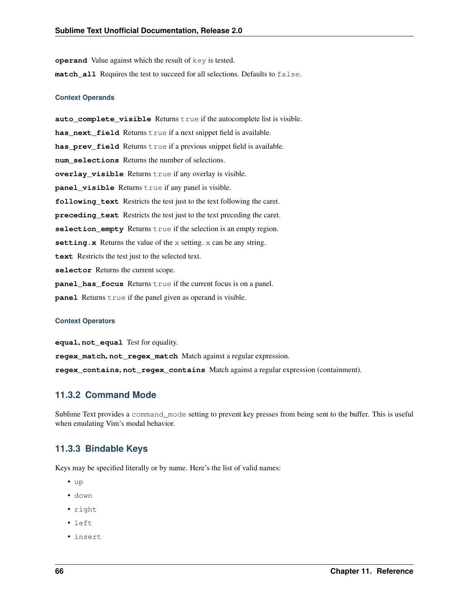**operand** Value against which the result of key is tested. **match\_all** Requires the test to succeed for all selections. Defaults to false.

#### **Context Operands**

**auto\_complete\_visible** Returns true if the autocomplete list is visible. has\_next\_field Returns true if a next snippet field is available. **has\_prev\_field** Returns true if a previous snippet field is available. **num\_selections** Returns the number of selections. **overlay\_visible** Returns true if any overlay is visible. **panel\_visible** Returns true if any panel is visible. **following\_text** Restricts the test just to the text following the caret. **preceding\_text** Restricts the test just to the text preceding the caret. **selection\_empty** Returns true if the selection is an empty region. **setting.x** Returns the value of the x setting. x can be any string. **text** Restricts the test just to the selected text. **selector** Returns the current scope. **panel\_has\_focus** Returns true if the current focus is on a panel. **panel** Returns true if the panel given as operand is visible.

#### **Context Operators**

**equal**, **not\_equal** Test for equality.

**regex\_match**, **not\_regex\_match** Match against a regular expression.

**regex\_contains**, **not\_regex\_contains** Match against a regular expression (containment).

### **11.3.2 Command Mode**

Sublime Text provides a command\_mode setting to prevent key presses from being sent to the buffer. This is useful when emulating Vim's modal behavior.

### **11.3.3 Bindable Keys**

Keys may be specified literally or by name. Here's the list of valid names:

- up
- down
- right
- left
- insert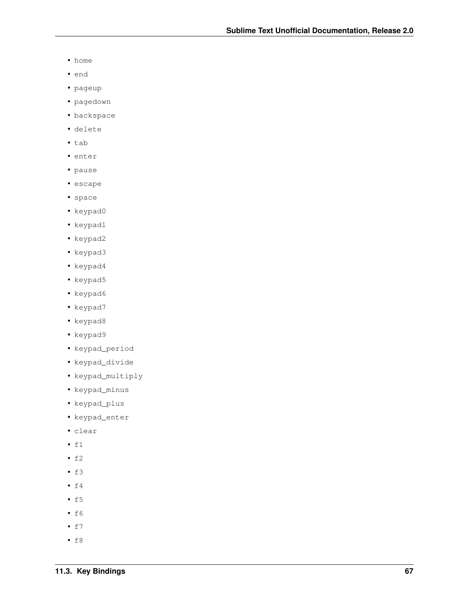- home
- end
- pageup
- pagedown
- backspace
- delete
- tab
- enter
- pause
- escape
- space
- keypad0
- keypad1
- keypad2
- keypad3
- keypad4
- keypad5
- keypad6
- 
- keypad7
- keypad8
- keypad9
- keypad\_period
- 
- keypad\_divide
- keypad\_multiply
- keypad\_minus
- keypad\_plus
- keypad\_enter
- clear
- $f1$
- $f2$
- $f3$
- $f4$
- $f5$
- $f6$
- $f7$
- $f8$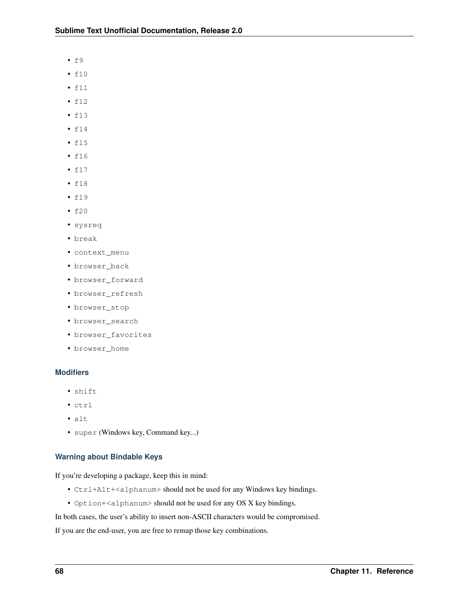- $f9$
- f10
- f11
- f12
- f13
- f14
- f15
- f16
- f17
- f18
- f19
- f20
- sysreq
- break
- context\_menu
- browser\_back
- browser\_forward
- browser\_refresh
- browser\_stop
- browser\_search
- browser\_favorites
- browser\_home

### **Modifiers**

- shift
- ctrl
- alt
- super (Windows key, Command key...)

### **Warning about Bindable Keys**

If you're developing a package, keep this in mind:

- Ctrl+Alt+<alphanum> should not be used for any Windows key bindings.
- Option+<alphanum> should not be used for any OS X key bindings.

In both cases, the user's ability to insert non-ASCII characters would be compromised.

If you are the end-user, you are free to remap those key combinations.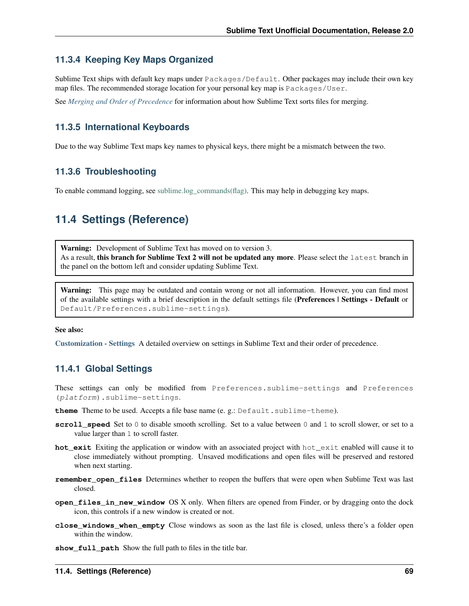## **11.3.4 Keeping Key Maps Organized**

Sublime Text ships with default key maps under Packages/Default. Other packages may include their own key map files. The recommended storage location for your personal key map is Packages/User.

See *[Merging and Order of Precedence](#page-56-0)* for information about how Sublime Text sorts files for merging.

## **11.3.5 International Keyboards**

Due to the way Sublime Text maps key names to physical keys, there might be a mismatch between the two.

## **11.3.6 Troubleshooting**

To enable command logging, see [sublime.log\\_commands\(flag\).](http://www.sublimetext.com/docs/2/api_reference.html) This may help in debugging key maps.

# **11.4 Settings (Reference)**

Warning: Development of Sublime Text has moved on to version 3. As a result, this branch for Sublime Text 2 will not be updated any more. Please select the latest branch in the panel on the bottom left and consider updating Sublime Text.

Warning: This page may be outdated and contain wrong or not all information. However, you can find most of the available settings with a brief description in the default settings file (Preferences | Settings - Default or Default/Preferences.sublime-settings).

#### See also:

[Customization - Settings](#page-28-0) A detailed overview on settings in Sublime Text and their order of precedence.

### **11.4.1 Global Settings**

These settings can only be modified from Preferences.sublime-settings and Preferences (platform).sublime-settings.

- theme Theme to be used. Accepts a file base name (e. g.: Default.sublime-theme).
- **scroll\_speed** Set to 0 to disable smooth scrolling. Set to a value between 0 and 1 to scroll slower, or set to a value larger than 1 to scroll faster.
- **hot** exit Exiting the application or window with an associated project with hot exit enabled will cause it to close immediately without prompting. Unsaved modifications and open files will be preserved and restored when next starting.
- **remember\_open\_files** Determines whether to reopen the buffers that were open when Sublime Text was last closed.
- **open\_files\_in\_new\_window** OS X only. When filters are opened from Finder, or by dragging onto the dock icon, this controls if a new window is created or not.
- **close** windows when empty Close windows as soon as the last file is closed, unless there's a folder open within the window.
- show full path Show the full path to files in the title bar.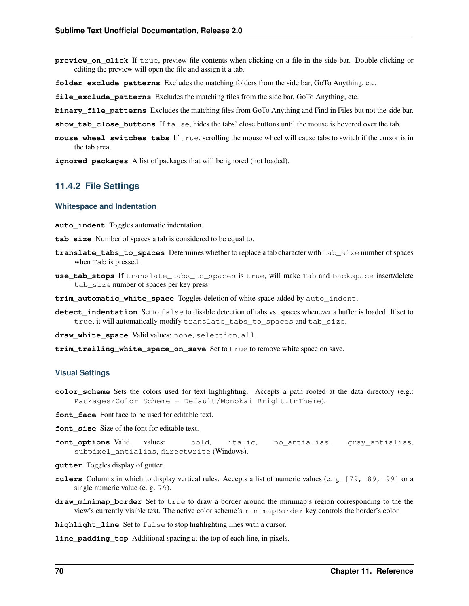- **preview on click** If true, preview file contents when clicking on a file in the side bar. Double clicking or editing the preview will open the file and assign it a tab.
- **folder\_exclude\_patterns** Excludes the matching folders from the side bar, GoTo Anything, etc.
- **file\_exclude\_patterns** Excludes the matching files from the side bar, GoTo Anything, etc.
- **binary file patterns** Excludes the matching files from GoTo Anything and Find in Files but not the side bar.

**show\_tab\_close\_buttons** If false, hides the tabs' close buttons until the mouse is hovered over the tab.

**mouse\_wheel\_switches\_tabs** If true, scrolling the mouse wheel will cause tabs to switch if the cursor is in the tab area.

**ignored\_packages** A list of packages that will be ignored (not loaded).

### **11.4.2 File Settings**

#### **Whitespace and Indentation**

**auto\_indent** Toggles automatic indentation.

**tab\_size** Number of spaces a tab is considered to be equal to.

- **translate\_tabs\_to\_spaces** Determines whether to replace a tab character with tab\_size number of spaces when Tab is pressed.
- **use\_tab\_stops** If translate\_tabs\_to\_spaces is true, will make Tab and Backspace insert/delete tab size number of spaces per key press.
- **trim\_automatic\_white\_space** Toggles deletion of white space added by auto\_indent.
- **detect** indentation Set to false to disable detection of tabs vs. spaces whenever a buffer is loaded. If set to true, it will automatically modify translate\_tabs\_to\_spaces and tab\_size.

**draw\_white\_space** Valid values: none, selection, all.

**trim\_trailing\_white\_space\_on\_save** Set to true to remove white space on save.

#### **Visual Settings**

**color\_scheme** Sets the colors used for text highlighting. Accepts a path rooted at the data directory (e.g.: Packages/Color Scheme - Default/Monokai Bright.tmTheme).

**font** face Font face to be used for editable text.

- font size Size of the font for editable text.
- **font\_options** Valid values: bold, italic, no\_antialias, gray\_antialias, subpixel\_antialias, directwrite (Windows).
- **gutter** Toggles display of gutter.
- **rulers** Columns in which to display vertical rules. Accepts a list of numeric values (e. g. [79, 89, 99] or a single numeric value (e. g. 79).
- **draw\_minimap\_border** Set to true to draw a border around the minimap's region corresponding to the the view's currently visible text. The active color scheme's minimapBorder key controls the border's color.

**highlight\_line** Set to false to stop highlighting lines with a cursor.

**line\_padding\_top** Additional spacing at the top of each line, in pixels.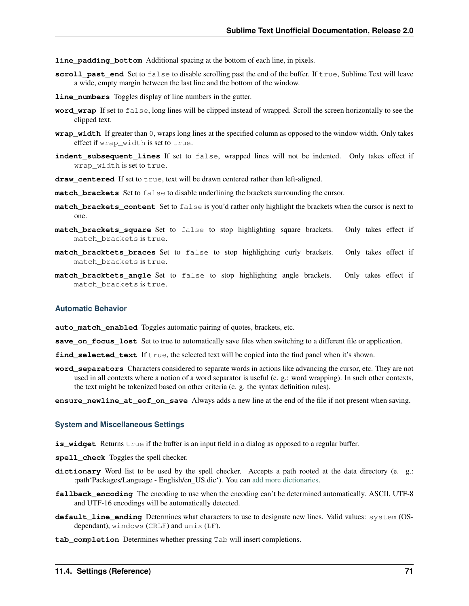- **line padding bottom** Additional spacing at the bottom of each line, in pixels.
- **scroll\_past\_end** Set to false to disable scrolling past the end of the buffer. If true, Sublime Text will leave a wide, empty margin between the last line and the bottom of the window.
- **line\_numbers** Toggles display of line numbers in the gutter.
- **word** wrap If set to false, long lines will be clipped instead of wrapped. Scroll the screen horizontally to see the clipped text.
- **wrap\_width** If greater than 0, wraps long lines at the specified column as opposed to the window width. Only takes effect if wrap\_width is set to true.
- **indent\_subsequent\_lines** If set to false, wrapped lines will not be indented. Only takes effect if wrap width is set to true.
- draw\_centered If set to true, text will be drawn centered rather than left-aligned.
- **match\_brackets** Set to false to disable underlining the brackets surrounding the cursor.
- **match\_brackets\_content** Set to false is you'd rather only highlight the brackets when the cursor is next to one.
- **match\_brackets\_square** Set to false to stop highlighting square brackets. Only takes effect if match\_brackets is true.
- **match\_bracktets\_braces** Set to false to stop highlighting curly brackets. Only takes effect if match\_brackets is true.
- **match\_bracktets\_angle** Set to false to stop highlighting angle brackets. Only takes effect if match\_brackets is true.

#### **Automatic Behavior**

**auto\_match\_enabled** Toggles automatic pairing of quotes, brackets, etc.

- **save\_on\_focus\_lost** Set to true to automatically save files when switching to a different file or application.
- **find\_selected\_text** If true, the selected text will be copied into the find panel when it's shown.
- **word\_separators** Characters considered to separate words in actions like advancing the cursor, etc. They are not used in all contexts where a notion of a word separator is useful (e. g.: word wrapping). In such other contexts, the text might be tokenized based on other criteria (e. g. the syntax definition rules).
- **ensure\_newline\_at\_eof\_on\_save** Always adds a new line at the end of the file if not present when saving.

#### **System and Miscellaneous Settings**

- **is\_widget** Returns true if the buffer is an input field in a dialog as opposed to a regular buffer.
- **spell\_check** Toggles the spell checker.
- **dictionary** Word list to be used by the spell checker. Accepts a path rooted at the data directory (e. g.: :path'Packages/Language - English/en\_US.dic'). You can [add more dictionaries.](http://extensions.services.openoffice.org/en/dictionaries)
- **fallback\_encoding** The encoding to use when the encoding can't be determined automatically. ASCII, UTF-8 and UTF-16 encodings will be automatically detected.
- **default\_line\_ending** Determines what characters to use to designate new lines. Valid values: system (OSdependant), windows (CRLF) and unix (LF).
- **tab\_completion** Determines whether pressing Tab will insert completions.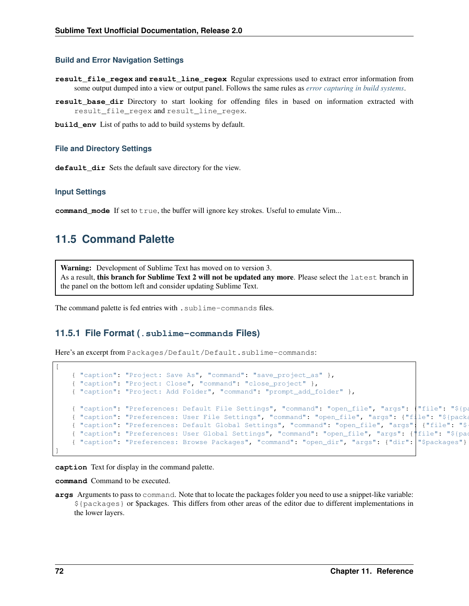#### **Build and Error Navigation Settings**

- **result\_file\_regex** and **result\_line\_regex** Regular expressions used to extract error information from some output dumped into a view or output panel. Follows the same rules as *[error capturing in build systems](#page-65-0)*.
- **result\_base\_dir** Directory to start looking for offending files in based on information extracted with result\_file\_regex and result\_line\_regex.
- **build\_env** List of paths to add to build systems by default.

#### **File and Directory Settings**

default dir Sets the default save directory for the view.

#### **Input Settings**

**command\_mode** If set to true, the buffer will ignore key strokes. Useful to emulate Vim...

## **11.5 Command Palette**

Warning: Development of Sublime Text has moved on to version 3. As a result, this branch for Sublime Text 2 will not be updated any more. Please select the latest branch in the panel on the bottom left and consider updating Sublime Text.

The command palette is fed entries with . sublime-commands files.

#### **11.5.1 File Format (.sublime-commands Files)**

Here's an excerpt from Packages/Default/Default.sublime-commands:

```
[
   { "caption": "Project: Save As", "command": "save_project_as" },
   { "caption": "Project: Close", "command": "close_project" },
   { "caption": "Project: Add Folder", "command": "prompt_add_folder" },
   { "caption": "Preferences: Default File Settings", "command": "open_file", "args": {"file": "${pa
   { "caption": "Preferences: User File Settings", "command": "open_file", "args": {"file": "${packa
   { "caption": "Preferences: Default Global Settings", "command": "open_file", "args" { "file": "$
   { "caption": "Preferences: User Global Settings", "command": "open_file", "args": {"file": "${pac
   { "caption": "Preferences: Browse Packages", "command": "open_dir", "args": {"dir": "$packages"} }
]
```
**caption** Text for display in the command palette.

**command** Command to be executed.

**args** Arguments to pass to command. Note that to locate the packages folder you need to use a snippet-like variable: \${packages} or \$packages. This differs from other areas of the editor due to different implementations in the lower layers.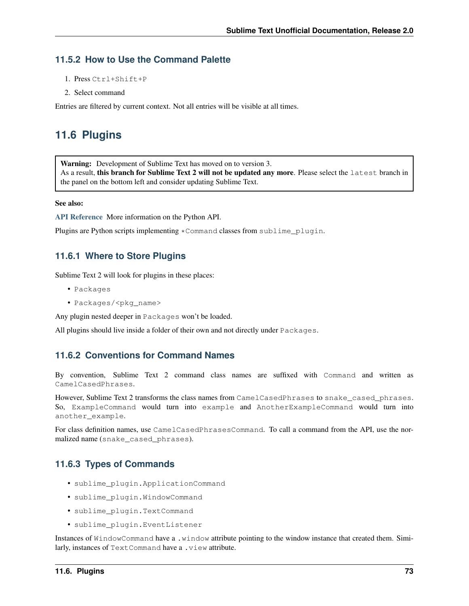### **11.5.2 How to Use the Command Palette**

- 1. Press Ctrl+Shift+P
- 2. Select command

Entries are filtered by current context. Not all entries will be visible at all times.

## **11.6 Plugins**

Warning: Development of Sublime Text has moved on to version 3. As a result, this branch for Sublime Text 2 will not be updated any more. Please select the latest branch in

the panel on the bottom left and consider updating Sublime Text.

#### See also:

[API Reference](#page-78-0) More information on the Python API.

Plugins are Python scripts implementing \*Command classes from sublime\_plugin.

### **11.6.1 Where to Store Plugins**

Sublime Text 2 will look for plugins in these places:

- Packages
- Packages/<pkg\_name>

Any plugin nested deeper in Packages won't be loaded.

All plugins should live inside a folder of their own and not directly under Packages.

### **11.6.2 Conventions for Command Names**

By convention, Sublime Text 2 command class names are suffixed with Command and written as CamelCasedPhrases.

However, Sublime Text 2 transforms the class names from CamelCasedPhrases to snake cased phrases. So, ExampleCommand would turn into example and AnotherExampleCommand would turn into another example.

For class definition names, use CamelCasedPhrasesCommand. To call a command from the API, use the normalized name (snake\_cased\_phrases).

### **11.6.3 Types of Commands**

- sublime\_plugin.ApplicationCommand
- sublime\_plugin.WindowCommand
- sublime\_plugin.TextCommand
- sublime\_plugin.EventListener

Instances of WindowCommand have a .window attribute pointing to the window instance that created them. Similarly, instances of TextCommand have a .view attribute.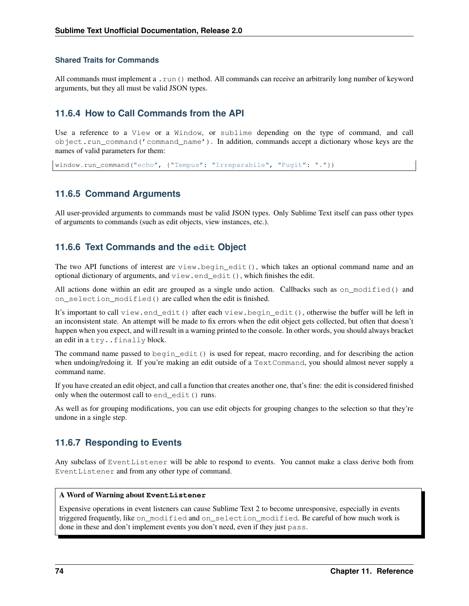### **Shared Traits for Commands**

All commands must implement a .run() method. All commands can receive an arbitrarily long number of keyword arguments, but they all must be valid JSON types.

## **11.6.4 How to Call Commands from the API**

Use a reference to a View or a Window, or sublime depending on the type of command, and call object.run\_command('command\_name'). In addition, commands accept a dictionary whose keys are the names of valid parameters for them:

window.run\_command("echo", {"Tempus": "Irreparabile", "Fugit": "."})

### **11.6.5 Command Arguments**

All user-provided arguments to commands must be valid JSON types. Only Sublime Text itself can pass other types of arguments to commands (such as edit objects, view instances, etc.).

### **11.6.6 Text Commands and the edit Object**

The two API functions of interest are view.begin edit(), which takes an optional command name and an optional dictionary of arguments, and view.end\_edit(), which finishes the edit.

All actions done within an edit are grouped as a single undo action. Callbacks such as on\_modified() and on\_selection\_modified() are called when the edit is finished.

It's important to call view.end\_edit() after each view.begin\_edit(), otherwise the buffer will be left in an inconsistent state. An attempt will be made to fix errors when the edit object gets collected, but often that doesn't happen when you expect, and will result in a warning printed to the console. In other words, you should always bracket an edit in a try. . finally block.

The command name passed to begin\_edit() is used for repeat, macro recording, and for describing the action when undoing/redoing it. If you're making an edit outside of a TextCommand, you should almost never supply a command name.

If you have created an edit object, and call a function that creates another one, that's fine: the edit is considered finished only when the outermost call to end\_edit() runs.

As well as for grouping modifications, you can use edit objects for grouping changes to the selection so that they're undone in a single step.

### **11.6.7 Responding to Events**

Any subclass of EventListener will be able to respond to events. You cannot make a class derive both from EventListener and from any other type of command.

#### A Word of Warning about **EventListener**

Expensive operations in event listeners can cause Sublime Text 2 to become unresponsive, especially in events triggered frequently, like on\_modified and on\_selection\_modified. Be careful of how much work is done in these and don't implement events you don't need, even if they just pass.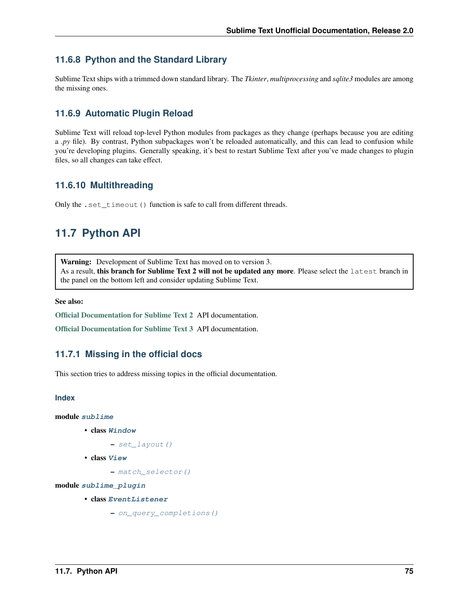## <span id="page-78-2"></span>**11.6.8 Python and the Standard Library**

Sublime Text ships with a trimmed down standard library. The *Tkinter*, *multiprocessing* and *sqlite3* modules are among the missing ones.

## **11.6.9 Automatic Plugin Reload**

Sublime Text will reload top-level Python modules from packages as they change (perhaps because you are editing a *.py* file). By contrast, Python subpackages won't be reloaded automatically, and this can lead to confusion while you're developing plugins. Generally speaking, it's best to restart Sublime Text after you've made changes to plugin files, so all changes can take effect.

## **11.6.10 Multithreading**

Only the .set\_timeout () function is safe to call from different threads.

# <span id="page-78-0"></span>**11.7 Python API**

Warning: Development of Sublime Text has moved on to version 3. As a result, this branch for Sublime Text 2 will not be updated any more. Please select the latest branch in the panel on the bottom left and consider updating Sublime Text.

See also:

[Official Documentation for Sublime Text 2](http://www.sublimetext.com/docs/2/api_reference.html) API documentation.

[Official Documentation for Sublime Text 3](http://www.sublimetext.com/docs/3/api_reference.html) API documentation.

## **11.7.1 Missing in the official docs**

This section tries to address missing topics in the official documentation.

#### **Index**

```
module sublime
```
- class **[Window](#page-79-0)**
	- [set\\_layout\(\)](#page-79-1)
- class **[View](#page-79-2)**

– [match\\_selector\(\)](#page-80-0)

<span id="page-78-1"></span>module **[sublime\\_plugin](#page-80-1)**

- class **[EventListener](#page-80-2)**
	- [on\\_query\\_completions\(\)](#page-80-3)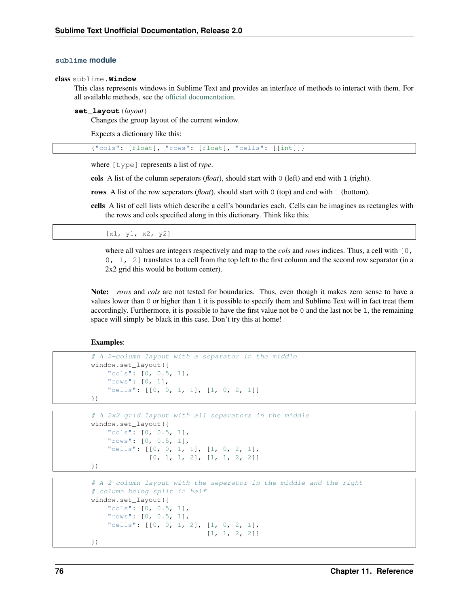#### <span id="page-79-3"></span>**sublime module**

<span id="page-79-0"></span>class sublime.**Window**

This class represents windows in Sublime Text and provides an interface of methods to interact with them. For all available methods, see the [official documentation.](http://www.sublimetext.com/docs/2/api_reference.html#sublime.Window)

#### <span id="page-79-1"></span>**set\_layout**(*layout*)

Changes the group layout of the current window.

Expects a dictionary like this:

{"cols": [float], "rows": [float], "cells": [[int]]}

where [type] represents a list of *type*.

cols A list of the column seperators (*float*), should start with 0 (left) and end with 1 (right).

rows A list of the row seperators (*float*), should start with 0 (top) and end with 1 (bottom).

cells A list of cell lists which describe a cell's boundaries each. Cells can be imagines as rectangles with the rows and cols specified along in this dictionary. Think like this:

[x1, y1, x2, y2]

where all values are integers respectively and map to the *cols* and *rows* indices. Thus, a cell with  $\lceil 0, \rceil$ 0, 1, 2] translates to a cell from the top left to the first column and the second row separator (in a 2x2 grid this would be bottom center).

Note: *rows* and *cols* are not tested for boundaries. Thus, even though it makes zero sense to have a values lower than 0 or higher than 1 it is possible to specify them and Sublime Text will in fact treat them accordingly. Furthermore, it is possible to have the first value not be  $0$  and the last not be 1, the remaining space will simply be black in this case. Don't try this at home!

Examples:

```
# A 2-column layout with a separator in the middle
window.set_layout({
   "cols": [0, 0.5, 1],
    "rows": [0, 1],
    "cells": [0, 0, 1, 1], [1, 0, 2, 1]})
```

```
# A 2x2 grid layout with all separators in the middle
window.set_layout({
    "cols": [0, 0.5, 1],
    "rows": [0, 0.5, 1],
    "cells": [[0, 0, 1, 1], [1, 0, 2, 1],
              [0, 1, 1, 2], [1, 1, 2, 2]
```

```
})
```

```
# A 2-column layout with the seperator in the middle and the right
# column being split in half
window.set_layout({
    "cols": [0, 0.5, 1],
    "rows": [0, 0.5, 1],
    "cells": [[0, 0, 1, 2], [1, 0, 2, 1],
                            [1, 1, 2, 2]})
```
<span id="page-79-2"></span>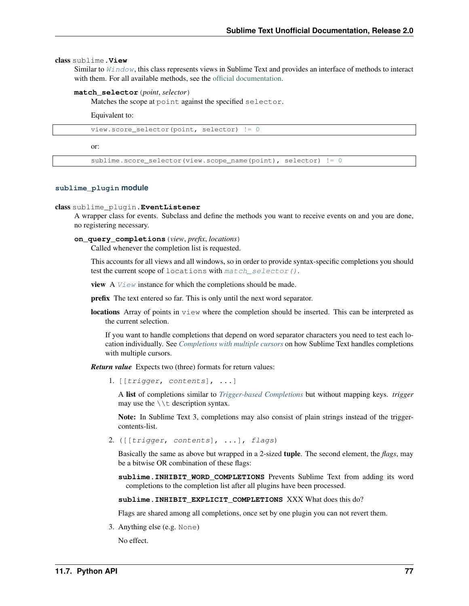#### <span id="page-80-4"></span>class sublime.**View**

Similar to [Window](#page-79-0), this class represents views in Sublime Text and provides an interface of methods to interact with them. For all available methods, see the [official documentation.](http://www.sublimetext.com/docs/2/api_reference.html#sublime.View)

#### <span id="page-80-0"></span>**match\_selector**(*point*, *selector*)

Matches the scope at point against the specified selector.

Equivalent to:

view.score\_selector(point, selector) != 0

or:

sublime.score\_selector(view.scope\_name(point), selector) != 0

#### <span id="page-80-1"></span>**sublime\_plugin module**

#### <span id="page-80-2"></span>class sublime\_plugin.**EventListener**

A wrapper class for events. Subclass and define the methods you want to receive events on and you are done, no registering necessary.

#### <span id="page-80-3"></span>**on\_query\_completions**(*view*, *prefix*, *locations*)

Called whenever the completion list is requested.

This accounts for all views and all windows, so in order to provide syntax-specific completions you should test the current scope of locations with match selector().

**view** A  $V_i$  ew instance for which the completions should be made.

prefix The text entered so far. This is only until the next word separator.

locations Array of points in view where the completion should be inserted. This can be interpreted as the current selection.

If you want to handle completions that depend on word separator characters you need to test each location individually. See *[Completions with multiple cursors](#page-42-0)* on how Sublime Text handles completions with multiple cursors.

*Return value* Expects two (three) formats for return values:

1. [[trigger, contents], ...]

A list of completions similar to *[Trigger-based Completions](#page-40-0)* but without mapping keys. *trigger* may use the  $\setminus \setminus t$  description syntax.

Note: In Sublime Text 3, completions may also consist of plain strings instead of the triggercontents-list.

2. ([[trigger, contents], ...], flags)

Basically the same as above but wrapped in a 2-sized tuple. The second element, the *flags*, may be a bitwise OR combination of these flags:

sublime. INHIBIT WORD COMPLETIONS Prevents Sublime Text from adding its word completions to the completion list after all plugins have been processed.

**sublime.INHIBIT\_EXPLICIT\_COMPLETIONS** XXX What does this do?

Flags are shared among all completions, once set by one plugin you can not revert them.

3. Anything else (e.g. None)

No effect.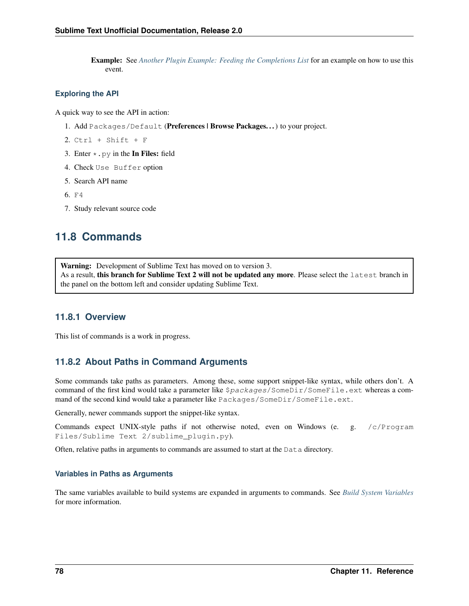Example: See *[Another Plugin Example: Feeding the Completions List](#page-54-0)* for an example on how to use this event.

#### **Exploring the API**

A quick way to see the API in action:

- 1. Add Packages/Default (Preferences | Browse Packages...) to your project.
- $2.$  Ctrl + Shift + F
- 3. Enter  $\star$  . py in the In Files: field
- 4. Check Use Buffer option
- 5. Search API name
- 6. F4
- 7. Study relevant source code

## **11.8 Commands**

Warning: Development of Sublime Text has moved on to version 3. As a result, this branch for Sublime Text 2 will not be updated any more. Please select the latest branch in the panel on the bottom left and consider updating Sublime Text.

### **11.8.1 Overview**

This list of commands is a work in progress.

## <span id="page-81-0"></span>**11.8.2 About Paths in Command Arguments**

Some commands take paths as parameters. Among these, some support snippet-like syntax, while others don't. A command of the first kind would take a parameter like  $$packages/SomeDir/SomeFile. ext whereas a com$ mand of the second kind would take a parameter like Packages/SomeDir/SomeFile.ext.

Generally, newer commands support the snippet-like syntax.

Commands expect UNIX-style paths if not otherwise noted, even on Windows (e. g. /c/Program Files/Sublime Text 2/sublime\_plugin.py).

Often, relative paths in arguments to commands are assumed to start at the Data directory.

#### **Variables in Paths as Arguments**

The same variables available to build systems are expanded in arguments to commands. See *[Build System Variables](#page-66-0)* for more information.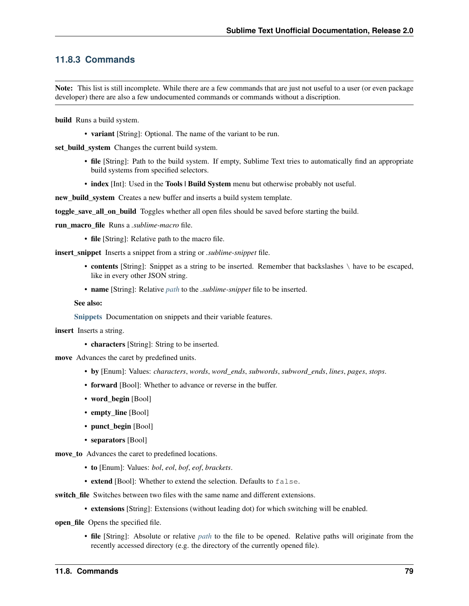## **11.8.3 Commands**

Note: This list is still incomplete. While there are a few commands that are just not useful to a user (or even package developer) there are also a few undocumented commands or commands without a discription.

build Runs a build system.

• variant [String]: Optional. The name of the variant to be run.

set\_build\_system Changes the current build system.

- file [String]: Path to the build system. If empty, Sublime Text tries to automatically find an appropriate build systems from specified selectors.
- index [Int]: Used in the Tools | Build System menu but otherwise probably not useful.

new\_build\_system Creates a new buffer and inserts a build system template.

toggle save all on build Toggles whether all open files should be saved before starting the build.

run\_macro\_file Runs a *.sublime-macro* file.

• file [String]: Relative path to the macro file.

insert\_snippet Inserts a snippet from a string or *.sublime-snippet* file.

- contents [String]: Snippet as a string to be inserted. Remember that backslashes \ have to be escaped, like in every other JSON string.
- name [String]: Relative *[path](#page-81-0)* to the *.sublime-snippet* file to be inserted.

See also:

[Snippets](#page-36-0) Documentation on snippets and their variable features.

insert Inserts a string.

• characters [String]: String to be inserted.

move Advances the caret by predefined units.

- by [Enum]: Values: *characters*, *words*, *word\_ends*, *subwords*, *subword\_ends*, *lines*, *pages*, *stops*.
- **forward** [Bool]: Whether to advance or reverse in the buffer.
- word\_begin [Bool]
- empty\_line [Bool]
- punct begin [Bool]
- separators [Bool]

move\_to Advances the caret to predefined locations.

- to [Enum]: Values: *bol*, *eol*, *bof*, *eof*, *brackets*.
- extend [Bool]: Whether to extend the selection. Defaults to false.

switch file Switches between two files with the same name and different extensions.

• extensions [String]: Extensions (without leading dot) for which switching will be enabled.

open file Opens the specified file.

• file [String]: Absolute or relative *[path](#page-81-0)* to the file to be opened. Relative paths will originate from the recently accessed directory (e.g. the directory of the currently opened file).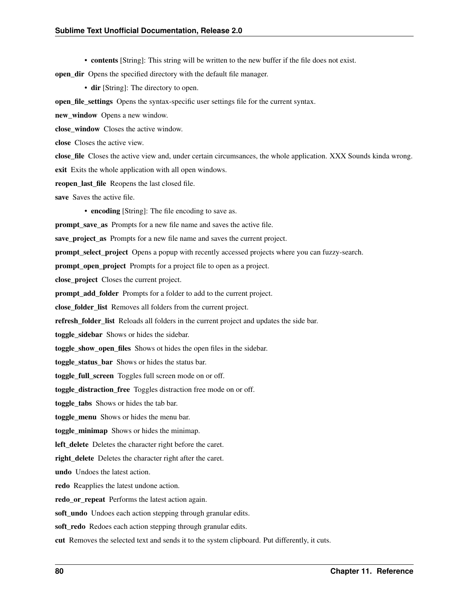• contents [String]: This string will be written to the new buffer if the file does not exist.

open\_dir Opens the specified directory with the default file manager.

• dir [String]: The directory to open.

open\_file\_settings Opens the syntax-specific user settings file for the current syntax.

new window Opens a new window.

close\_window Closes the active window.

close Closes the active view.

close\_file Closes the active view and, under certain circumsances, the whole application. XXX Sounds kinda wrong.

exit Exits the whole application with all open windows.

reopen last file Reopens the last closed file.

save Saves the active file.

• encoding [String]: The file encoding to save as.

prompt save as Prompts for a new file name and saves the active file.

save\_project\_as Prompts for a new file name and saves the current project.

prompt\_select\_project Opens a popup with recently accessed projects where you can fuzzy-search.

prompt open project Prompts for a project file to open as a project.

close\_project Closes the current project.

prompt\_add\_folder Prompts for a folder to add to the current project.

close\_folder\_list Removes all folders from the current project.

refresh\_folder\_list Reloads all folders in the current project and updates the side bar.

toggle\_sidebar Shows or hides the sidebar.

toggle\_show\_open\_files Shows ot hides the open files in the sidebar.

toggle\_status\_bar Shows or hides the status bar.

toggle full screen Toggles full screen mode on or off.

toggle distraction free Toggles distraction free mode on or off.

toggle\_tabs Shows or hides the tab bar.

toggle\_menu Shows or hides the menu bar.

toggle\_minimap Shows or hides the minimap.

left delete Deletes the character right before the caret.

right\_delete Deletes the character right after the caret.

undo Undoes the latest action.

redo Reapplies the latest undone action.

redo\_or\_repeat Performs the latest action again.

soft\_undo Undoes each action stepping through granular edits.

soft\_redo Redoes each action stepping through granular edits.

cut Removes the selected text and sends it to the system clipboard. Put differently, it cuts.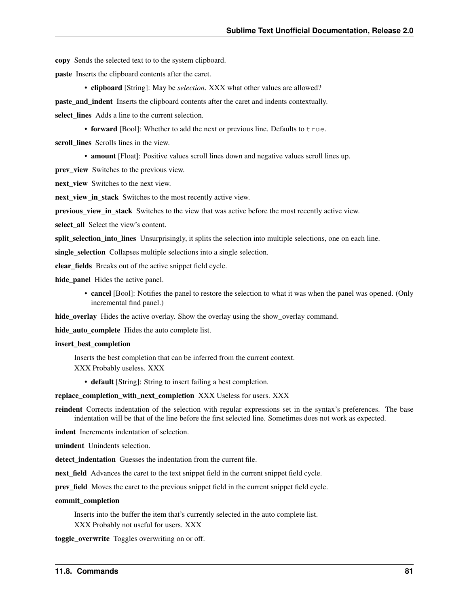copy Sends the selected text to to the system clipboard.

paste Inserts the clipboard contents after the caret.

• clipboard [String]: May be *selection*. XXX what other values are allowed?

paste\_and\_indent Inserts the clipboard contents after the caret and indents contextually.

select lines Adds a line to the current selection.

• forward [Bool]: Whether to add the next or previous line. Defaults to  $true$ .

scroll\_lines Scrolls lines in the view.

• amount [Float]: Positive values scroll lines down and negative values scroll lines up.

prev\_view Switches to the previous view.

next view Switches to the next view.

next\_view\_in\_stack Switches to the most recently active view.

previous\_view\_in\_stack Switches to the view that was active before the most recently active view.

select all Select the view's content.

split\_selection\_into\_lines Unsurprisingly, it splits the selection into multiple selections, one on each line.

single\_selection Collapses multiple selections into a single selection.

clear fields Breaks out of the active snippet field cycle.

hide\_panel Hides the active panel.

• cancel [Bool]: Notifies the panel to restore the selection to what it was when the panel was opened. (Only incremental find panel.)

hide\_overlay Hides the active overlay. Show the overlay using the show\_overlay command.

hide\_auto\_complete Hides the auto complete list.

#### insert\_best\_completion

Inserts the best completion that can be inferred from the current context.

XXX Probably useless. XXX

• default [String]: String to insert failing a best completion.

replace\_completion\_with\_next\_completion XXX Useless for users. XXX

reindent Corrects indentation of the selection with regular expressions set in the syntax's preferences. The base indentation will be that of the line before the first selected line. Sometimes does not work as expected.

indent Increments indentation of selection.

unindent Unindents selection.

detect indentation Guesses the indentation from the current file.

next field Advances the caret to the text snippet field in the current snippet field cycle.

prev\_field Moves the caret to the previous snippet field in the current snippet field cycle.

#### commit\_completion

Inserts into the buffer the item that's currently selected in the auto complete list. XXX Probably not useful for users. XXX

toggle\_overwrite Toggles overwriting on or off.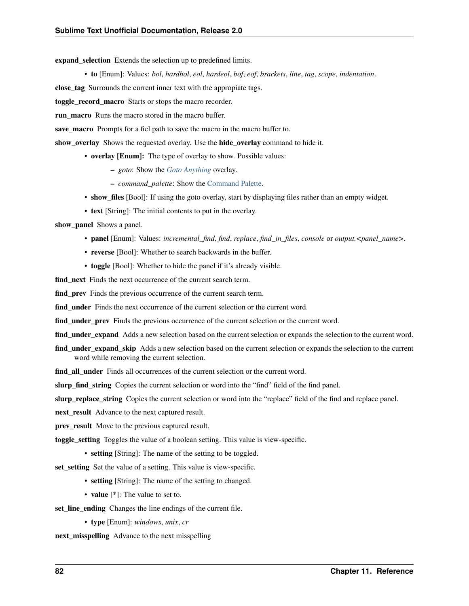expand selection Extends the selection up to predefined limits.

• to [Enum]: Values: *bol*, *hardbol*, *eol*, *hardeol*, *bof*, *eof*, *brackets*, *line*, *tag*, *scope*, *indentation*.

close\_tag Surrounds the current inner text with the appropiate tags.

toggle\_record\_macro Starts or stops the macro recorder.

**run** macro Runs the macro stored in the macro buffer.

save macro Prompts for a fiel path to save the macro in the macro buffer to.

show\_overlay Shows the requested overlay. Use the hide\_overlay command to hide it.

• overlay [Enum]: The type of overlay to show. Possible values:

- *goto*: Show the *[Goto Anything](#page-24-0)* overlay.
- *command\_palette*: Show the [Command Palette.](#page-42-1)
- show\_files [Bool]: If using the goto overlay, start by displaying files rather than an empty widget.
- text [String]: The initial contents to put in the overlay.

show panel Shows a panel.

- panel [Enum]: Values: *incremental\_find*, *find*, *replace*, *find\_in\_files*, *console* or *output.<panel\_name>*.
- reverse [Bool]: Whether to search backwards in the buffer.
- **toggle** [Bool]: Whether to hide the panel if it's already visible.

find next Finds the next occurrence of the current search term.

find\_prev Finds the previous occurrence of the current search term.

find\_under Finds the next occurrence of the current selection or the current word.

find\_under\_prev Finds the previous occurrence of the current selection or the current word.

find\_under\_expand Adds a new selection based on the current selection or expands the selection to the current word.

find\_under\_expand\_skip Adds a new selection based on the current selection or expands the selection to the current word while removing the current selection.

find all under Finds all occurrences of the current selection or the current word.

slurp\_find\_string Copies the current selection or word into the "find" field of the find panel.

slurp\_replace\_string Copies the current selection or word into the "replace" field of the find and replace panel.

next\_result Advance to the next captured result.

**prev\_result** Move to the previous captured result.

toggle setting Toggles the value of a boolean setting. This value is view-specific.

• setting [String]: The name of the setting to be toggled.

set\_setting Set the value of a setting. This value is view-specific.

- setting [String]: The name of the setting to changed.
- value [\*]: The value to set to.

set\_line\_ending Changes the line endings of the current file.

• type [Enum]: *windows*, *unix*, *cr*

next misspelling Advance to the next misspelling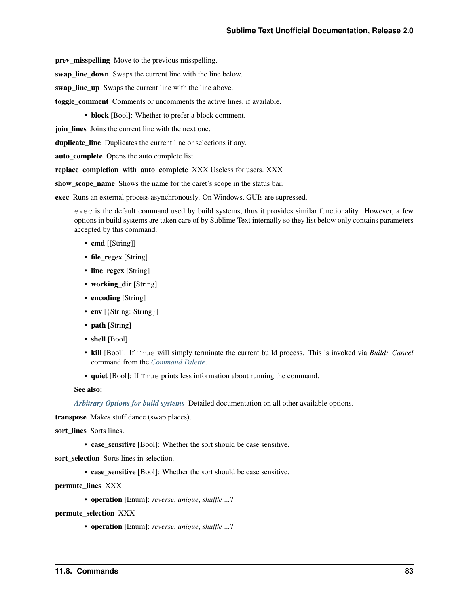prev\_misspelling Move to the previous misspelling.

swap\_line\_down Swaps the current line with the line below.

swap\_line\_up Swaps the current line with the line above.

toggle\_comment Comments or uncomments the active lines, if available.

• **block** [Bool]: Whether to prefer a block comment.

join lines Joins the current line with the next one.

duplicate\_line Duplicates the current line or selections if any.

auto\_complete Opens the auto complete list.

replace\_completion\_with\_auto\_complete XXX Useless for users. XXX

show scope name Shows the name for the caret's scope in the status bar.

exec Runs an external process asynchronously. On Windows, GUIs are supressed.

exec is the default command used by build systems, thus it provides similar functionality. However, a few options in build systems are taken care of by Sublime Text internally so they list below only contains parameters accepted by this command.

- cmd [[String]]
- file\_regex [String]
- line\_regex [String]
- working\_dir [String]
- encoding [String]
- env [{String: String}]
- path [String]
- shell [Bool]
- kill [Bool]: If True will simply terminate the current build process. This is invoked via *Build: Cancel* command from the *[Command Palette](#page-42-2)*.
- quiet [Bool]: If True prints less information about running the command.

#### See also:

*[Arbitrary Options for build systems](#page-65-1)* Detailed documentation on all other available options.

transpose Makes stuff dance (swap places).

sort lines Sorts lines.

• case sensitive [Bool]: Whether the sort should be case sensitive.

sort\_selection Sorts lines in selection.

• case\_sensitive [Bool]: Whether the sort should be case sensitive.

permute\_lines XXX

• operation [Enum]: *reverse*, *unique*, *shuffle* ...?

permute selection XXX

• operation [Enum]: *reverse*, *unique*, *shuffle* ...?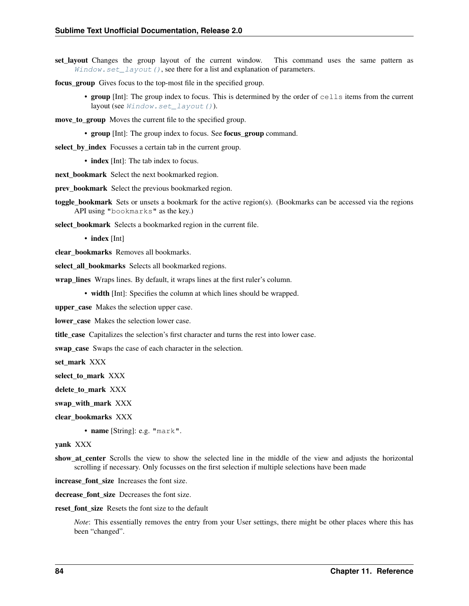set layout Changes the group layout of the current window. This command uses the same pattern as  $Window.set\_layout()$ , see there for a list and explanation of parameters.

focus\_group Gives focus to the top-most file in the specified group.

• group [Int]: The group index to focus. This is determined by the order of cells items from the current layout (see Window.set layout()).

move to group Moves the current file to the specified group.

• group [Int]: The group index to focus. See focus group command.

select\_by\_index Focusses a certain tab in the current group.

- index [Int]: The tab index to focus.
- next\_bookmark Select the next bookmarked region.

prev\_bookmark Select the previous bookmarked region.

toggle\_bookmark Sets or unsets a bookmark for the active region(s). (Bookmarks can be accessed via the regions API using "bookmarks" as the key.)

select\_bookmark Selects a bookmarked region in the current file.

• index [Int]

clear\_bookmarks Removes all bookmarks.

select all bookmarks Selects all bookmarked regions.

wrap\_lines Wraps lines. By default, it wraps lines at the first ruler's column.

• width [Int]: Specifies the column at which lines should be wrapped.

upper\_case Makes the selection upper case.

lower\_case Makes the selection lower case.

title case Capitalizes the selection's first character and turns the rest into lower case.

swap\_case Swaps the case of each character in the selection.

set mark XXX

select to mark XXX

delete to mark XXX

swap\_with\_mark XXX

clear\_bookmarks XXX

• name [String]: e.g. "mark".

yank XXX

show\_at\_center Scrolls the view to show the selected line in the middle of the view and adjusts the horizontal scrolling if necessary. Only focusses on the first selection if multiple selections have been made

increase\_font\_size Increases the font size.

decrease font size Decreases the font size.

reset font size Resets the font size to the default

*Note*: This essentially removes the entry from your User settings, there might be other places where this has been "changed".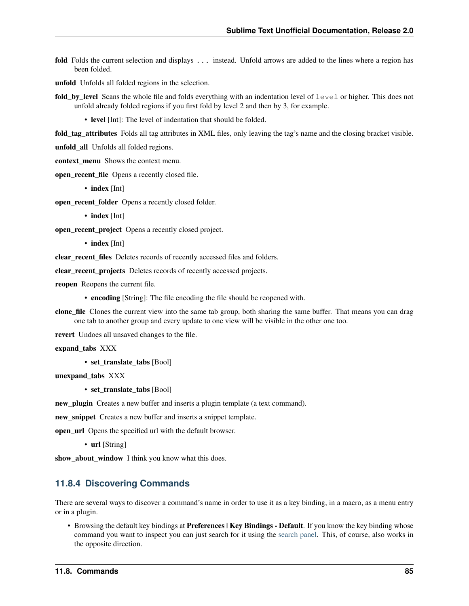- fold Folds the current selection and displays ... instead. Unfold arrows are added to the lines where a region has been folded.
- unfold Unfolds all folded regions in the selection.
- fold by level Scans the whole file and folds everything with an indentation level of  $l$ evel or higher. This does not unfold already folded regions if you first fold by level 2 and then by 3, for example.

• level [Int]: The level of indentation that should be folded.

fold\_tag\_attributes Folds all tag attributes in XML files, only leaving the tag's name and the closing bracket visible.

unfold\_all Unfolds all folded regions.

context\_menu Shows the context menu.

open\_recent\_file Opens a recently closed file.

• index [Int]

open\_recent\_folder Opens a recently closed folder.

• index [Int]

open\_recent\_project Opens a recently closed project.

• index [Int]

clear\_recent\_files Deletes records of recently accessed files and folders.

clear recent projects Deletes records of recently accessed projects.

reopen Reopens the current file.

• encoding [String]: The file encoding the file should be reopened with.

clone\_file Clones the current view into the same tab group, both sharing the same buffer. That means you can drag one tab to another group and every update to one view will be visible in the other one too.

revert Undoes all unsaved changes to the file.

```
expand_tabs XXX
```
• set\_translate\_tabs [Bool]

unexpand\_tabs XXX

• set translate tabs [Bool]

new\_plugin Creates a new buffer and inserts a plugin template (a text command).

new\_snippet Creates a new buffer and inserts a snippet template.

open\_url Opens the specified url with the default browser.

• url [String]

show\_about\_window I think you know what this does.

### **11.8.4 Discovering Commands**

There are several ways to discover a command's name in order to use it as a key binding, in a macro, as a menu entry or in a plugin.

• Browsing the default key bindings at Preferences | Key Bindings - Default. If you know the key binding whose command you want to inspect you can just search for it using the [search panel.](#page-18-0) This, of course, also works in the opposite direction.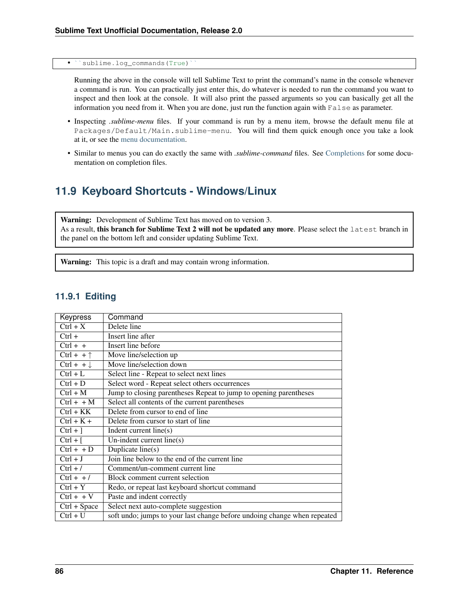sublime.log\_commands(True)

Running the above in the console will tell Sublime Text to print the command's name in the console whenever a command is run. You can practically just enter this, do whatever is needed to run the command you want to inspect and then look at the console. It will also print the passed arguments so you can basically get all the information you need from it. When you are done, just run the function again with False as parameter.

- Inspecting *.sublime-menu* files. If your command is run by a menu item, browse the default menu file at Packages/Default/Main.sublime-menu. You will find them quick enough once you take a look at it, or see the [menu documentation.](#page-32-0)
- Similar to menus you can do exactly the same with *.sublime-command* files. See [Completions](#page-39-0) for some documentation on completion files.

# **11.9 Keyboard Shortcuts - Windows/Linux**

Warning: Development of Sublime Text has moved on to version 3. As a result, this branch for Sublime Text 2 will not be updated any more. Please select the latest branch in the panel on the bottom left and consider updating Sublime Text.

Warning: This topic is a draft and may contain wrong information.

| 11.9.1 Editing |  |
|----------------|--|
|----------------|--|

| Keypress              | Command                                                                  |
|-----------------------|--------------------------------------------------------------------------|
| $Ctrl + X$            | Delete line                                                              |
| $Ctrl +$              | Insert line after                                                        |
| $Ctrl + +$            | Insert line before                                                       |
| $Ctrl + + \uparrow$   | Move line/selection up                                                   |
| $Ctrl + + \downarrow$ | Move line/selection down                                                 |
| $Ctrl + \overline{L}$ | Select line - Repeat to select next lines                                |
| $Ctrl + D$            | Select word - Repeat select others occurrences                           |
| $Ctrl + M$            | Jump to closing parentheses Repeat to jump to opening parentheses        |
| $Ctrl + + M$          | Select all contents of the current parentheses                           |
| $Ctrl + KK$           | Delete from cursor to end of line                                        |
| $Ctrl + K +$          | Delete from cursor to start of line                                      |
| $Ctrl + ]$            | Indent current line(s)                                                   |
| $Ctrl + \lceil$       | Un-indent current line( $s$ )                                            |
| $Ctrl + + D$          | Duplicate line(s)                                                        |
| $Ctrl + J$            | Join line below to the end of the current line                           |
| $Ctrl + /$            | Comment/un-comment current line                                          |
| $Ctrl + +/$           | Block comment current selection                                          |
| $Ctrl + Y$            | Redo, or repeat last keyboard shortcut command                           |
| $Ctrl + + V$          | Paste and indent correctly                                               |
| $Ctrl + Space$        | Select next auto-complete suggestion                                     |
| $Ctrl + U$            | soft undo; jumps to your last change before undoing change when repeated |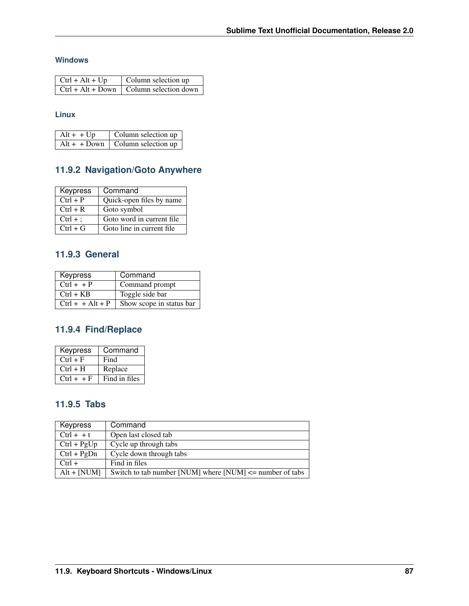## **Windows**

| $\vert$ Ctrl + Alt + Up | Column selection up                                     |
|-------------------------|---------------------------------------------------------|
|                         | $\vert$ Ctrl + Alt + Down $\vert$ Column selection down |

## **Linux**

| $Alt + + Up$ | Column selection up                     |
|--------------|-----------------------------------------|
|              | $Alt + + Down \mid Column selection up$ |

## **11.9.2 Navigation/Goto Anywhere**

| <b>Keypress</b> | Command                    |
|-----------------|----------------------------|
| $Ctrl + P$      | Quick-open files by name   |
| $Ctrl + R$      | Goto symbol                |
| $Ctrl + :$      | Goto word in current file. |
| $Ctrl + G$      | Goto line in current file  |

## **11.9.3 General**

| Keypress           | Command                  |
|--------------------|--------------------------|
| $Ctrl + + P$       | Command prompt           |
| $Ctrl + KB$        | Toggle side bar          |
| $Ctrl + + Alt + P$ | Show scope in status bar |

# **11.9.4 Find/Replace**

| Keypress     | Command       |
|--------------|---------------|
| $Ctrl + F$   | Find          |
| $Ctrl + H$   | Replace       |
| $Ctrl + + F$ | Find in files |

## **11.9.5 Tabs**

| Keypress      | Command                                                     |
|---------------|-------------------------------------------------------------|
| $Ctrl + +t$   | Open last closed tab                                        |
| $Ctrl + PgUp$ | Cycle up through tabs                                       |
| $Ctrl + PgDn$ | Cycle down through tabs                                     |
| $Ctrl +$      | Find in files                                               |
| $Alt + [NUM]$ | Switch to tab number [NUM] where $[NUM] \le$ number of tabs |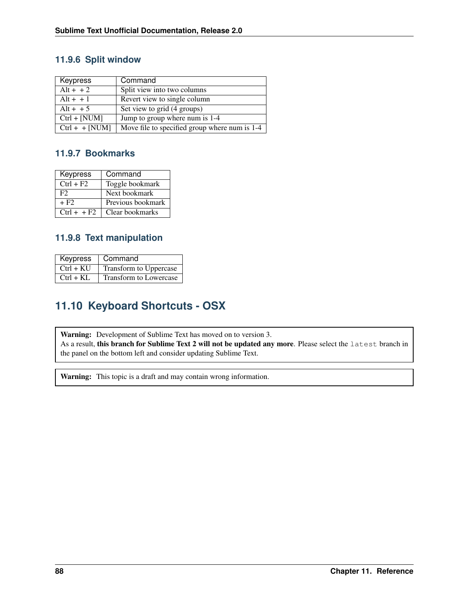## **11.9.6 Split window**

| Keypress         | Command                                       |
|------------------|-----------------------------------------------|
| $Alt + + 2$      | Split view into two columns                   |
| $Alt + + 1$      | Revert view to single column                  |
| $Alt + + 5$      | Set view to grid (4 groups)                   |
| $Ctrl + [NUM]$   | Jump to group where num is 1-4                |
| $Ctrl + + [NUM]$ | Move file to specified group where num is 1-4 |

## **11.9.7 Bookmarks**

| Keypress      | Command           |
|---------------|-------------------|
| $Ctrl + F2$   | Toggle bookmark   |
| F2.           | Next bookmark     |
| $+ F2$        | Previous bookmark |
| $Ctrl + + F2$ | Clear bookmarks   |

## **11.9.8 Text manipulation**

| Keypress    | Command                |
|-------------|------------------------|
| $Ctrl + KU$ | Transform to Uppercase |
| $Ctrl + KL$ | Transform to Lowercase |

# **11.10 Keyboard Shortcuts - OSX**

Warning: Development of Sublime Text has moved on to version 3. As a result, this branch for Sublime Text 2 will not be updated any more. Please select the latest branch in the panel on the bottom left and consider updating Sublime Text.

Warning: This topic is a draft and may contain wrong information.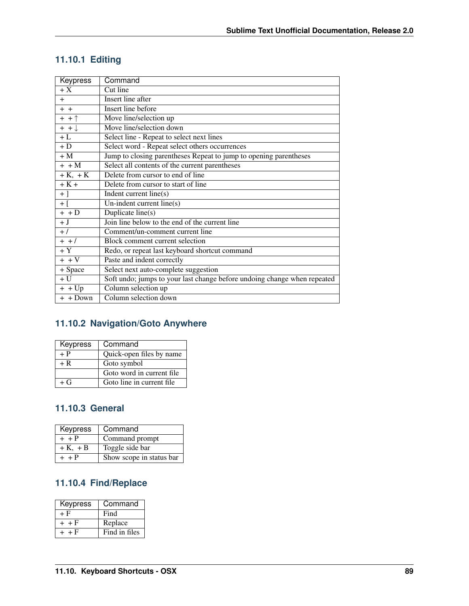# **11.10.1 Editing**

| Keypress             | Command                                                                  |
|----------------------|--------------------------------------------------------------------------|
| $+X$                 | Cut line                                                                 |
| $+$                  | <b>Insert line after</b>                                                 |
| $+ +$                | <b>Insert line before</b>                                                |
| $+ + \uparrow$       | Move line/selection up                                                   |
| $+$ + $\downarrow$   | Move line/selection down                                                 |
| $+L$                 | Select line - Repeat to select next lines                                |
| $+D$                 | Select word - Repeat select others occurrences                           |
| $+M$                 | Jump to closing parentheses Repeat to jump to opening parentheses        |
| $+$ + M              | Select all contents of the current parentheses                           |
| $+K$ , $+K$          | Delete from cursor to end of line                                        |
| $+K+$                | Delete from cursor to start of line                                      |
| $+$ ]                | Indent current line(s)                                                   |
| $+$ [                | Un-indent current line(s)                                                |
| $+$ + $\overline{D}$ | Duplicate line(s)                                                        |
| $+J$                 | Join line below to the end of the current line                           |
| $+ /$                | Comment/un-comment current line                                          |
| $+$ + $/$            | Block comment current selection                                          |
| $+Y$                 | Redo, or repeat last keyboard shortcut command                           |
| $+ + V$              | Paste and indent correctly                                               |
| + Space              | Select next auto-complete suggestion                                     |
| $+U$                 | Soft undo; jumps to your last change before undoing change when repeated |
| $\overline{+}$ + Up  | Column selection up                                                      |
| $+$ + Down           | Column selection down                                                    |

# **11.10.2 Navigation/Goto Anywhere**

| <b>Keypress</b> | Command                    |
|-----------------|----------------------------|
| $+P$            | Quick-open files by name   |
| $+ R$           | Goto symbol                |
|                 | Goto word in current file. |
| $+G$            | Goto line in current file. |

# **11.10.3 General**

| Keypress    | Command                  |
|-------------|--------------------------|
| $+ + P$     | Command prompt           |
| $+K$ , $+B$ | Toggle side bar          |
| $+ + P$     | Show scope in status bar |

# **11.10.4 Find/Replace**

| Keypress  | Command       |
|-----------|---------------|
| + F       | Find          |
| $+$ + F   | Replace       |
| $+$ + $F$ | Find in files |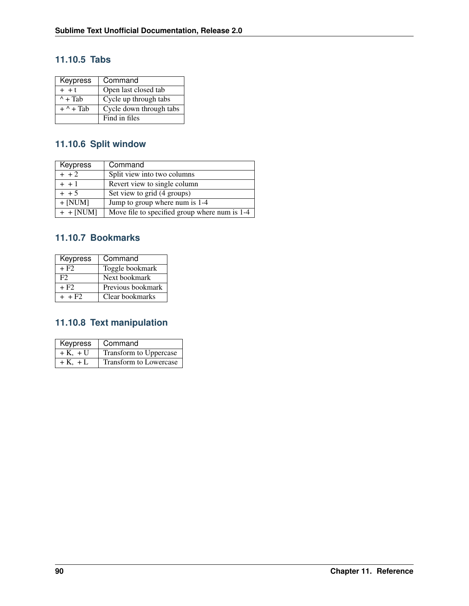## **11.10.5 Tabs**

| Keypress          | Command                 |
|-------------------|-------------------------|
| $+$ + t           | Open last closed tab    |
| $^{\wedge}$ + Tab | Cycle up through tabs   |
| $+$ ^ + Tab       | Cycle down through tabs |
|                   | Find in files           |

# **11.10.6 Split window**

| <b>Keypress</b> | Command                                       |
|-----------------|-----------------------------------------------|
| $+ + 2$         | Split view into two columns                   |
| $+ + 1$         | Revert view to single column                  |
| $+ + 5$         | Set view to grid (4 groups)                   |
| $+$ [NUM]       | Jump to group where num is 1-4                |
| $+$ + [NUM]     | Move file to specified group where num is 1-4 |

## **11.10.7 Bookmarks**

| Keypress             | Command           |
|----------------------|-------------------|
| $+ F2$               | Toggle bookmark   |
| F2                   | Next bookmark     |
| + F <sub>2</sub>     | Previous bookmark |
| $+$ + F <sub>2</sub> | Clear bookmarks   |

# **11.10.8 Text manipulation**

| Keypress    | Command                |
|-------------|------------------------|
| $+K$ , $+U$ | Transform to Uppercase |
| $+K$ , $+L$ | Transform to Lowercase |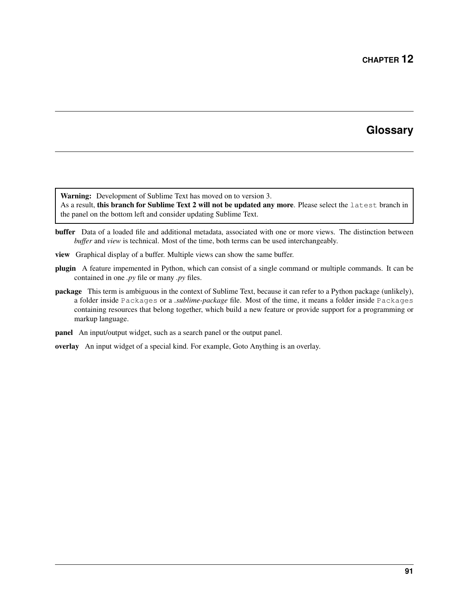# **Glossary**

<span id="page-94-0"></span>Warning: Development of Sublime Text has moved on to version 3.

As a result, this branch for Sublime Text 2 will not be updated any more. Please select the latest branch in the panel on the bottom left and consider updating Sublime Text.

- buffer Data of a loaded file and additional metadata, associated with one or more views. The distinction between *buffer* and *view* is technical. Most of the time, both terms can be used interchangeably.
- view Graphical display of a buffer. Multiple views can show the same buffer.
- plugin A feature impemented in Python, which can consist of a single command or multiple commands. It can be contained in one *.py* file or many *.py* files.
- package This term is ambiguous in the context of Sublime Text, because it can refer to a Python package (unlikely), a folder inside Packages or a *.sublime-package* file. Most of the time, it means a folder inside Packages containing resources that belong together, which build a new feature or provide support for a programming or markup language.
- panel An input/output widget, such as a search panel or the output panel.
- overlay An input widget of a special kind. For example, Goto Anything is an overlay.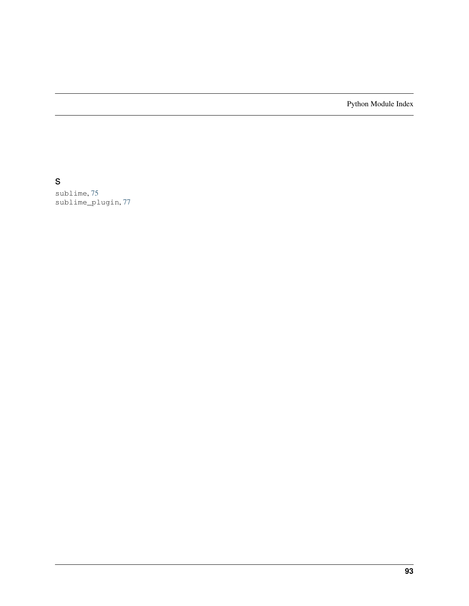Python Module Index

s

sublime, [75](#page-78-1) sublime\_plugin, [77](#page-80-1)